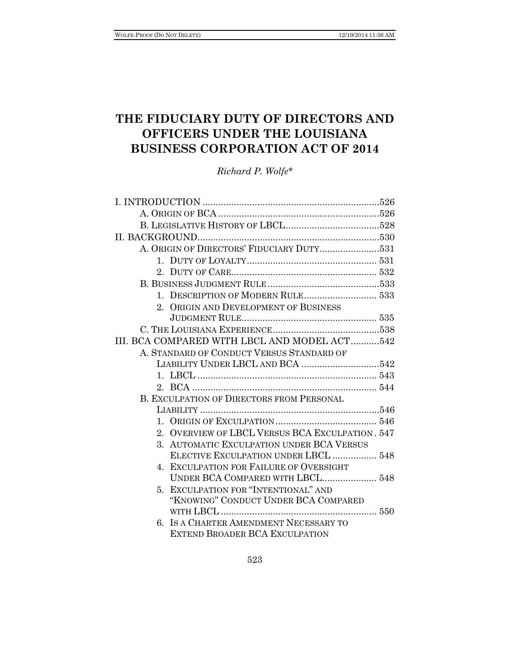# **THE FIDUCIARY DUTY OF DIRECTORS AND OFFICERS UNDER THE LOUISIANA BUSINESS CORPORATION ACT OF 2014**

*Richard P. Wolfe\**

| A. ORIGIN OF DIRECTORS' FIDUCIARY DUTY531        |  |
|--------------------------------------------------|--|
|                                                  |  |
|                                                  |  |
|                                                  |  |
|                                                  |  |
| 2. ORIGIN AND DEVELOPMENT OF BUSINESS            |  |
|                                                  |  |
|                                                  |  |
| III. BCA COMPARED WITH LBCL AND MODEL ACT542     |  |
| A. STANDARD OF CONDUCT VERSUS STANDARD OF        |  |
|                                                  |  |
|                                                  |  |
|                                                  |  |
| <b>B. EXCULPATION OF DIRECTORS FROM PERSONAL</b> |  |
|                                                  |  |
|                                                  |  |
| 2. OVERVIEW OF LBCL VERSUS BCA EXCULPATION. 547  |  |
| 3. AUTOMATIC EXCULPATION UNDER BCA VERSUS        |  |
| ELECTIVE EXCULPATION UNDER LBCL  548             |  |
| 4. EXCULPATION FOR FAILURE OF OVERSIGHT          |  |
| UNDER BCA COMPARED WITH LBCL 548                 |  |
| 5. EXCULPATION FOR "INTENTIONAL" AND             |  |
| "KNOWING" CONDUCT UNDER BCA COMPARED             |  |
|                                                  |  |
| 6. IS A CHARTER AMENDMENT NECESSARY TO           |  |
| <b>EXTEND BROADER BCA EXCULPATION</b>            |  |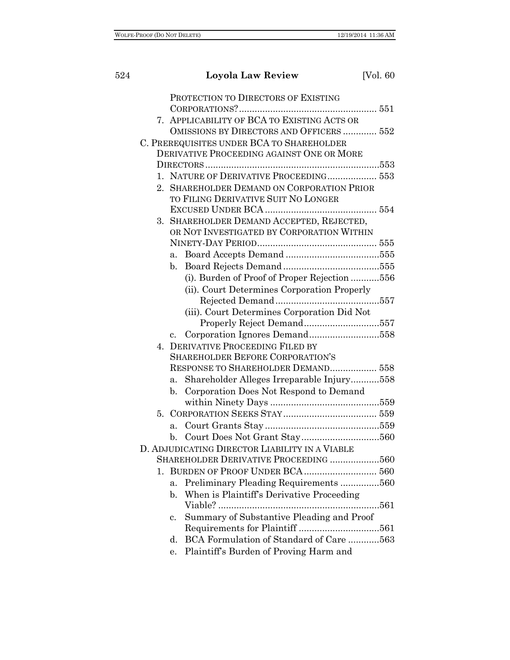| 524 |                | <b>Loyola Law Review</b>                                                                | [Vol. 60] |
|-----|----------------|-----------------------------------------------------------------------------------------|-----------|
|     |                | PROTECTION TO DIRECTORS OF EXISTING                                                     |           |
|     |                | 7. APPLICABILITY OF BCA TO EXISTING ACTS OR<br>OMISSIONS BY DIRECTORS AND OFFICERS  552 |           |
|     |                | C. PREREQUISITES UNDER BCA TO SHAREHOLDER                                               |           |
|     |                | DERIVATIVE PROCEEDING AGAINST ONE OR MORE                                               |           |
|     |                |                                                                                         |           |
|     |                | 1. NATURE OF DERIVATIVE PROCEEDING 553                                                  |           |
|     |                | 2. SHAREHOLDER DEMAND ON CORPORATION PRIOR                                              |           |
|     |                | TO FILING DERIVATIVE SUIT NO LONGER                                                     |           |
|     |                | 3. SHAREHOLDER DEMAND ACCEPTED, REJECTED,                                               |           |
|     |                | OR NOT INVESTIGATED BY CORPORATION WITHIN                                               |           |
|     |                |                                                                                         |           |
|     | a.             |                                                                                         |           |
|     | b.             |                                                                                         |           |
|     |                | (i). Burden of Proof of Proper Rejection 556                                            |           |
|     |                | (ii). Court Determines Corporation Properly                                             |           |
|     |                |                                                                                         |           |
|     |                | (iii). Court Determines Corporation Did Not                                             |           |
|     |                |                                                                                         |           |
|     | $c_{\cdot}$    |                                                                                         |           |
|     |                | 4. DERIVATIVE PROCEEDING FILED BY                                                       |           |
|     |                | <b>SHAREHOLDER BEFORE CORPORATION'S</b>                                                 |           |
|     |                | RESPONSE TO SHAREHOLDER DEMAND 558                                                      |           |
|     | a.             | Shareholder Alleges Irreparable Injury558                                               |           |
|     | $\mathbf{b}$ . | Corporation Does Not Respond to Demand                                                  |           |
|     | 5.             |                                                                                         |           |
|     | a.             |                                                                                         |           |
|     | b.             |                                                                                         |           |
|     |                | D. ADJUDICATING DIRECTOR LIABILITY IN A VIABLE                                          |           |
|     |                | SHAREHOLDER DERIVATIVE PROCEEDING 560                                                   |           |
|     | $1_{\cdot}$    |                                                                                         |           |
|     | a.             | Preliminary Pleading Requirements560                                                    |           |
|     | $\mathbf{b}$ . | When is Plaintiff's Derivative Proceeding                                               |           |
|     |                |                                                                                         |           |
|     | $\mathbf{c}$ . | Summary of Substantive Pleading and Proof                                               |           |
|     |                |                                                                                         |           |
|     | d.             | BCA Formulation of Standard of Care 563                                                 |           |
|     | е.             | Plaintiff's Burden of Proving Harm and                                                  |           |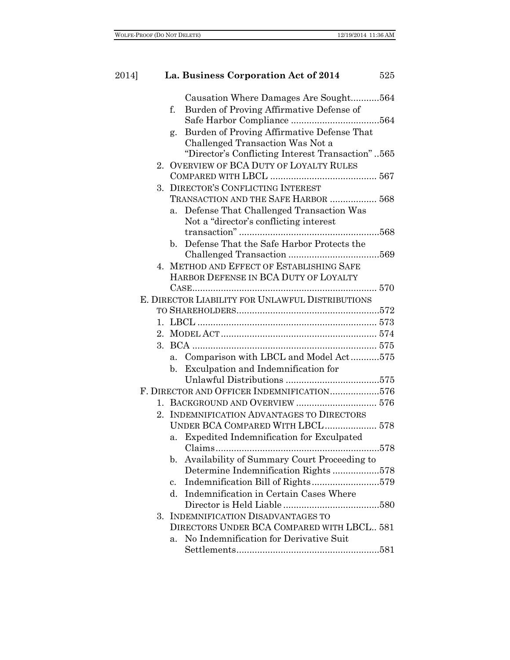| 2014] | La. Business Corporation Act of 2014                          | 525 |
|-------|---------------------------------------------------------------|-----|
|       | Causation Where Damages Are Sought564                         |     |
|       | Burden of Proving Affirmative Defense of<br>f.                |     |
|       |                                                               |     |
|       | Burden of Proving Affirmative Defense That<br>g.              |     |
|       | Challenged Transaction Was Not a                              |     |
|       | "Director's Conflicting Interest Transaction"565              |     |
|       | 2. OVERVIEW OF BCA DUTY OF LOYALTY RULES                      |     |
|       |                                                               |     |
|       | 3. DIRECTOR'S CONFLICTING INTEREST                            |     |
|       | TRANSACTION AND THE SAFE HARBOR  568                          |     |
|       | Defense That Challenged Transaction Was<br>a.                 |     |
|       | Not a "director's conflicting interest"                       |     |
|       |                                                               |     |
|       | b. Defense That the Safe Harbor Protects the                  |     |
|       |                                                               |     |
|       | 4. METHOD AND EFFECT OF ESTABLISHING SAFE                     |     |
|       | HARBOR DEFENSE IN BCA DUTY OF LOYALTY                         |     |
|       |                                                               |     |
|       | E. DIRECTOR LIABILITY FOR UNLAWFUL DISTRIBUTIONS              |     |
|       |                                                               |     |
|       |                                                               |     |
|       |                                                               |     |
|       |                                                               |     |
|       | a. Comparison with LBCL and Model Act575                      |     |
|       | Exculpation and Indemnification for<br>b.                     |     |
|       |                                                               |     |
|       | F. DIRECTOR AND OFFICER INDEMNIFICATION576                    |     |
|       |                                                               |     |
|       | 2. INDEMNIFICATION ADVANTAGES TO DIRECTORS                    |     |
|       | UNDER BCA COMPARED WITH LBCL 578                              |     |
|       | a. Expedited Indemnification for Exculpated                   |     |
|       |                                                               |     |
|       | Availability of Summary Court Proceeding to<br>$\mathbf{b}$ . |     |
|       | Determine Indemnification Rights578                           |     |
|       | Indemnification Bill of Rights579<br>$\mathbf{c}$ .           |     |
|       | Indemnification in Certain Cases Where<br>d.                  |     |
|       |                                                               |     |
|       | 3. INDEMNIFICATION DISADVANTAGES TO                           |     |
|       | DIRECTORS UNDER BCA COMPARED WITH LBCL 581                    |     |
|       | No Indemnification for Derivative Suit<br>a.                  |     |
|       |                                                               |     |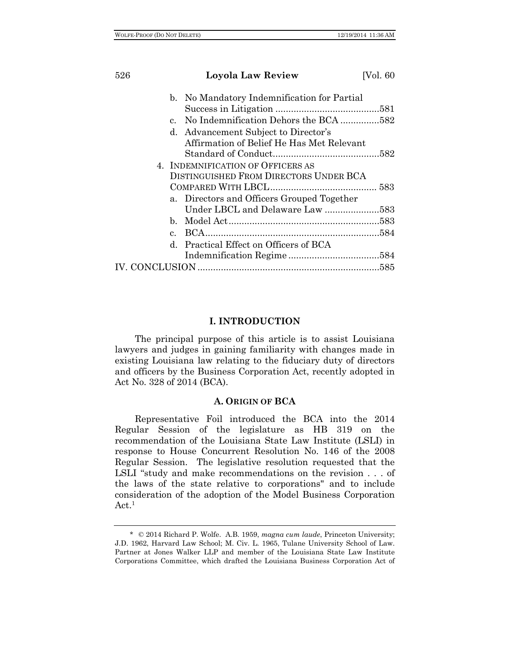| 526 |              | <b>Loyola Law Review</b>                    | [Vol. 60] |
|-----|--------------|---------------------------------------------|-----------|
|     |              | b. No Mandatory Indemnification for Partial |           |
|     |              |                                             |           |
|     | $\mathbf{c}$ | No Indemnification Dehors the BCA 582       |           |
|     |              | d. Advancement Subject to Director's        |           |
|     |              | Affirmation of Belief He Has Met Relevant   |           |
|     |              |                                             |           |
|     |              | 4. INDEMNIFICATION OF OFFICERS AS           |           |
|     |              | DISTINGUISHED FROM DIRECTORS UNDER BCA      |           |
|     |              |                                             |           |
|     |              | a. Directors and Officers Grouped Together  |           |
|     |              | Under LBCL and Delaware Law 583             |           |
|     |              |                                             |           |
|     | $c_{\cdot}$  |                                             |           |
|     | $d_{-}$      | Practical Effect on Officers of BCA         |           |
|     |              |                                             |           |
|     |              |                                             |           |

## **I. INTRODUCTION**

The principal purpose of this article is to assist Louisiana lawyers and judges in gaining familiarity with changes made in existing Louisiana law relating to the fiduciary duty of directors and officers by the Business Corporation Act, recently adopted in Act No. 328 of 2014 (BCA).

## **A. ORIGIN OF BCA**

Representative Foil introduced the BCA into the 2014 Regular Session of the legislature as HB 319 on the recommendation of the Louisiana State Law Institute (LSLI) in response to House Concurrent Resolution No. 146 of the 2008 Regular Session. The legislative resolution requested that the LSLI "study and make recommendations on the revision . . . of the laws of the state relative to corporations" and to include consideration of the adoption of the Model Business Corporation  $Act.<sup>1</sup>$ 

<sup>\*</sup> © 2014 Richard P. Wolfe. A.B. 1959, *magna cum laude*, Princeton University; J.D. 1962, Harvard Law School; M. Civ. L. 1965, Tulane University School of Law. Partner at Jones Walker LLP and member of the Louisiana State Law Institute Corporations Committee, which drafted the Louisiana Business Corporation Act of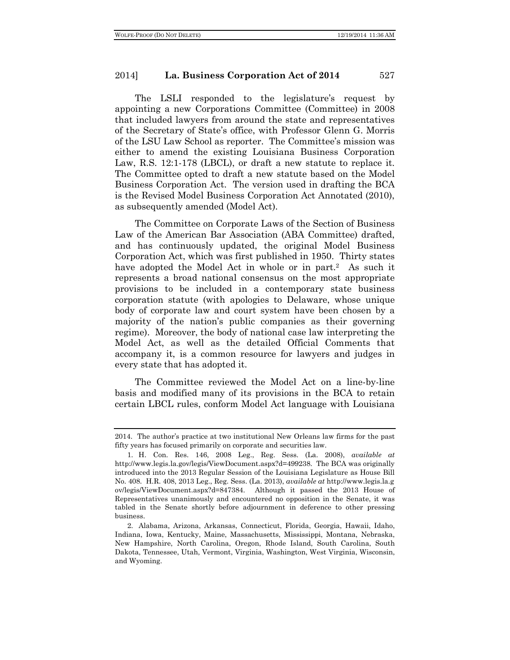The LSLI responded to the legislature's request by appointing a new Corporations Committee (Committee) in 2008 that included lawyers from around the state and representatives of the Secretary of State's office, with Professor Glenn G. Morris of the LSU Law School as reporter. The Committee's mission was either to amend the existing Louisiana Business Corporation Law, R.S. 12:1-178 (LBCL), or draft a new statute to replace it. The Committee opted to draft a new statute based on the Model Business Corporation Act. The version used in drafting the BCA is the Revised Model Business Corporation Act Annotated (2010), as subsequently amended (Model Act).

The Committee on Corporate Laws of the Section of Business Law of the American Bar Association (ABA Committee) drafted, and has continuously updated, the original Model Business Corporation Act, which was first published in 1950. Thirty states have adopted the Model Act in whole or in part.<sup>2</sup> As such it represents a broad national consensus on the most appropriate provisions to be included in a contemporary state business corporation statute (with apologies to Delaware, whose unique body of corporate law and court system have been chosen by a majority of the nation's public companies as their governing regime). Moreover, the body of national case law interpreting the Model Act, as well as the detailed Official Comments that accompany it, is a common resource for lawyers and judges in every state that has adopted it.

The Committee reviewed the Model Act on a line-by-line basis and modified many of its provisions in the BCA to retain certain LBCL rules, conform Model Act language with Louisiana

<sup>2014.</sup> The author's practice at two institutional New Orleans law firms for the past fifty years has focused primarily on corporate and securities law.

<sup>1.</sup> H. Con. Res. 146, 2008 Leg., Reg. Sess. (La. 2008), *available at*  http://www.legis.la.gov/legis/ViewDocument.aspx?d=499238. The BCA was originally introduced into the 2013 Regular Session of the Louisiana Legislature as House Bill No. 408. H.R. 408, 2013 Leg., Reg. Sess. (La. 2013), *available at* http://www.legis.la.g ov/legis/ViewDocument.aspx?d=847384. Although it passed the 2013 House of Representatives unanimously and encountered no opposition in the Senate, it was tabled in the Senate shortly before adjournment in deference to other pressing business.

<sup>2.</sup> Alabama, Arizona, Arkansas, Connecticut, Florida, Georgia, Hawaii, Idaho, Indiana, Iowa, Kentucky, Maine, Massachusetts, Mississippi, Montana, Nebraska, New Hampshire, North Carolina, Oregon, Rhode Island, South Carolina, South Dakota, Tennessee, Utah, Vermont, Virginia, Washington, West Virginia, Wisconsin, and Wyoming.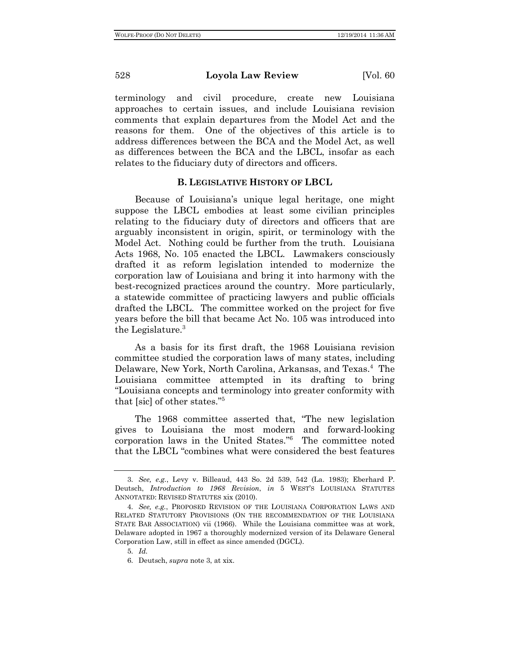terminology and civil procedure, create new Louisiana approaches to certain issues, and include Louisiana revision comments that explain departures from the Model Act and the reasons for them. One of the objectives of this article is to address differences between the BCA and the Model Act, as well as differences between the BCA and the LBCL, insofar as each relates to the fiduciary duty of directors and officers.

## **B. LEGISLATIVE HISTORY OF LBCL**

Because of Louisiana's unique legal heritage, one might suppose the LBCL embodies at least some civilian principles relating to the fiduciary duty of directors and officers that are arguably inconsistent in origin, spirit, or terminology with the Model Act. Nothing could be further from the truth. Louisiana Acts 1968, No. 105 enacted the LBCL. Lawmakers consciously drafted it as reform legislation intended to modernize the corporation law of Louisiana and bring it into harmony with the best-recognized practices around the country. More particularly, a statewide committee of practicing lawyers and public officials drafted the LBCL. The committee worked on the project for five years before the bill that became Act No. 105 was introduced into the Legislature.3

As a basis for its first draft, the 1968 Louisiana revision committee studied the corporation laws of many states, including Delaware, New York, North Carolina, Arkansas, and Texas.<sup>4</sup> The Louisiana committee attempted in its drafting to bring "Louisiana concepts and terminology into greater conformity with that [sic] of other states."5

The 1968 committee asserted that, "The new legislation gives to Louisiana the most modern and forward-looking corporation laws in the United States."6 The committee noted that the LBCL "combines what were considered the best features

5. *Id.*

<sup>3.</sup> *See, e.g.*, Levy v. Billeaud, 443 So. 2d 539, 542 (La. 1983); Eberhard P. Deutsch, *Introduction to 1968 Revision*, *in* 5 WEST'S LOUISIANA STATUTES ANNOTATED: REVISED STATUTES xix (2010).

<sup>4.</sup> *See, e.g.*, PROPOSED REVISION OF THE LOUISIANA CORPORATION LAWS AND RELATED STATUTORY PROVISIONS (ON THE RECOMMENDATION OF THE LOUISIANA STATE BAR ASSOCIATION) vii (1966). While the Louisiana committee was at work, Delaware adopted in 1967 a thoroughly modernized version of its Delaware General Corporation Law, still in effect as since amended (DGCL).

<sup>6.</sup> Deutsch, *supra* note 3, at xix.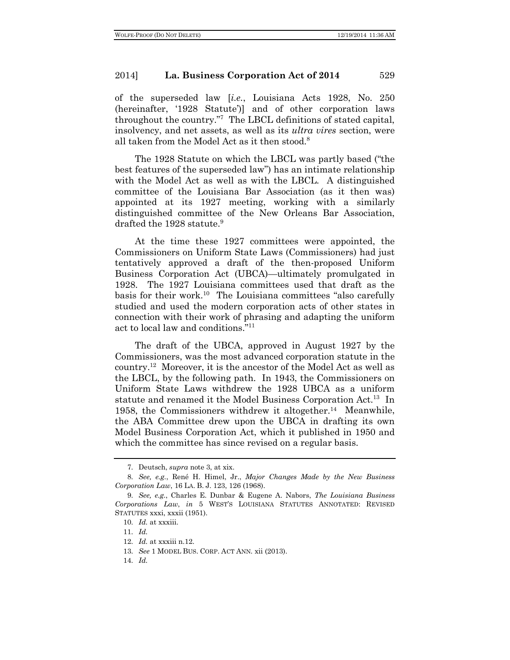of the superseded law [*i.e.*, Louisiana Acts 1928, No. 250 (hereinafter, '1928 Statute')] and of other corporation laws throughout the country."7 The LBCL definitions of stated capital, insolvency, and net assets, as well as its *ultra vires* section, were all taken from the Model Act as it then stood.<sup>8</sup>

The 1928 Statute on which the LBCL was partly based ("the best features of the superseded law") has an intimate relationship with the Model Act as well as with the LBCL. A distinguished committee of the Louisiana Bar Association (as it then was) appointed at its 1927 meeting, working with a similarly distinguished committee of the New Orleans Bar Association, drafted the 1928 statute.<sup>9</sup>

At the time these 1927 committees were appointed, the Commissioners on Uniform State Laws (Commissioners) had just tentatively approved a draft of the then-proposed Uniform Business Corporation Act (UBCA)—ultimately promulgated in 1928. The 1927 Louisiana committees used that draft as the basis for their work.<sup>10</sup> The Louisiana committees "also carefully studied and used the modern corporation acts of other states in connection with their work of phrasing and adapting the uniform act to local law and conditions."11

The draft of the UBCA, approved in August 1927 by the Commissioners, was the most advanced corporation statute in the country.12 Moreover, it is the ancestor of the Model Act as well as the LBCL, by the following path. In 1943, the Commissioners on Uniform State Laws withdrew the 1928 UBCA as a uniform statute and renamed it the Model Business Corporation Act.<sup>13</sup> In 1958, the Commissioners withdrew it altogether.14 Meanwhile, the ABA Committee drew upon the UBCA in drafting its own Model Business Corporation Act, which it published in 1950 and which the committee has since revised on a regular basis.

<sup>7.</sup> Deutsch, *supra* note 3, at xix.

<sup>8.</sup> *See, e.g.*, René H. Himel, Jr., *Major Changes Made by the New Business Corporation Law*, 16 LA. B. J. 123, 126 (1968).

<sup>9.</sup> *See, e.g.*, Charles E. Dunbar & Eugene A. Nabors, *The Louisiana Business Corporations Law*, *in* 5 WEST'S LOUISIANA STATUTES ANNOTATED: REVISED STATUTES xxxi, xxxii (1951).

<sup>10.</sup> *Id.* at xxxiii.

<sup>11.</sup> *Id.*

<sup>12.</sup> *Id.* at xxxiii n.12.

<sup>13.</sup> *See* 1 MODEL BUS. CORP. ACT ANN. xii (2013).

<sup>14.</sup> *Id.*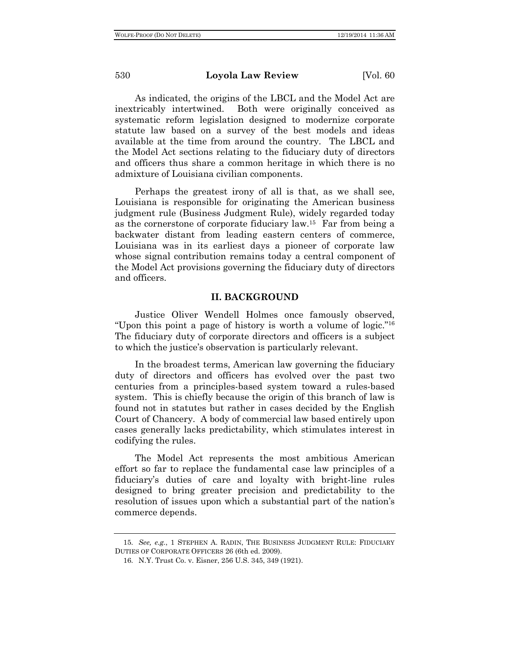As indicated, the origins of the LBCL and the Model Act are inextricably intertwined. Both were originally conceived as systematic reform legislation designed to modernize corporate statute law based on a survey of the best models and ideas available at the time from around the country. The LBCL and the Model Act sections relating to the fiduciary duty of directors and officers thus share a common heritage in which there is no admixture of Louisiana civilian components.

Perhaps the greatest irony of all is that, as we shall see, Louisiana is responsible for originating the American business judgment rule (Business Judgment Rule), widely regarded today as the cornerstone of corporate fiduciary law.15 Far from being a backwater distant from leading eastern centers of commerce, Louisiana was in its earliest days a pioneer of corporate law whose signal contribution remains today a central component of the Model Act provisions governing the fiduciary duty of directors and officers.

#### **II. BACKGROUND**

Justice Oliver Wendell Holmes once famously observed, "Upon this point a page of history is worth a volume of logic."16 The fiduciary duty of corporate directors and officers is a subject to which the justice's observation is particularly relevant.

In the broadest terms, American law governing the fiduciary duty of directors and officers has evolved over the past two centuries from a principles-based system toward a rules-based system. This is chiefly because the origin of this branch of law is found not in statutes but rather in cases decided by the English Court of Chancery. A body of commercial law based entirely upon cases generally lacks predictability, which stimulates interest in codifying the rules.

The Model Act represents the most ambitious American effort so far to replace the fundamental case law principles of a fiduciary's duties of care and loyalty with bright-line rules designed to bring greater precision and predictability to the resolution of issues upon which a substantial part of the nation's commerce depends.

<sup>15.</sup> *See, e.g.*, 1 STEPHEN A. RADIN, THE BUSINESS JUDGMENT RULE: FIDUCIARY DUTIES OF CORPORATE OFFICERS 26 (6th ed. 2009).

<sup>16.</sup> N.Y. Trust Co. v. Eisner, 256 U.S. 345, 349 (1921).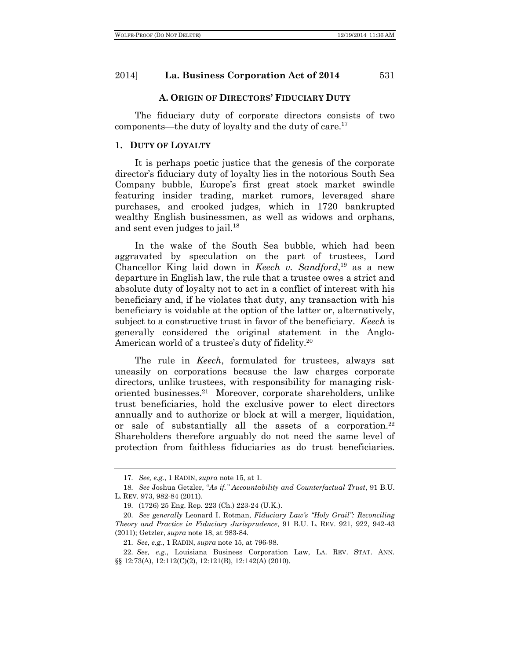#### **A. ORIGIN OF DIRECTORS' FIDUCIARY DUTY**

The fiduciary duty of corporate directors consists of two components—the duty of loyalty and the duty of care.17

#### **1. DUTY OF LOYALTY**

It is perhaps poetic justice that the genesis of the corporate director's fiduciary duty of loyalty lies in the notorious South Sea Company bubble, Europe's first great stock market swindle featuring insider trading, market rumors, leveraged share purchases, and crooked judges, which in 1720 bankrupted wealthy English businessmen, as well as widows and orphans, and sent even judges to jail.<sup>18</sup>

In the wake of the South Sea bubble, which had been aggravated by speculation on the part of trustees, Lord Chancellor King laid down in *Keech v. Sandford*, <sup>19</sup> as a new departure in English law, the rule that a trustee owes a strict and absolute duty of loyalty not to act in a conflict of interest with his beneficiary and, if he violates that duty, any transaction with his beneficiary is voidable at the option of the latter or, alternatively, subject to a constructive trust in favor of the beneficiary. *Keech* is generally considered the original statement in the Anglo-American world of a trustee's duty of fidelity.20

The rule in *Keech*, formulated for trustees, always sat uneasily on corporations because the law charges corporate directors, unlike trustees, with responsibility for managing riskoriented businesses.21 Moreover, corporate shareholders, unlike trust beneficiaries, hold the exclusive power to elect directors annually and to authorize or block at will a merger, liquidation, or sale of substantially all the assets of a corporation.22 Shareholders therefore arguably do not need the same level of protection from faithless fiduciaries as do trust beneficiaries.

<sup>17.</sup> *See, e.g.*, 1 RADIN, *supra* note 15, at 1.

<sup>18.</sup> *See* Joshua Getzler, "*As if." Accountability and Counterfactual Trust*, 91 B.U. L. REV. 973, 982-84 (2011).

<sup>19.</sup> (1726) 25 Eng. Rep. 223 (Ch.) 223-24 (U.K.).

<sup>20.</sup> *See generally* Leonard I. Rotman, *Fiduciary Law's "Holy Grail": Reconciling Theory and Practice in Fiduciary Jurisprudence*, 91 B.U. L. REV. 921, 922, 942-43 (2011); Getzler, *supra* note 18, at 983-84.

<sup>21.</sup> *See*, *e.g.*, 1 RADIN, *supra* note 15, at 796-98.

<sup>22.</sup> *See, e.g.*, Louisiana Business Corporation Law, LA. REV. STAT. ANN. §§ 12:73(A), 12:112(C)(2), 12:121(B), 12:142(A) (2010).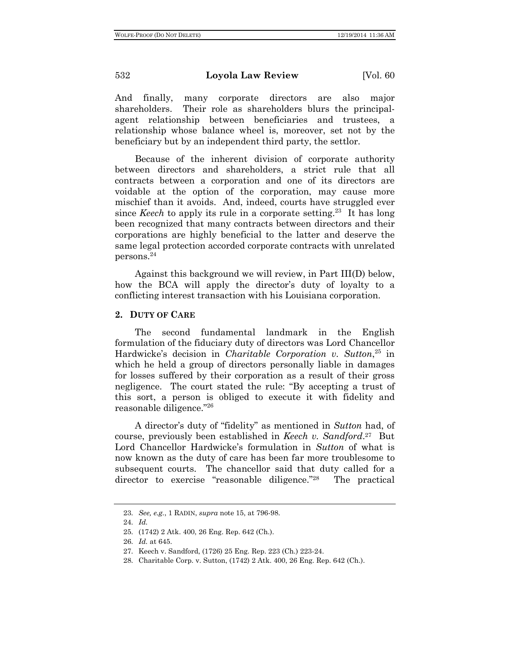And finally, many corporate directors are also major shareholders. Their role as shareholders blurs the principalagent relationship between beneficiaries and trustees, a relationship whose balance wheel is, moreover, set not by the beneficiary but by an independent third party, the settlor.

Because of the inherent division of corporate authority between directors and shareholders, a strict rule that all contracts between a corporation and one of its directors are voidable at the option of the corporation, may cause more mischief than it avoids. And, indeed, courts have struggled ever since *Keech* to apply its rule in a corporate setting.<sup>23</sup> It has long been recognized that many contracts between directors and their corporations are highly beneficial to the latter and deserve the same legal protection accorded corporate contracts with unrelated persons.24

Against this background we will review, in Part III(D) below, how the BCA will apply the director's duty of loyalty to a conflicting interest transaction with his Louisiana corporation.

## **2. DUTY OF CARE**

The second fundamental landmark in the English formulation of the fiduciary duty of directors was Lord Chancellor Hardwicke's decision in *Charitable Corporation v. Sutton*, <sup>25</sup> in which he held a group of directors personally liable in damages for losses suffered by their corporation as a result of their gross negligence. The court stated the rule: "By accepting a trust of this sort, a person is obliged to execute it with fidelity and reasonable diligence."26

A director's duty of "fidelity" as mentioned in *Sutton* had, of course, previously been established in *Keech v. Sandford*. 27 But Lord Chancellor Hardwicke's formulation in *Sutton* of what is now known as the duty of care has been far more troublesome to subsequent courts. The chancellor said that duty called for a director to exercise "reasonable diligence."28 The practical

<sup>23.</sup> *See, e.g.*, 1 RADIN, *supra* note 15, at 796-98.

<sup>24.</sup> *Id.*

<sup>25.</sup> (1742) 2 Atk. 400, 26 Eng. Rep. 642 (Ch.).

<sup>26.</sup> *Id.* at 645.

<sup>27.</sup> Keech v. Sandford, (1726) 25 Eng. Rep. 223 (Ch.) 223-24.

<sup>28.</sup> Charitable Corp. v. Sutton, (1742) 2 Atk. 400, 26 Eng. Rep. 642 (Ch.).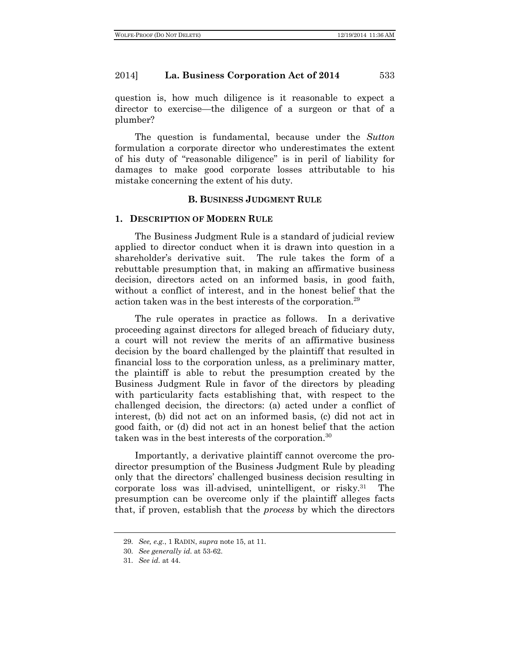question is, how much diligence is it reasonable to expect a director to exercise—the diligence of a surgeon or that of a plumber?

The question is fundamental, because under the *Sutton* formulation a corporate director who underestimates the extent of his duty of "reasonable diligence" is in peril of liability for damages to make good corporate losses attributable to his mistake concerning the extent of his duty.

#### **B. BUSINESS JUDGMENT RULE**

#### **1. DESCRIPTION OF MODERN RULE**

The Business Judgment Rule is a standard of judicial review applied to director conduct when it is drawn into question in a shareholder's derivative suit. The rule takes the form of a rebuttable presumption that, in making an affirmative business decision, directors acted on an informed basis, in good faith, without a conflict of interest, and in the honest belief that the action taken was in the best interests of the corporation.29

The rule operates in practice as follows. In a derivative proceeding against directors for alleged breach of fiduciary duty, a court will not review the merits of an affirmative business decision by the board challenged by the plaintiff that resulted in financial loss to the corporation unless, as a preliminary matter, the plaintiff is able to rebut the presumption created by the Business Judgment Rule in favor of the directors by pleading with particularity facts establishing that, with respect to the challenged decision, the directors: (a) acted under a conflict of interest, (b) did not act on an informed basis, (c) did not act in good faith, or (d) did not act in an honest belief that the action taken was in the best interests of the corporation.30

Importantly, a derivative plaintiff cannot overcome the prodirector presumption of the Business Judgment Rule by pleading only that the directors' challenged business decision resulting in corporate loss was ill-advised, unintelligent, or risky.31 The presumption can be overcome only if the plaintiff alleges facts that, if proven, establish that the *process* by which the directors

<sup>29.</sup> *See, e.g.*, 1 RADIN, *supra* note 15, at 11.

<sup>30.</sup> *See generally id.* at 53-62.

<sup>31.</sup> *See id.* at 44.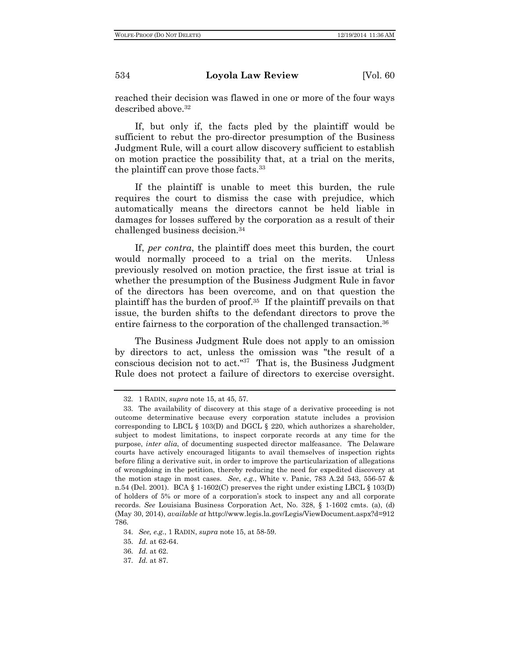reached their decision was flawed in one or more of the four ways described above.32

If, but only if, the facts pled by the plaintiff would be sufficient to rebut the pro-director presumption of the Business Judgment Rule, will a court allow discovery sufficient to establish on motion practice the possibility that, at a trial on the merits, the plaintiff can prove those facts.<sup>33</sup>

If the plaintiff is unable to meet this burden, the rule requires the court to dismiss the case with prejudice, which automatically means the directors cannot be held liable in damages for losses suffered by the corporation as a result of their challenged business decision.34

If, *per contra*, the plaintiff does meet this burden, the court would normally proceed to a trial on the merits. Unless previously resolved on motion practice, the first issue at trial is whether the presumption of the Business Judgment Rule in favor of the directors has been overcome, and on that question the plaintiff has the burden of proof.35 If the plaintiff prevails on that issue, the burden shifts to the defendant directors to prove the entire fairness to the corporation of the challenged transaction.<sup>36</sup>

The Business Judgment Rule does not apply to an omission by directors to act, unless the omission was "the result of a conscious decision not to act." $37$  That is, the Business Judgment Rule does not protect a failure of directors to exercise oversight.

<sup>32.</sup> 1 RADIN, *supra* note 15, at 45, 57.

<sup>33.</sup> The availability of discovery at this stage of a derivative proceeding is not outcome determinative because every corporation statute includes a provision corresponding to LBCL § 103(D) and DGCL § 220, which authorizes a shareholder, subject to modest limitations, to inspect corporate records at any time for the purpose, *inter alia*, of documenting suspected director malfeasance. The Delaware courts have actively encouraged litigants to avail themselves of inspection rights before filing a derivative suit, in order to improve the particularization of allegations of wrongdoing in the petition, thereby reducing the need for expedited discovery at the motion stage in most cases. *See*, *e.g.*, White v. Panic, 783 A.2d 543, 556-57 & n.54 (Del. 2001). BCA § 1-1602(C) preserves the right under existing LBCL § 103(D) of holders of 5% or more of a corporation's stock to inspect any and all corporate records. *See* Louisiana Business Corporation Act, No. 328, § 1-1602 cmts. (a), (d) (May 30, 2014), *available at* http://www.legis.la.gov/Legis/ViewDocument.aspx?d=912 786.

<sup>34.</sup> *See, e.g.*, 1 RADIN, *supra* note 15, at 58-59.

<sup>35.</sup> *Id.* at 62-64.

<sup>36.</sup> *Id.* at 62.

<sup>37.</sup> *Id.* at 87.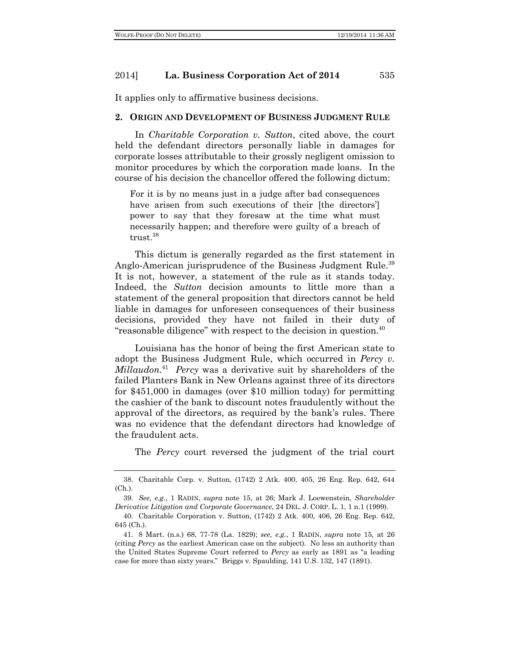It applies only to affirmative business decisions.

#### **2. ORIGIN AND DEVELOPMENT OF BUSINESS JUDGMENT RULE**

In *Charitable Corporation v. Sutton*, cited above, the court held the defendant directors personally liable in damages for corporate losses attributable to their grossly negligent omission to monitor procedures by which the corporation made loans. In the course of his decision the chancellor offered the following dictum:

For it is by no means just in a judge after bad consequences have arisen from such executions of their [the directors] power to say that they foresaw at the time what must necessarily happen; and therefore were guilty of a breach of trust.38

This dictum is generally regarded as the first statement in Anglo-American jurisprudence of the Business Judgment Rule.<sup>39</sup> It is not, however, a statement of the rule as it stands today. Indeed, the *Sutton* decision amounts to little more than a statement of the general proposition that directors cannot be held liable in damages for unforeseen consequences of their business decisions, provided they have not failed in their duty of "reasonable diligence" with respect to the decision in question.<sup>40</sup>

Louisiana has the honor of being the first American state to adopt the Business Judgment Rule, which occurred in *Percy v. Millaudon*. 41 *Percy* was a derivative suit by shareholders of the failed Planters Bank in New Orleans against three of its directors for \$451,000 in damages (over \$10 million today) for permitting the cashier of the bank to discount notes fraudulently without the approval of the directors, as required by the bank's rules. There was no evidence that the defendant directors had knowledge of the fraudulent acts.

The *Percy* court reversed the judgment of the trial court

<sup>38.</sup> Charitable Corp. v. Sutton, (1742) 2 Atk. 400, 405, 26 Eng. Rep. 642, 644 (Ch.).

<sup>39.</sup> *See, e.g.*, 1 RADIN, *supra* note 15, at 26; Mark J. Loewenstein, *Shareholder Derivative Litigation and Corporate Governance*, 24 DEL. J. CORP. L. 1, 1 n.1 (1999).

<sup>40.</sup> Charitable Corporation v. Sutton, (1742) 2 Atk. 400, 406, 26 Eng. Rep. 642, 645 (Ch.).

<sup>41.</sup> 8 Mart. (n.s.) 68, 77-78 (La. 1829); *see, e.g.*, 1 RADIN, *supra* note 15, at 26 (citing *Percy* as the earliest American case on the subject). No less an authority than the United States Supreme Court referred to *Percy* as early as 1891 as "a leading case for more than sixty years." Briggs v. Spaulding, 141 U.S. 132, 147 (1891).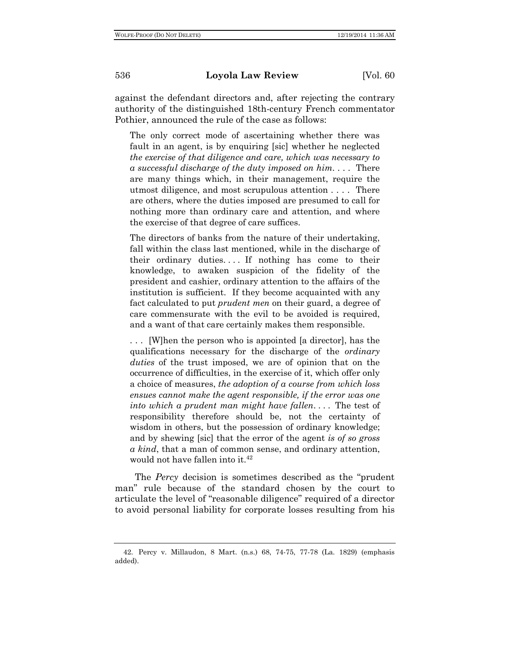against the defendant directors and, after rejecting the contrary authority of the distinguished 18th-century French commentator Pothier, announced the rule of the case as follows:

The only correct mode of ascertaining whether there was fault in an agent, is by enquiring [sic] whether he neglected *the exercise of that diligence and care, which was necessary to a successful discharge of the duty imposed on him*. . . . There are many things which, in their management, require the utmost diligence, and most scrupulous attention . . . . There are others, where the duties imposed are presumed to call for nothing more than ordinary care and attention, and where the exercise of that degree of care suffices.

The directors of banks from the nature of their undertaking, fall within the class last mentioned, while in the discharge of their ordinary duties. . . . If nothing has come to their knowledge, to awaken suspicion of the fidelity of the president and cashier, ordinary attention to the affairs of the institution is sufficient. If they become acquainted with any fact calculated to put *prudent men* on their guard, a degree of care commensurate with the evil to be avoided is required, and a want of that care certainly makes them responsible.

. . . [W]hen the person who is appointed [a director], has the qualifications necessary for the discharge of the *ordinary duties* of the trust imposed, we are of opinion that on the occurrence of difficulties, in the exercise of it, which offer only a choice of measures, *the adoption of a course from which loss ensues cannot make the agent responsible, if the error was one into which a prudent man might have fallen*. . . . The test of responsibility therefore should be, not the certainty of wisdom in others, but the possession of ordinary knowledge; and by shewing [sic] that the error of the agent *is of so gross a kind*, that a man of common sense, and ordinary attention, would not have fallen into it.<sup>42</sup>

The *Percy* decision is sometimes described as the "prudent man" rule because of the standard chosen by the court to articulate the level of "reasonable diligence" required of a director to avoid personal liability for corporate losses resulting from his

<sup>42.</sup> Percy v. Millaudon, 8 Mart. (n.s.) 68, 74-75, 77-78 (La. 1829) (emphasis added).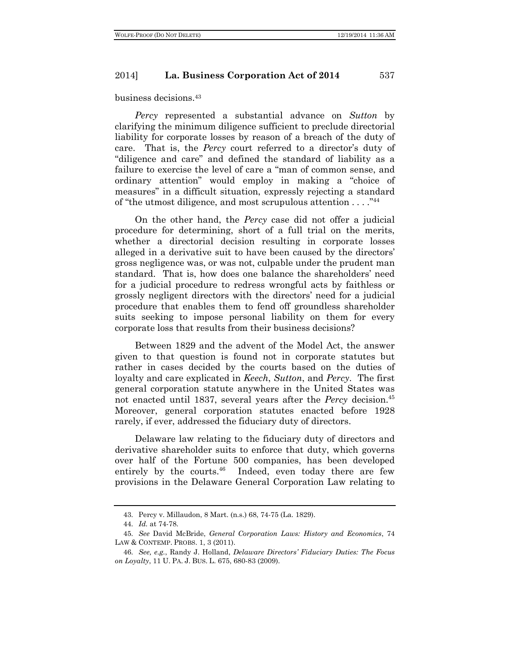business decisions.43

*Percy* represented a substantial advance on *Sutton* by clarifying the minimum diligence sufficient to preclude directorial liability for corporate losses by reason of a breach of the duty of care. That is, the *Percy* court referred to a director's duty of "diligence and care" and defined the standard of liability as a failure to exercise the level of care a "man of common sense, and ordinary attention" would employ in making a "choice of measures" in a difficult situation, expressly rejecting a standard of "the utmost diligence, and most scrupulous attention . . . . "44

On the other hand, the *Percy* case did not offer a judicial procedure for determining, short of a full trial on the merits, whether a directorial decision resulting in corporate losses alleged in a derivative suit to have been caused by the directors' gross negligence was, or was not, culpable under the prudent man standard. That is, how does one balance the shareholders' need for a judicial procedure to redress wrongful acts by faithless or grossly negligent directors with the directors' need for a judicial procedure that enables them to fend off groundless shareholder suits seeking to impose personal liability on them for every corporate loss that results from their business decisions?

Between 1829 and the advent of the Model Act, the answer given to that question is found not in corporate statutes but rather in cases decided by the courts based on the duties of loyalty and care explicated in *Keech*, *Sutton*, and *Percy*. The first general corporation statute anywhere in the United States was not enacted until 1837, several years after the *Percy* decision.45 Moreover, general corporation statutes enacted before 1928 rarely, if ever, addressed the fiduciary duty of directors.

Delaware law relating to the fiduciary duty of directors and derivative shareholder suits to enforce that duty, which governs over half of the Fortune 500 companies, has been developed entirely by the courts. $46$  Indeed, even today there are few provisions in the Delaware General Corporation Law relating to

<sup>43.</sup> Percy v. Millaudon, 8 Mart. (n.s.) 68, 74-75 (La. 1829).

<sup>44.</sup> *Id.* at 74-78.

<sup>45.</sup> *See* David McBride, *General Corporation Laws: History and Economics*, 74 LAW & CONTEMP. PROBS. 1, 3 (2011).

<sup>46.</sup> *See, e.g.*, Randy J. Holland, *Delaware Directors' Fiduciary Duties: The Focus on Loyalty*, 11 U. PA. J. BUS. L. 675, 680-83 (2009).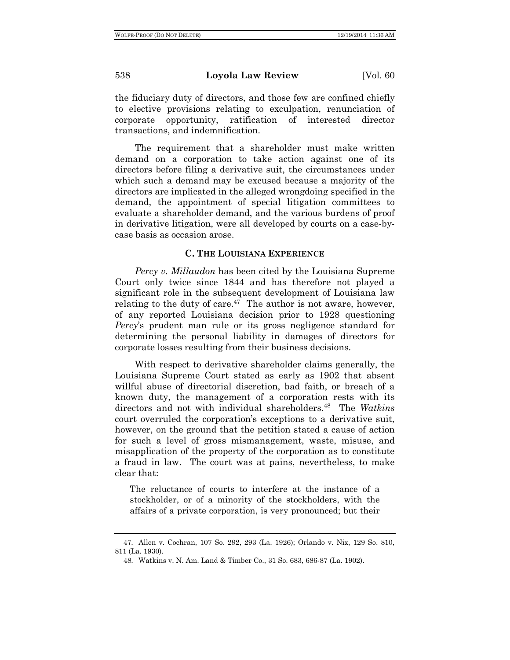the fiduciary duty of directors, and those few are confined chiefly to elective provisions relating to exculpation, renunciation of corporate opportunity, ratification of interested director transactions, and indemnification.

The requirement that a shareholder must make written demand on a corporation to take action against one of its directors before filing a derivative suit, the circumstances under which such a demand may be excused because a majority of the directors are implicated in the alleged wrongdoing specified in the demand, the appointment of special litigation committees to evaluate a shareholder demand, and the various burdens of proof in derivative litigation, were all developed by courts on a case-bycase basis as occasion arose.

#### **C. THE LOUISIANA EXPERIENCE**

*Percy v. Millaudon* has been cited by the Louisiana Supreme Court only twice since 1844 and has therefore not played a significant role in the subsequent development of Louisiana law relating to the duty of care. $47$  The author is not aware, however, of any reported Louisiana decision prior to 1928 questioning *Percy*'s prudent man rule or its gross negligence standard for determining the personal liability in damages of directors for corporate losses resulting from their business decisions.

With respect to derivative shareholder claims generally, the Louisiana Supreme Court stated as early as 1902 that absent willful abuse of directorial discretion, bad faith, or breach of a known duty, the management of a corporation rests with its directors and not with individual shareholders.48 The *Watkins* court overruled the corporation's exceptions to a derivative suit, however, on the ground that the petition stated a cause of action for such a level of gross mismanagement, waste, misuse, and misapplication of the property of the corporation as to constitute a fraud in law. The court was at pains, nevertheless, to make clear that:

The reluctance of courts to interfere at the instance of a stockholder, or of a minority of the stockholders, with the affairs of a private corporation, is very pronounced; but their

<sup>47.</sup> Allen v. Cochran, 107 So. 292, 293 (La. 1926); Orlando v. Nix, 129 So. 810, 811 (La. 1930).

<sup>48.</sup> Watkins v. N. Am. Land & Timber Co., 31 So. 683, 686-87 (La. 1902).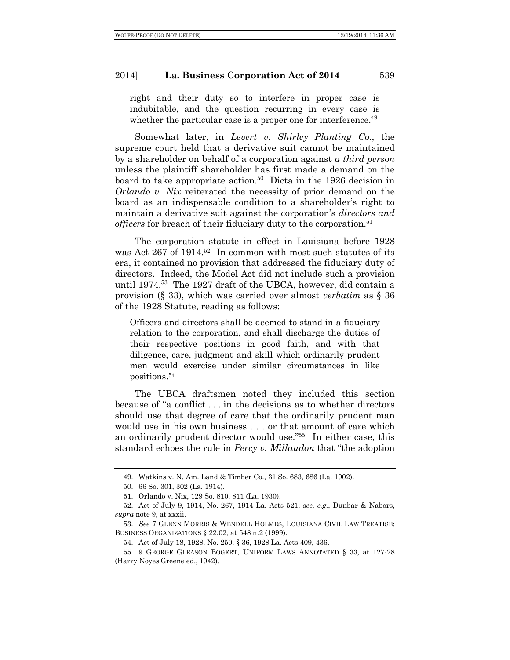right and their duty so to interfere in proper case is indubitable, and the question recurring in every case is whether the particular case is a proper one for interference.<sup>49</sup>

Somewhat later, in *Levert v. Shirley Planting Co.*, the supreme court held that a derivative suit cannot be maintained by a shareholder on behalf of a corporation against *a third person* unless the plaintiff shareholder has first made a demand on the board to take appropriate action.<sup>50</sup> Dicta in the 1926 decision in *Orlando v. Nix* reiterated the necessity of prior demand on the board as an indispensable condition to a shareholder's right to maintain a derivative suit against the corporation's *directors and officers* for breach of their fiduciary duty to the corporation.<sup>51</sup>

The corporation statute in effect in Louisiana before 1928 was Act 267 of 1914.52 In common with most such statutes of its era, it contained no provision that addressed the fiduciary duty of directors. Indeed, the Model Act did not include such a provision until 1974.53 The 1927 draft of the UBCA, however, did contain a provision (§ 33), which was carried over almost *verbatim* as § 36 of the 1928 Statute, reading as follows:

Officers and directors shall be deemed to stand in a fiduciary relation to the corporation, and shall discharge the duties of their respective positions in good faith, and with that diligence, care, judgment and skill which ordinarily prudent men would exercise under similar circumstances in like positions.54

The UBCA draftsmen noted they included this section because of "a conflict . . . in the decisions as to whether directors should use that degree of care that the ordinarily prudent man would use in his own business . . . or that amount of care which an ordinarily prudent director would use."55 In either case, this standard echoes the rule in *Percy v. Millaudon* that "the adoption

<sup>49.</sup> Watkins v. N. Am. Land & Timber Co., 31 So. 683, 686 (La. 1902).

<sup>50.</sup> 66 So. 301, 302 (La. 1914).

<sup>51.</sup> Orlando v. Nix, 129 So. 810, 811 (La. 1930).

<sup>52.</sup> Act of July 9, 1914, No. 267, 1914 La. Acts 521; s*ee, e.g.*, Dunbar & Nabors, *supra* note 9, at xxxii.

<sup>53.</sup> *See* 7 GLENN MORRIS & WENDELL HOLMES, LOUISIANA CIVIL LAW TREATISE: BUSINESS ORGANIZATIONS § 22.02, at 548 n.2 (1999).

<sup>54.</sup> Act of July 18, 1928, No. 250, § 36, 1928 La. Acts 409, 436.

<sup>55.</sup> 9 GEORGE GLEASON BOGERT, UNIFORM LAWS ANNOTATED § 33, at 127-28 (Harry Noyes Greene ed., 1942).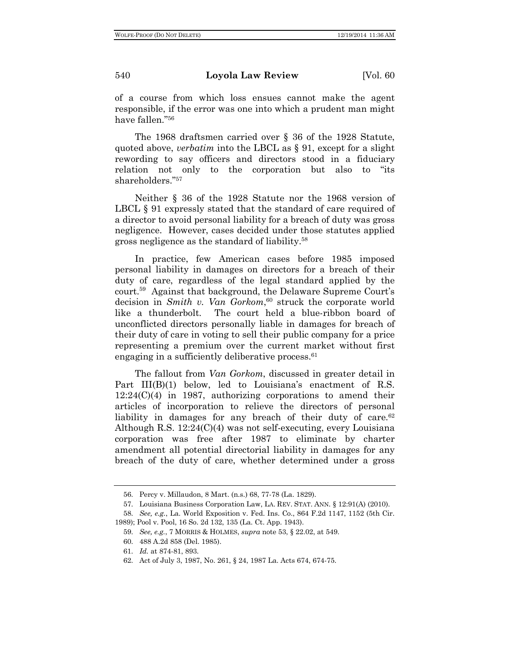of a course from which loss ensues cannot make the agent responsible, if the error was one into which a prudent man might have fallen."56

The 1968 draftsmen carried over § 36 of the 1928 Statute, quoted above, *verbatim* into the LBCL as § 91, except for a slight rewording to say officers and directors stood in a fiduciary relation not only to the corporation but also to "its shareholders."57

Neither § 36 of the 1928 Statute nor the 1968 version of LBCL  $\S 91$  expressly stated that the standard of care required of a director to avoid personal liability for a breach of duty was gross negligence. However, cases decided under those statutes applied gross negligence as the standard of liability.58

In practice, few American cases before 1985 imposed personal liability in damages on directors for a breach of their duty of care, regardless of the legal standard applied by the court.59 Against that background, the Delaware Supreme Court's decision in *Smith v. Van Gorkom*, <sup>60</sup> struck the corporate world like a thunderbolt. The court held a blue-ribbon board of unconflicted directors personally liable in damages for breach of their duty of care in voting to sell their public company for a price representing a premium over the current market without first engaging in a sufficiently deliberative process.<sup>61</sup>

The fallout from *Van Gorkom*, discussed in greater detail in Part III(B)(1) below, led to Louisiana's enactment of R.S. 12:24(C)(4) in 1987, authorizing corporations to amend their articles of incorporation to relieve the directors of personal liability in damages for any breach of their duty of care.<sup>62</sup> Although R.S. 12:24(C)(4) was not self-executing, every Louisiana corporation was free after 1987 to eliminate by charter amendment all potential directorial liability in damages for any breach of the duty of care, whether determined under a gross

59. *See, e.g.*, 7 MORRIS & HOLMES, *supra* note 53, § 22.02, at 549.

<sup>56.</sup> Percy v. Millaudon, 8 Mart. (n.s.) 68, 77-78 (La. 1829).

<sup>57.</sup> Louisiana Business Corporation Law, LA. REV. STAT. ANN. § 12:91(A) (2010).

<sup>58.</sup> *See, e.g.*, La. World Exposition v. Fed. Ins. Co., 864 F.2d 1147, 1152 (5th Cir. 1989); Pool v. Pool, 16 So. 2d 132, 135 (La. Ct. App. 1943).

<sup>60.</sup> 488 A.2d 858 (Del. 1985).

<sup>61.</sup> *Id.* at 874-81, 893.

<sup>62.</sup> Act of July 3, 1987, No. 261, § 24, 1987 La. Acts 674, 674-75.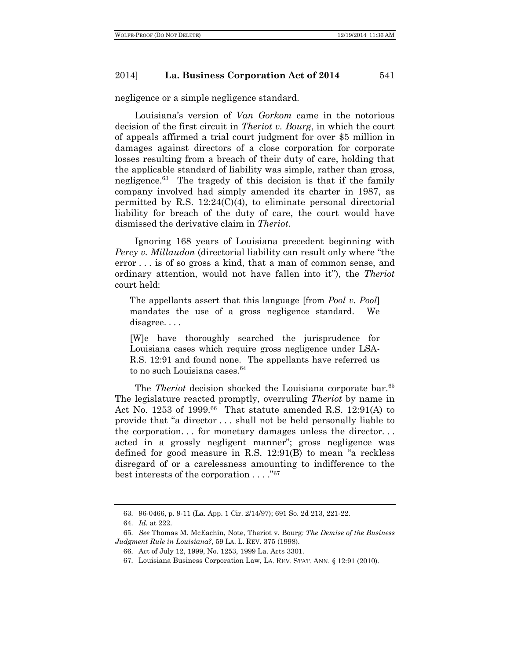negligence or a simple negligence standard.

Louisiana's version of *Van Gorkom* came in the notorious decision of the first circuit in *Theriot v. Bourg*, in which the court of appeals affirmed a trial court judgment for over \$5 million in damages against directors of a close corporation for corporate losses resulting from a breach of their duty of care, holding that the applicable standard of liability was simple, rather than gross, negligence.63 The tragedy of this decision is that if the family company involved had simply amended its charter in 1987, as permitted by R.S. 12:24(C)(4), to eliminate personal directorial liability for breach of the duty of care, the court would have dismissed the derivative claim in *Theriot*.

Ignoring 168 years of Louisiana precedent beginning with *Percy v. Millaudon* (directorial liability can result only where "the error . . . is of so gross a kind, that a man of common sense, and ordinary attention, would not have fallen into it"), the *Theriot* court held:

The appellants assert that this language [from *Pool v. Pool*] mandates the use of a gross negligence standard. We disagree....

[W]e have thoroughly searched the jurisprudence for Louisiana cases which require gross negligence under LSA-R.S. 12:91 and found none. The appellants have referred us to no such Louisiana cases.<sup>64</sup>

The *Theriot* decision shocked the Louisiana corporate bar.<sup>65</sup> The legislature reacted promptly, overruling *Theriot* by name in Act No. 1253 of 1999. $66$  That statute amended R.S. 12:91(A) to provide that "a director . . . shall not be held personally liable to the corporation. . . for monetary damages unless the director. . . acted in a grossly negligent manner"; gross negligence was defined for good measure in R.S. 12:91(B) to mean "a reckless disregard of or a carelessness amounting to indifference to the best interests of the corporation . . . ."67

<sup>63.</sup> 96-0466, p. 9-11 (La. App. 1 Cir. 2/14/97); 691 So. 2d 213, 221-22.

<sup>64.</sup> *Id.* at 222.

<sup>65.</sup> *See* Thomas M. McEachin, Note, Theriot v. Bourg*: The Demise of the Business Judgment Rule in Louisiana?*, 59 LA. L. REV. 375 (1998).

<sup>66.</sup> Act of July 12, 1999, No. 1253, 1999 La. Acts 3301.

<sup>67.</sup> Louisiana Business Corporation Law, LA. REV. STAT. ANN. § 12:91 (2010).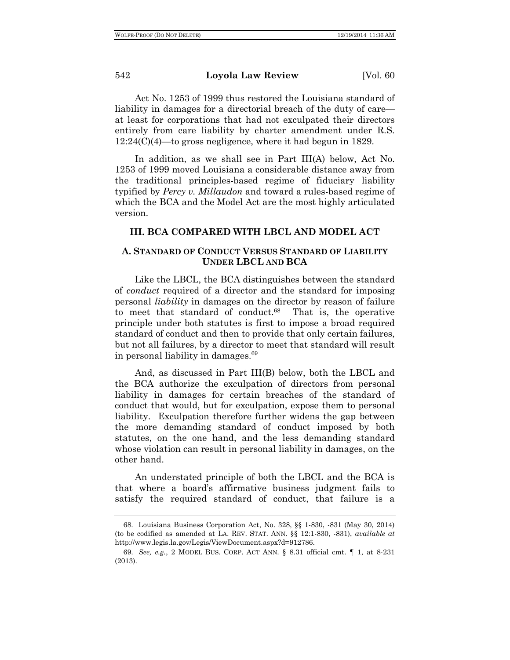Act No. 1253 of 1999 thus restored the Louisiana standard of liability in damages for a directorial breach of the duty of care at least for corporations that had not exculpated their directors entirely from care liability by charter amendment under R.S. 12:24(C)(4)—to gross negligence, where it had begun in 1829.

In addition, as we shall see in Part III(A) below, Act No. 1253 of 1999 moved Louisiana a considerable distance away from the traditional principles-based regime of fiduciary liability typified by *Percy v. Millaudon* and toward a rules-based regime of which the BCA and the Model Act are the most highly articulated version.

## **III. BCA COMPARED WITH LBCL AND MODEL ACT**

## **A. STANDARD OF CONDUCT VERSUS STANDARD OF LIABILITY UNDER LBCL AND BCA**

Like the LBCL, the BCA distinguishes between the standard of *conduct* required of a director and the standard for imposing personal *liability* in damages on the director by reason of failure to meet that standard of conduct.68 That is, the operative principle under both statutes is first to impose a broad required standard of conduct and then to provide that only certain failures, but not all failures, by a director to meet that standard will result in personal liability in damages.69

And, as discussed in Part III(B) below, both the LBCL and the BCA authorize the exculpation of directors from personal liability in damages for certain breaches of the standard of conduct that would, but for exculpation, expose them to personal liability. Exculpation therefore further widens the gap between the more demanding standard of conduct imposed by both statutes, on the one hand, and the less demanding standard whose violation can result in personal liability in damages, on the other hand.

An understated principle of both the LBCL and the BCA is that where a board's affirmative business judgment fails to satisfy the required standard of conduct, that failure is a

<sup>68.</sup> Louisiana Business Corporation Act, No. 328, §§ 1-830, -831 (May 30, 2014) (to be codified as amended at LA. REV. STAT. ANN. §§ 12:1-830, -831), *available at*  http://www.legis.la.gov/Legis/ViewDocument.aspx?d=912786.

<sup>69.</sup> *See, e.g.*, 2 MODEL BUS. CORP. ACT ANN. § 8.31 official cmt. ¶ 1, at 8-231 (2013).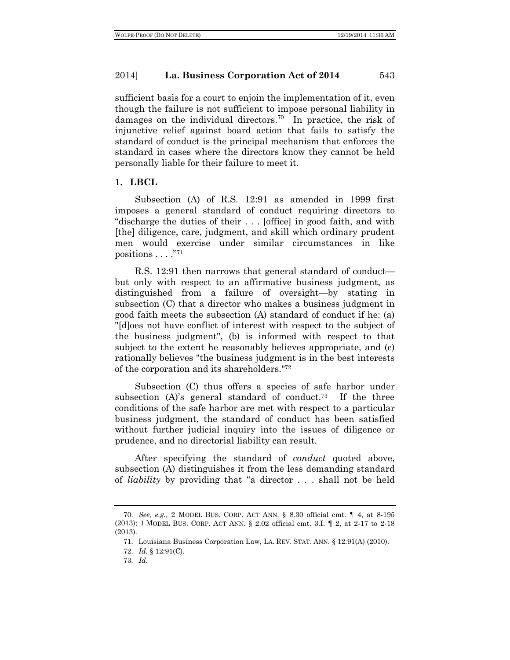sufficient basis for a court to enjoin the implementation of it, even though the failure is not sufficient to impose personal liability in damages on the individual directors.<sup>70</sup> In practice, the risk of injunctive relief against board action that fails to satisfy the standard of conduct is the principal mechanism that enforces the standard in cases where the directors know they cannot be held personally liable for their failure to meet it.

#### **1. LBCL**

Subsection (A) of R.S. 12:91 as amended in 1999 first imposes a general standard of conduct requiring directors to "discharge the duties of their . . . [office] in good faith, and with [the] diligence, care, judgment, and skill which ordinary prudent men would exercise under similar circumstances in like positions  $\ldots$ ."71

R.S. 12:91 then narrows that general standard of conduct but only with respect to an affirmative business judgment, as distinguished from a failure of oversight—by stating in subsection (C) that a director who makes a business judgment in good faith meets the subsection (A) standard of conduct if he: (a) "[d]oes not have conflict of interest with respect to the subject of the business judgment", (b) is informed with respect to that subject to the extent he reasonably believes appropriate, and (c) rationally believes "the business judgment is in the best interests of the corporation and its shareholders."72

Subsection (C) thus offers a species of safe harbor under subsection (A)'s general standard of conduct.73 If the three conditions of the safe harbor are met with respect to a particular business judgment, the standard of conduct has been satisfied without further judicial inquiry into the issues of diligence or prudence, and no directorial liability can result.

After specifying the standard of *conduct* quoted above, subsection (A) distinguishes it from the less demanding standard of *liability* by providing that "a director . . . shall not be held

71. Louisiana Business Corporation Law, LA. REV. STAT. ANN. § 12:91(A) (2010).

<sup>70.</sup> *See, e.g.*, 2 MODEL BUS. CORP. ACT ANN. § 8.30 official cmt. ¶ 4, at 8-195 (2013); 1 MODEL BUS. CORP. ACT ANN. § 2.02 official cmt. 3.I. ¶ 2, at 2-17 to 2-18 (2013).

<sup>72.</sup> *Id.* § 12:91(C).

<sup>73.</sup> *Id.*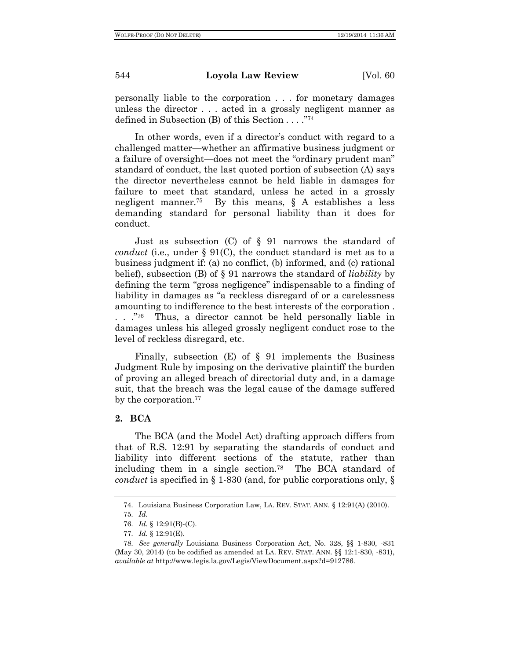personally liable to the corporation . . . for monetary damages unless the director . . . acted in a grossly negligent manner as defined in Subsection (B) of this Section . . . ."74

In other words, even if a director's conduct with regard to a challenged matter—whether an affirmative business judgment or a failure of oversight—does not meet the "ordinary prudent man" standard of conduct, the last quoted portion of subsection (A) says the director nevertheless cannot be held liable in damages for failure to meet that standard, unless he acted in a grossly negligent manner.<sup>75</sup> By this means,  $\delta$  A establishes a less demanding standard for personal liability than it does for conduct.

Just as subsection (C) of § 91 narrows the standard of *conduct* (i.e., under § 91(C), the conduct standard is met as to a business judgment if: (a) no conflict, (b) informed, and (c) rational belief), subsection (B) of § 91 narrows the standard of *liability* by defining the term "gross negligence" indispensable to a finding of liability in damages as "a reckless disregard of or a carelessness amounting to indifference to the best interests of the corporation . . . . . . . . . . Thus, a director cannot be held personally liable in damages unless his alleged grossly negligent conduct rose to the level of reckless disregard, etc.

Finally, subsection  $(E)$  of  $\S$  91 implements the Business Judgment Rule by imposing on the derivative plaintiff the burden of proving an alleged breach of directorial duty and, in a damage suit, that the breach was the legal cause of the damage suffered by the corporation.<sup>77</sup>

## **2. BCA**

The BCA (and the Model Act) drafting approach differs from that of R.S. 12:91 by separating the standards of conduct and liability into different sections of the statute, rather than including them in a single section.78 The BCA standard of *conduct* is specified in § 1-830 (and, for public corporations only, §

<sup>74.</sup> Louisiana Business Corporation Law, LA. REV. STAT. ANN. § 12:91(A) (2010).

<sup>75.</sup> *Id.*

<sup>76.</sup> *Id.* § 12:91(B)-(C).

<sup>77.</sup> *Id.* § 12:91(E).

<sup>78.</sup> *See generally* Louisiana Business Corporation Act, No. 328, §§ 1-830, -831 (May 30, 2014) (to be codified as amended at LA. REV. STAT. ANN. §§ 12:1-830, -831), *available at* http://www.legis.la.gov/Legis/ViewDocument.aspx?d=912786.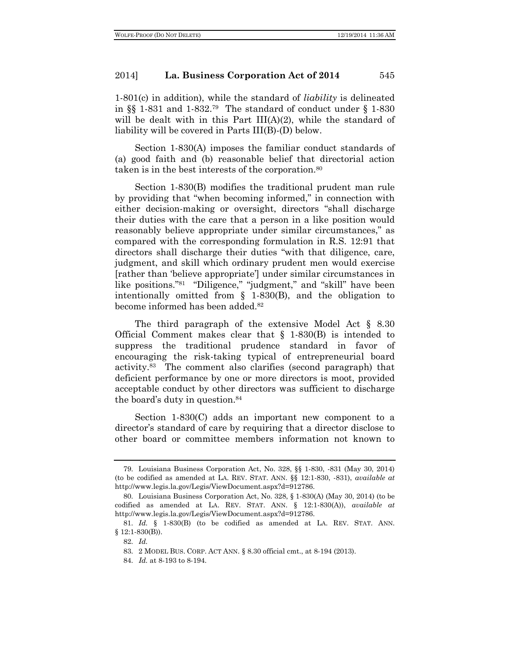1-801(c) in addition), while the standard of *liability* is delineated in  $\S$  1-831 and 1-832.<sup>79</sup> The standard of conduct under  $\S$  1-830 will be dealt with in this Part III(A)(2), while the standard of liability will be covered in Parts III(B)-(D) below.

Section 1-830(A) imposes the familiar conduct standards of (a) good faith and (b) reasonable belief that directorial action taken is in the best interests of the corporation.80

Section 1-830(B) modifies the traditional prudent man rule by providing that "when becoming informed," in connection with either decision-making or oversight, directors "shall discharge their duties with the care that a person in a like position would reasonably believe appropriate under similar circumstances," as compared with the corresponding formulation in R.S. 12:91 that directors shall discharge their duties "with that diligence, care, judgment, and skill which ordinary prudent men would exercise [rather than 'believe appropriate'] under similar circumstances in like positions."81 "Diligence," "judgment," and "skill" have been intentionally omitted from § 1-830(B), and the obligation to become informed has been added.<sup>82</sup>

The third paragraph of the extensive Model Act § 8.30 Official Comment makes clear that § 1-830(B) is intended to suppress the traditional prudence standard in favor of encouraging the risk-taking typical of entrepreneurial board activity.83 The comment also clarifies (second paragraph) that deficient performance by one or more directors is moot, provided acceptable conduct by other directors was sufficient to discharge the board's duty in question.84

Section 1-830(C) adds an important new component to a director's standard of care by requiring that a director disclose to other board or committee members information not known to

<sup>79.</sup> Louisiana Business Corporation Act, No. 328, §§ 1-830, -831 (May 30, 2014) (to be codified as amended at LA. REV. STAT. ANN. §§ 12:1-830, -831), *available at*  http://www.legis.la.gov/Legis/ViewDocument.aspx?d=912786.

<sup>80.</sup> Louisiana Business Corporation Act, No. 328, § 1-830(A) (May 30, 2014) (to be codified as amended at LA. REV. STAT. ANN. § 12:1-830(A)), *available at*  http://www.legis.la.gov/Legis/ViewDocument.aspx?d=912786.

<sup>81.</sup> *Id.* § 1-830(B) (to be codified as amended at LA. REV. STAT. ANN. § 12:1-830(B)).

<sup>82.</sup> *Id.*

<sup>83.</sup> 2 MODEL BUS. CORP. ACT ANN. § 8.30 official cmt., at 8-194 (2013).

<sup>84.</sup> *Id.* at 8-193 to 8-194.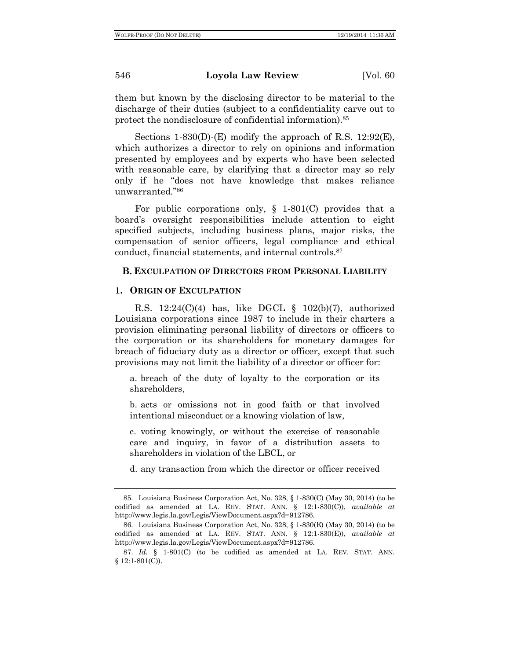them but known by the disclosing director to be material to the discharge of their duties (subject to a confidentiality carve out to protect the nondisclosure of confidential information).85

Sections 1-830(D)-(E) modify the approach of R.S. 12:92(E), which authorizes a director to rely on opinions and information presented by employees and by experts who have been selected with reasonable care, by clarifying that a director may so rely only if he "does not have knowledge that makes reliance unwarranted."86

For public corporations only,  $\S$  1-801(C) provides that a board's oversight responsibilities include attention to eight specified subjects, including business plans, major risks, the compensation of senior officers, legal compliance and ethical conduct, financial statements, and internal controls.87

## **B. EXCULPATION OF DIRECTORS FROM PERSONAL LIABILITY**

#### **1. ORIGIN OF EXCULPATION**

R.S.  $12:24(C)(4)$  has, like DGCL § 102(b)(7), authorized Louisiana corporations since 1987 to include in their charters a provision eliminating personal liability of directors or officers to the corporation or its shareholders for monetary damages for breach of fiduciary duty as a director or officer, except that such provisions may not limit the liability of a director or officer for:

a. breach of the duty of loyalty to the corporation or its shareholders,

b. acts or omissions not in good faith or that involved intentional misconduct or a knowing violation of law,

c. voting knowingly, or without the exercise of reasonable care and inquiry, in favor of a distribution assets to shareholders in violation of the LBCL, or

d. any transaction from which the director or officer received

<sup>85.</sup> Louisiana Business Corporation Act, No. 328, § 1-830(C) (May 30, 2014) (to be codified as amended at LA. REV. STAT. ANN. § 12:1-830(C)), *available at*  http://www.legis.la.gov/Legis/ViewDocument.aspx?d=912786.

<sup>86.</sup> Louisiana Business Corporation Act, No. 328, § 1-830(E) (May 30, 2014) (to be codified as amended at LA. REV. STAT. ANN. § 12:1-830(E)), *available at*  http://www.legis.la.gov/Legis/ViewDocument.aspx?d=912786.

<sup>87.</sup> *Id.* § 1-801(C) (to be codified as amended at LA. REV. STAT. ANN. § 12:1-801(C)).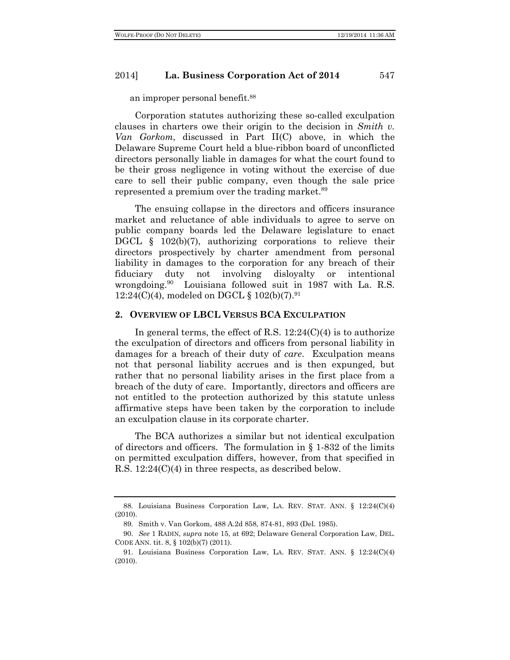an improper personal benefit.88

Corporation statutes authorizing these so-called exculpation clauses in charters owe their origin to the decision in *Smith v. Van Gorkom*, discussed in Part II(C) above, in which the Delaware Supreme Court held a blue-ribbon board of unconflicted directors personally liable in damages for what the court found to be their gross negligence in voting without the exercise of due care to sell their public company, even though the sale price represented a premium over the trading market.<sup>89</sup>

The ensuing collapse in the directors and officers insurance market and reluctance of able individuals to agree to serve on public company boards led the Delaware legislature to enact DGCL § 102(b)(7), authorizing corporations to relieve their directors prospectively by charter amendment from personal liability in damages to the corporation for any breach of their fiduciary duty not involving disloyalty or intentional wrongdoing.<sup>90</sup> Louisiana followed suit in 1987 with La. R.S.  $12:24(C)(4)$ , modeled on DGCL § 102(b)(7).<sup>91</sup>

#### **2. OVERVIEW OF LBCL VERSUS BCA EXCULPATION**

In general terms, the effect of R.S.  $12:24(C)(4)$  is to authorize the exculpation of directors and officers from personal liability in damages for a breach of their duty of *care*. Exculpation means not that personal liability accrues and is then expunged, but rather that no personal liability arises in the first place from a breach of the duty of care. Importantly, directors and officers are not entitled to the protection authorized by this statute unless affirmative steps have been taken by the corporation to include an exculpation clause in its corporate charter.

The BCA authorizes a similar but not identical exculpation of directors and officers. The formulation in § 1-832 of the limits on permitted exculpation differs, however, from that specified in R.S. 12:24(C)(4) in three respects, as described below.

<sup>88.</sup> Louisiana Business Corporation Law, LA. REV. STAT. ANN. § 12:24(C)(4) (2010).

<sup>89.</sup> Smith v. Van Gorkom, 488 A.2d 858, 874-81, 893 (Del. 1985).

<sup>90.</sup> *See* 1 RADIN, *supra* note 15, at 692; Delaware General Corporation Law, DEL. CODE ANN. tit. 8, § 102(b)(7) (2011).

<sup>91.</sup> Louisiana Business Corporation Law, LA. REV. STAT. ANN. § 12:24(C)(4) (2010).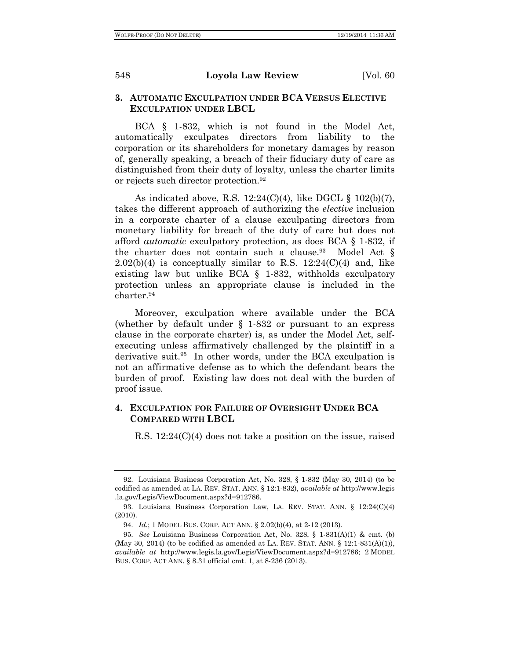## **3. AUTOMATIC EXCULPATION UNDER BCA VERSUS ELECTIVE EXCULPATION UNDER LBCL**

BCA § 1-832, which is not found in the Model Act, automatically exculpates directors from liability to the corporation or its shareholders for monetary damages by reason of, generally speaking, a breach of their fiduciary duty of care as distinguished from their duty of loyalty, unless the charter limits or rejects such director protection.92

As indicated above, R.S.  $12:24(C)(4)$ , like DGCL § 102(b)(7), takes the different approach of authorizing the *elective* inclusion in a corporate charter of a clause exculpating directors from monetary liability for breach of the duty of care but does not afford *automatic* exculpatory protection, as does BCA § 1-832, if the charter does not contain such a clause.<sup>93</sup> Model Act  $\S$  $2.02(b)(4)$  is conceptually similar to R.S. 12:24(C)(4) and, like existing law but unlike BCA § 1-832, withholds exculpatory protection unless an appropriate clause is included in the charter.94

Moreover, exculpation where available under the BCA (whether by default under § 1-832 or pursuant to an express clause in the corporate charter) is, as under the Model Act, selfexecuting unless affirmatively challenged by the plaintiff in a derivative suit.<sup>95</sup> In other words, under the BCA exculpation is not an affirmative defense as to which the defendant bears the burden of proof. Existing law does not deal with the burden of proof issue.

## **4. EXCULPATION FOR FAILURE OF OVERSIGHT UNDER BCA COMPARED WITH LBCL**

R.S. 12:24(C)(4) does not take a position on the issue, raised

<sup>92.</sup> Louisiana Business Corporation Act, No. 328, § 1-832 (May 30, 2014) (to be codified as amended at LA. REV. STAT. ANN. § 12:1-832), *available at* http://www.legis .la.gov/Legis/ViewDocument.aspx?d=912786.

<sup>93.</sup> Louisiana Business Corporation Law, LA. REV. STAT. ANN. § 12:24(C)(4) (2010).

<sup>94.</sup> *Id.*; 1 MODEL BUS. CORP. ACT ANN. § 2.02(b)(4), at 2-12 (2013).

<sup>95.</sup> *See* Louisiana Business Corporation Act, No. 328, § 1-831(A)(1) & cmt. (b) (May 30, 2014) (to be codified as amended at LA. REV. STAT. ANN.  $\S$  12:1-831(A)(1)), *available at* http://www.legis.la.gov/Legis/ViewDocument.aspx?d=912786; 2 MODEL BUS. CORP. ACT ANN. § 8.31 official cmt. 1, at 8-236 (2013).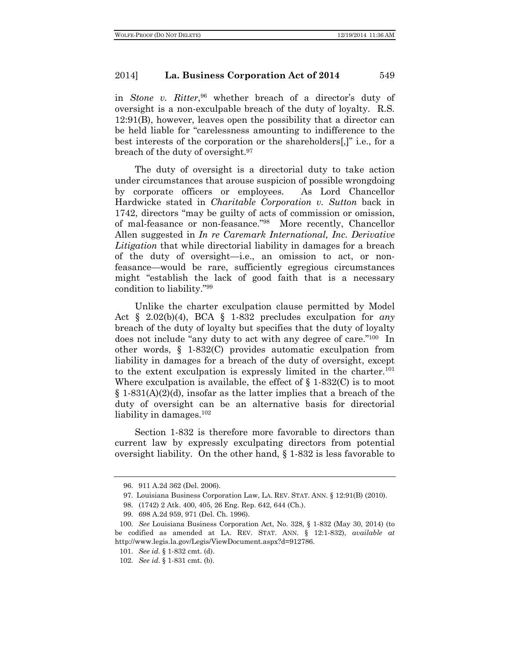in *Stone v. Ritter*, <sup>96</sup> whether breach of a director's duty of oversight is a non-exculpable breach of the duty of loyalty. R.S. 12:91(B), however, leaves open the possibility that a director can be held liable for "carelessness amounting to indifference to the best interests of the corporation or the shareholders[,]" i.e., for a breach of the duty of oversight.97

The duty of oversight is a directorial duty to take action under circumstances that arouse suspicion of possible wrongdoing by corporate officers or employees. As Lord Chancellor Hardwicke stated in *Charitable Corporation v. Sutton* back in 1742, directors "may be guilty of acts of commission or omission, of mal-feasance or non-feasance."98 More recently, Chancellor Allen suggested in *In re Caremark International, Inc. Derivative Litigation* that while directorial liability in damages for a breach of the duty of oversight—i.e., an omission to act, or nonfeasance—would be rare, sufficiently egregious circumstances might "establish the lack of good faith that is a necessary condition to liability."99

Unlike the charter exculpation clause permitted by Model Act § 2.02(b)(4), BCA § 1-832 precludes exculpation for *any* breach of the duty of loyalty but specifies that the duty of loyalty does not include "any duty to act with any degree of care."100 In other words, § 1-832(C) provides automatic exculpation from liability in damages for a breach of the duty of oversight, except to the extent exculpation is expressly limited in the charter.<sup>101</sup> Where exculpation is available, the effect of  $\S$  1-832(C) is to moot  $§ 1-831(A)(2)(d)$ , insofar as the latter implies that a breach of the duty of oversight can be an alternative basis for directorial liability in damages. $102$ 

Section 1-832 is therefore more favorable to directors than current law by expressly exculpating directors from potential oversight liability. On the other hand, § 1-832 is less favorable to

<sup>96.</sup> 911 A.2d 362 (Del. 2006).

<sup>97.</sup> Louisiana Business Corporation Law, LA. REV. STAT. ANN. § 12:91(B) (2010).

<sup>98.</sup> (1742) 2 Atk. 400, 405, 26 Eng. Rep. 642, 644 (Ch.).

<sup>99.</sup> 698 A.2d 959, 971 (Del. Ch. 1996).

<sup>100.</sup> *See* Louisiana Business Corporation Act, No. 328, § 1-832 (May 30, 2014) (to be codified as amended at LA. REV. STAT. ANN. § 12:1-832), *available at*  http://www.legis.la.gov/Legis/ViewDocument.aspx?d=912786.

<sup>101.</sup> *See id.* § 1-832 cmt. (d).

<sup>102.</sup> *See id.* § 1-831 cmt. (b).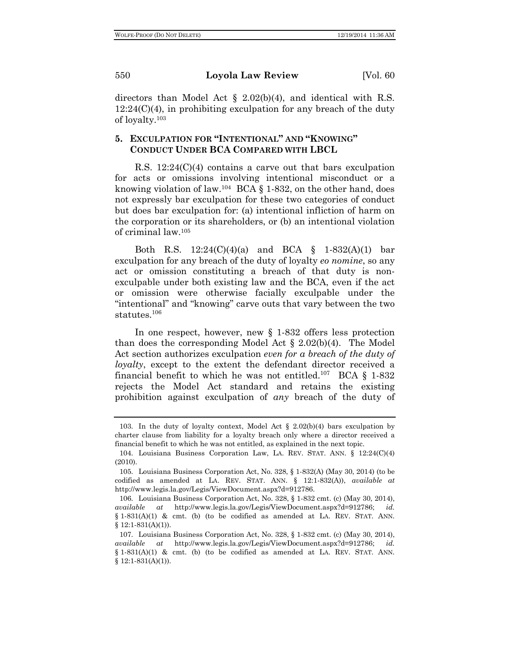directors than Model Act § 2.02(b)(4), and identical with R.S.  $12:24(C)(4)$ , in prohibiting exculpation for any breach of the duty of loyalty.103

## **5. EXCULPATION FOR "INTENTIONAL" AND "KNOWING" CONDUCT UNDER BCA COMPARED WITH LBCL**

R.S. 12:24(C)(4) contains a carve out that bars exculpation for acts or omissions involving intentional misconduct or a knowing violation of law.104 BCA § 1-832, on the other hand, does not expressly bar exculpation for these two categories of conduct but does bar exculpation for: (a) intentional infliction of harm on the corporation or its shareholders, or (b) an intentional violation of criminal law.105

Both R.S. 12:24(C)(4)(a) and BCA § 1-832(A)(1) bar exculpation for any breach of the duty of loyalty *eo nomine*, so any act or omission constituting a breach of that duty is nonexculpable under both existing law and the BCA, even if the act or omission were otherwise facially exculpable under the "intentional" and "knowing" carve outs that vary between the two statutes.106

In one respect, however, new § 1-832 offers less protection than does the corresponding Model Act  $\S 2.02(b)(4)$ . The Model Act section authorizes exculpation *even for a breach of the duty of loyalty*, except to the extent the defendant director received a financial benefit to which he was not entitled.<sup>107</sup> BCA § 1-832 rejects the Model Act standard and retains the existing prohibition against exculpation of *any* breach of the duty of

<sup>103.</sup> In the duty of loyalty context, Model Act § 2.02(b)(4) bars exculpation by charter clause from liability for a loyalty breach only where a director received a financial benefit to which he was not entitled, as explained in the next topic.

<sup>104.</sup> Louisiana Business Corporation Law, LA. REV. STAT. ANN. § 12:24(C)(4) (2010).

<sup>105.</sup> Louisiana Business Corporation Act, No. 328, § 1-832(A) (May 30, 2014) (to be codified as amended at LA. REV. STAT. ANN. § 12:1-832(A)), *available at*  http://www.legis.la.gov/Legis/ViewDocument.aspx?d=912786.

<sup>106.</sup> Louisiana Business Corporation Act, No. 328, § 1-832 cmt. (c) (May 30, 2014), *available at* http://www.legis.la.gov/Legis/ViewDocument.aspx?d=912786; *id.*  $§ 1-831(A)(1) \&$  cmt. (b) (to be codified as amended at LA. REV. STAT. ANN.  $§ 12:1-831(A)(1)).$ 

<sup>107.</sup> Louisiana Business Corporation Act, No. 328, § 1-832 cmt. (c) (May 30, 2014), *available at* http://www.legis.la.gov/Legis/ViewDocument.aspx?d=912786; *id.* § 1-831(A)(1) & cmt. (b) (to be codified as amended at LA. REV. STAT. ANN.  $$12:1-831(A)(1)).$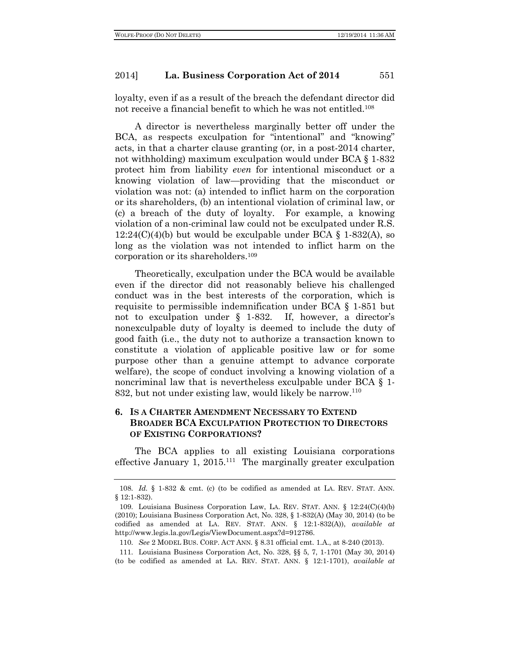loyalty, even if as a result of the breach the defendant director did not receive a financial benefit to which he was not entitled.108

A director is nevertheless marginally better off under the BCA, as respects exculpation for "intentional" and "knowing" acts, in that a charter clause granting (or, in a post-2014 charter, not withholding) maximum exculpation would under BCA § 1-832 protect him from liability *even* for intentional misconduct or a knowing violation of law—providing that the misconduct or violation was not: (a) intended to inflict harm on the corporation or its shareholders, (b) an intentional violation of criminal law, or (c) a breach of the duty of loyalty. For example, a knowing violation of a non-criminal law could not be exculpated under R.S.  $12:24(C)(4)(b)$  but would be exculpable under BCA  $\S$  1-832(A), so long as the violation was not intended to inflict harm on the corporation or its shareholders.109

Theoretically, exculpation under the BCA would be available even if the director did not reasonably believe his challenged conduct was in the best interests of the corporation, which is requisite to permissible indemnification under BCA § 1-851 but not to exculpation under § 1-832. If, however, a director's nonexculpable duty of loyalty is deemed to include the duty of good faith (i.e., the duty not to authorize a transaction known to constitute a violation of applicable positive law or for some purpose other than a genuine attempt to advance corporate welfare), the scope of conduct involving a knowing violation of a noncriminal law that is nevertheless exculpable under BCA § 1- 832, but not under existing law, would likely be narrow.<sup>110</sup>

## **6. IS A CHARTER AMENDMENT NECESSARY TO EXTEND BROADER BCA EXCULPATION PROTECTION TO DIRECTORS OF EXISTING CORPORATIONS?**

The BCA applies to all existing Louisiana corporations effective January 1, 2015.<sup>111</sup> The marginally greater exculpation

<sup>108.</sup> *Id.* § 1-832 & cmt. (c) (to be codified as amended at LA. REV. STAT. ANN. § 12:1-832).

<sup>109.</sup> Louisiana Business Corporation Law, LA. REV. STAT. ANN. § 12:24(C)(4)(b) (2010); Louisiana Business Corporation Act, No. 328, § 1-832(A) (May 30, 2014) (to be codified as amended at LA. REV. STAT. ANN. § 12:1-832(A)), *available at*  http://www.legis.la.gov/Legis/ViewDocument.aspx?d=912786.

<sup>110.</sup> *See* 2 MODEL BUS. CORP. ACT ANN. § 8.31 official cmt. 1.A., at 8-240 (2013).

<sup>111.</sup> Louisiana Business Corporation Act, No. 328, §§ 5, 7, 1-1701 (May 30, 2014) (to be codified as amended at LA. REV. STAT. ANN. § 12:1-1701), *available at*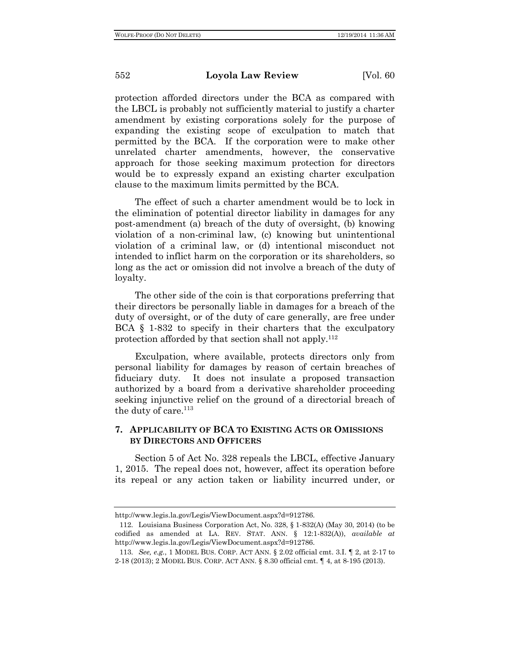protection afforded directors under the BCA as compared with the LBCL is probably not sufficiently material to justify a charter amendment by existing corporations solely for the purpose of expanding the existing scope of exculpation to match that permitted by the BCA. If the corporation were to make other unrelated charter amendments, however, the conservative approach for those seeking maximum protection for directors would be to expressly expand an existing charter exculpation clause to the maximum limits permitted by the BCA.

The effect of such a charter amendment would be to lock in the elimination of potential director liability in damages for any post-amendment (a) breach of the duty of oversight, (b) knowing violation of a non-criminal law, (c) knowing but unintentional violation of a criminal law, or (d) intentional misconduct not intended to inflict harm on the corporation or its shareholders, so long as the act or omission did not involve a breach of the duty of loyalty.

The other side of the coin is that corporations preferring that their directors be personally liable in damages for a breach of the duty of oversight, or of the duty of care generally, are free under BCA § 1-832 to specify in their charters that the exculpatory protection afforded by that section shall not apply.112

Exculpation, where available, protects directors only from personal liability for damages by reason of certain breaches of fiduciary duty. It does not insulate a proposed transaction authorized by a board from a derivative shareholder proceeding seeking injunctive relief on the ground of a directorial breach of the duty of care. $113$ 

## **7. APPLICABILITY OF BCA TO EXISTING ACTS OR OMISSIONS BY DIRECTORS AND OFFICERS**

Section 5 of Act No. 328 repeals the LBCL, effective January 1, 2015. The repeal does not, however, affect its operation before its repeal or any action taken or liability incurred under, or

http://www.legis.la.gov/Legis/ViewDocument.aspx?d=912786.

<sup>112.</sup> Louisiana Business Corporation Act, No. 328, § 1-832(A) (May 30, 2014) (to be codified as amended at LA. REV. STAT. ANN. § 12:1-832(A)), *available at*  http://www.legis.la.gov/Legis/ViewDocument.aspx?d=912786.

<sup>113.</sup> *See, e.g.*, 1 MODEL BUS. CORP. ACT ANN. § 2.02 official cmt. 3.I. ¶ 2, at 2-17 to 2-18 (2013); 2 MODEL BUS. CORP. ACT ANN. § 8.30 official cmt. ¶ 4, at 8-195 (2013).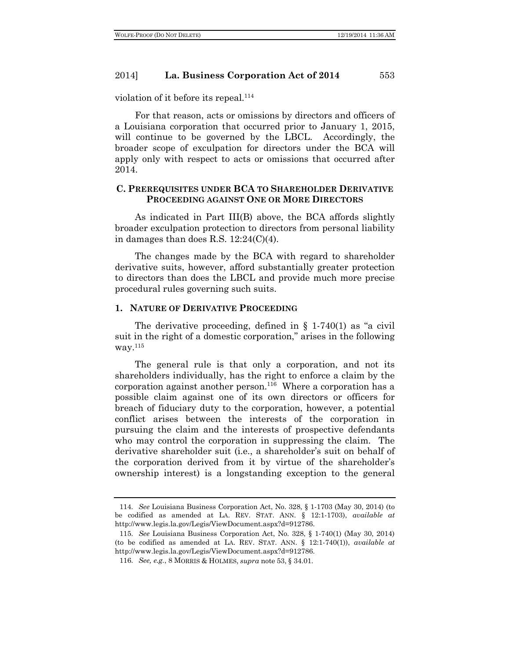violation of it before its repeal.<sup>114</sup>

For that reason, acts or omissions by directors and officers of a Louisiana corporation that occurred prior to January 1, 2015, will continue to be governed by the LBCL. Accordingly, the broader scope of exculpation for directors under the BCA will apply only with respect to acts or omissions that occurred after 2014.

## **C. PREREQUISITES UNDER BCA TO SHAREHOLDER DERIVATIVE PROCEEDING AGAINST ONE OR MORE DIRECTORS**

As indicated in Part III(B) above, the BCA affords slightly broader exculpation protection to directors from personal liability in damages than does R.S. 12:24(C)(4).

The changes made by the BCA with regard to shareholder derivative suits, however, afford substantially greater protection to directors than does the LBCL and provide much more precise procedural rules governing such suits.

#### **1. NATURE OF DERIVATIVE PROCEEDING**

The derivative proceeding, defined in  $\S$  1-740(1) as "a civil suit in the right of a domestic corporation," arises in the following way.115

The general rule is that only a corporation, and not its shareholders individually, has the right to enforce a claim by the corporation against another person.<sup>116</sup> Where a corporation has a possible claim against one of its own directors or officers for breach of fiduciary duty to the corporation, however, a potential conflict arises between the interests of the corporation in pursuing the claim and the interests of prospective defendants who may control the corporation in suppressing the claim. The derivative shareholder suit (i.e., a shareholder's suit on behalf of the corporation derived from it by virtue of the shareholder's ownership interest) is a longstanding exception to the general

<sup>114.</sup> *See* Louisiana Business Corporation Act, No. 328, § 1-1703 (May 30, 2014) (to be codified as amended at LA. REV. STAT. ANN. § 12:1-1703), *available at*  http://www.legis.la.gov/Legis/ViewDocument.aspx?d=912786.

<sup>115.</sup> *See* Louisiana Business Corporation Act, No. 328, § 1-740(1) (May 30, 2014) (to be codified as amended at LA. REV. STAT. ANN. § 12:1-740(1)), *available at*  http://www.legis.la.gov/Legis/ViewDocument.aspx?d=912786.

<sup>116.</sup> *See, e.g.*, 8 MORRIS & HOLMES, *supra* note 53, § 34.01.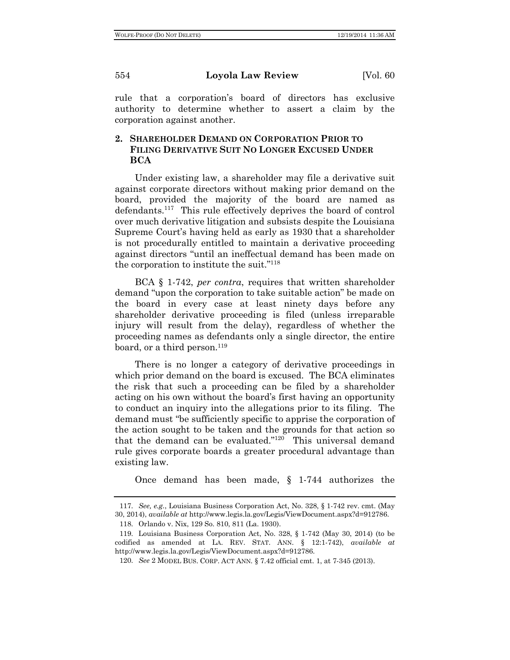rule that a corporation's board of directors has exclusive authority to determine whether to assert a claim by the corporation against another.

## **2. SHAREHOLDER DEMAND ON CORPORATION PRIOR TO FILING DERIVATIVE SUIT NO LONGER EXCUSED UNDER BCA**

Under existing law, a shareholder may file a derivative suit against corporate directors without making prior demand on the board, provided the majority of the board are named as defendants.117 This rule effectively deprives the board of control over much derivative litigation and subsists despite the Louisiana Supreme Court's having held as early as 1930 that a shareholder is not procedurally entitled to maintain a derivative proceeding against directors "until an ineffectual demand has been made on the corporation to institute the suit."118

BCA § 1-742, *per contra*, requires that written shareholder demand "upon the corporation to take suitable action" be made on the board in every case at least ninety days before any shareholder derivative proceeding is filed (unless irreparable injury will result from the delay), regardless of whether the proceeding names as defendants only a single director, the entire board, or a third person.<sup>119</sup>

There is no longer a category of derivative proceedings in which prior demand on the board is excused. The BCA eliminates the risk that such a proceeding can be filed by a shareholder acting on his own without the board's first having an opportunity to conduct an inquiry into the allegations prior to its filing. The demand must "be sufficiently specific to apprise the corporation of the action sought to be taken and the grounds for that action so that the demand can be evaluated." $120$  This universal demand rule gives corporate boards a greater procedural advantage than existing law.

Once demand has been made, § 1-744 authorizes the

<sup>117.</sup> *See, e.g.*, Louisiana Business Corporation Act, No. 328, § 1-742 rev. cmt. (May 30, 2014), *available at* http://www.legis.la.gov/Legis/ViewDocument.aspx?d=912786.

<sup>118.</sup> Orlando v. Nix, 129 So. 810, 811 (La. 1930).

<sup>119.</sup> Louisiana Business Corporation Act, No. 328, § 1-742 (May 30, 2014) (to be codified as amended at LA. REV. STAT. ANN. § 12:1-742), *available at*  http://www.legis.la.gov/Legis/ViewDocument.aspx?d=912786.

<sup>120.</sup> *See* 2 MODEL BUS. CORP. ACT ANN. § 7.42 official cmt. 1, at 7-345 (2013).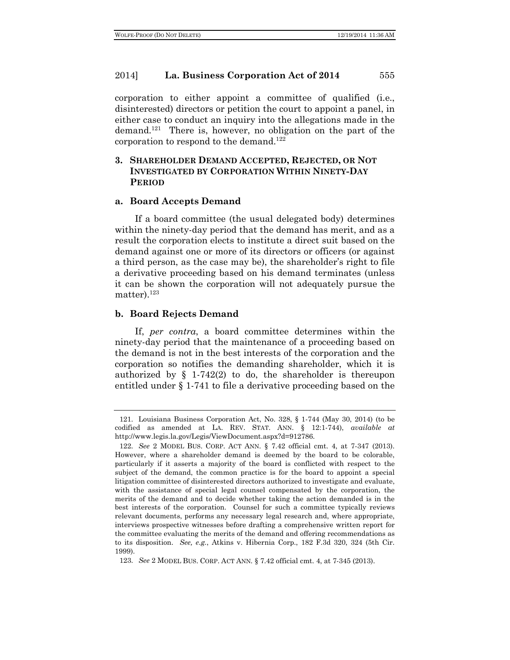corporation to either appoint a committee of qualified (i.e., disinterested) directors or petition the court to appoint a panel, in either case to conduct an inquiry into the allegations made in the demand.<sup>121</sup> There is, however, no obligation on the part of the corporation to respond to the demand.<sup>122</sup>

## **3. SHAREHOLDER DEMAND ACCEPTED, REJECTED, OR NOT INVESTIGATED BY CORPORATION WITHIN NINETY-DAY PERIOD**

## **a. Board Accepts Demand**

If a board committee (the usual delegated body) determines within the ninety-day period that the demand has merit, and as a result the corporation elects to institute a direct suit based on the demand against one or more of its directors or officers (or against a third person, as the case may be), the shareholder's right to file a derivative proceeding based on his demand terminates (unless it can be shown the corporation will not adequately pursue the matter). $123$ 

## **b. Board Rejects Demand**

If, *per contra*, a board committee determines within the ninety-day period that the maintenance of a proceeding based on the demand is not in the best interests of the corporation and the corporation so notifies the demanding shareholder, which it is authorized by  $\S$  1-742(2) to do, the shareholder is thereupon entitled under § 1-741 to file a derivative proceeding based on the

<sup>121.</sup> Louisiana Business Corporation Act, No. 328, § 1-744 (May 30, 2014) (to be codified as amended at LA. REV. STAT. ANN. § 12:1-744), *available at*  http://www.legis.la.gov/Legis/ViewDocument.aspx?d=912786.

<sup>122.</sup> *See* 2 MODEL BUS. CORP. ACT ANN. § 7.42 official cmt. 4, at 7-347 (2013). However, where a shareholder demand is deemed by the board to be colorable, particularly if it asserts a majority of the board is conflicted with respect to the subject of the demand, the common practice is for the board to appoint a special litigation committee of disinterested directors authorized to investigate and evaluate, with the assistance of special legal counsel compensated by the corporation, the merits of the demand and to decide whether taking the action demanded is in the best interests of the corporation. Counsel for such a committee typically reviews relevant documents, performs any necessary legal research and, where appropriate, interviews prospective witnesses before drafting a comprehensive written report for the committee evaluating the merits of the demand and offering recommendations as to its disposition. *See, e.g.*, Atkins v. Hibernia Corp., 182 F.3d 320, 324 (5th Cir. 1999).

<sup>123.</sup> *See* 2 MODEL BUS. CORP. ACT ANN. § 7.42 official cmt. 4, at 7-345 (2013).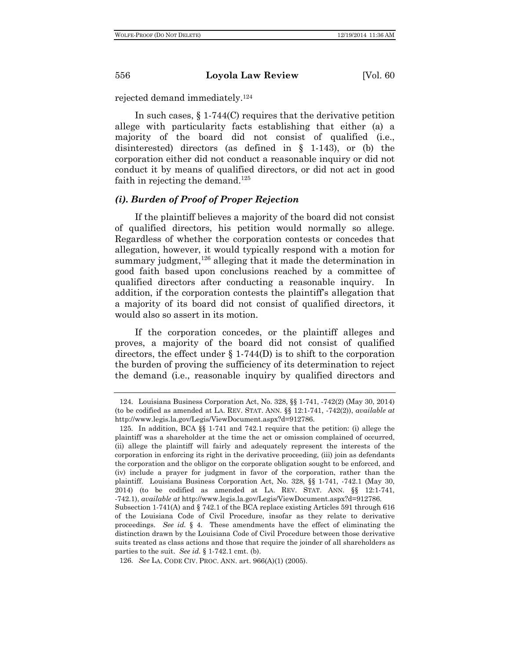rejected demand immediately.124

In such cases, § 1-744(C) requires that the derivative petition allege with particularity facts establishing that either (a) a majority of the board did not consist of qualified (i.e., disinterested) directors (as defined in § 1-143), or (b) the corporation either did not conduct a reasonable inquiry or did not conduct it by means of qualified directors, or did not act in good faith in rejecting the demand.<sup>125</sup>

## *(i). Burden of Proof of Proper Rejection*

If the plaintiff believes a majority of the board did not consist of qualified directors, his petition would normally so allege. Regardless of whether the corporation contests or concedes that allegation, however, it would typically respond with a motion for summary judgment, $126$  alleging that it made the determination in good faith based upon conclusions reached by a committee of qualified directors after conducting a reasonable inquiry. In addition, if the corporation contests the plaintiff's allegation that a majority of its board did not consist of qualified directors, it would also so assert in its motion.

If the corporation concedes, or the plaintiff alleges and proves, a majority of the board did not consist of qualified directors, the effect under  $\S 1-744(D)$  is to shift to the corporation the burden of proving the sufficiency of its determination to reject the demand (i.e., reasonable inquiry by qualified directors and

<sup>124.</sup> Louisiana Business Corporation Act, No. 328, §§ 1-741, -742(2) (May 30, 2014) (to be codified as amended at LA. REV. STAT. ANN. §§ 12:1-741, -742(2)), *available at*  http://www.legis.la.gov/Legis/ViewDocument.aspx?d=912786.

<sup>125.</sup> In addition, BCA §§ 1-741 and 742.1 require that the petition: (i) allege the plaintiff was a shareholder at the time the act or omission complained of occurred, (ii) allege the plaintiff will fairly and adequately represent the interests of the corporation in enforcing its right in the derivative proceeding, (iii) join as defendants the corporation and the obligor on the corporate obligation sought to be enforced, and (iv) include a prayer for judgment in favor of the corporation, rather than the plaintiff. Louisiana Business Corporation Act, No. 328, §§ 1-741, -742.1 (May 30, 2014) (to be codified as amended at LA. REV. STAT. ANN. §§ 12:1-741, -742.1), *available at* http://www.legis.la.gov/Legis/ViewDocument.aspx?d=912786.

Subsection 1-741(A) and § 742.1 of the BCA replace existing Articles 591 through 616 of the Louisiana Code of Civil Procedure, insofar as they relate to derivative proceedings. *See id.* § 4. These amendments have the effect of eliminating the distinction drawn by the Louisiana Code of Civil Procedure between those derivative suits treated as class actions and those that require the joinder of all shareholders as parties to the suit. *See id.* § 1-742.1 cmt. (b).

<sup>126.</sup> *See* LA. CODE CIV. PROC. ANN. art. 966(A)(1) (2005).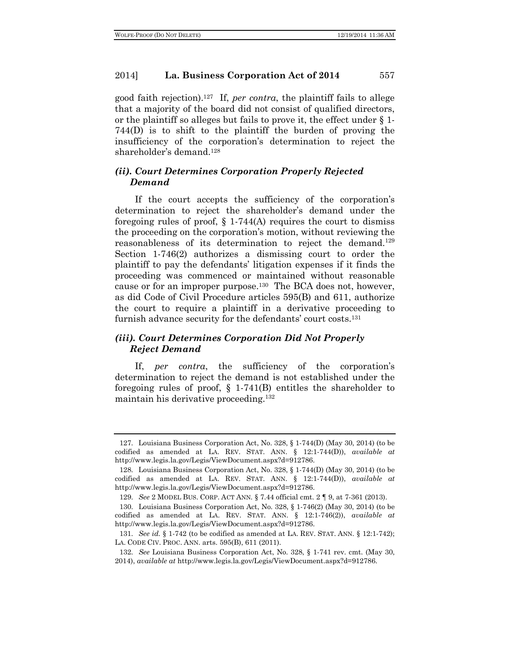good faith rejection).127 If, *per contra*, the plaintiff fails to allege that a majority of the board did not consist of qualified directors, or the plaintiff so alleges but fails to prove it, the effect under § 1- 744(D) is to shift to the plaintiff the burden of proving the insufficiency of the corporation's determination to reject the shareholder's demand.128

## *(ii). Court Determines Corporation Properly Rejected Demand*

If the court accepts the sufficiency of the corporation's determination to reject the shareholder's demand under the foregoing rules of proof,  $\S 1-744(A)$  requires the court to dismiss the proceeding on the corporation's motion, without reviewing the reasonableness of its determination to reject the demand.129 Section 1-746(2) authorizes a dismissing court to order the plaintiff to pay the defendants' litigation expenses if it finds the proceeding was commenced or maintained without reasonable cause or for an improper purpose.130 The BCA does not, however, as did Code of Civil Procedure articles 595(B) and 611, authorize the court to require a plaintiff in a derivative proceeding to furnish advance security for the defendants' court costs.131

## *(iii). Court Determines Corporation Did Not Properly Reject Demand*

If, *per contra*, the sufficiency of the corporation's determination to reject the demand is not established under the foregoing rules of proof, § 1-741(B) entitles the shareholder to maintain his derivative proceeding.<sup>132</sup>

<sup>127.</sup> Louisiana Business Corporation Act, No. 328, § 1-744(D) (May 30, 2014) (to be codified as amended at LA. REV. STAT. ANN. § 12:1-744(D)), *available at*  http://www.legis.la.gov/Legis/ViewDocument.aspx?d=912786.

<sup>128.</sup> Louisiana Business Corporation Act, No. 328, § 1-744(D) (May 30, 2014) (to be codified as amended at LA. REV. STAT. ANN. § 12:1-744(D)), *available at*  http://www.legis.la.gov/Legis/ViewDocument.aspx?d=912786.

<sup>129.</sup> *See* 2 MODEL BUS. CORP. ACT ANN. § 7.44 official cmt. 2 ¶ 9, at 7-361 (2013).

<sup>130.</sup> Louisiana Business Corporation Act, No. 328, § 1-746(2) (May 30, 2014) (to be codified as amended at LA. REV. STAT. ANN. § 12:1-746(2)), *available at*  http://www.legis.la.gov/Legis/ViewDocument.aspx?d=912786.

<sup>131.</sup> *See id.* § 1-742 (to be codified as amended at LA. REV. STAT. ANN. § 12:1-742); LA. CODE CIV. PROC. ANN. arts. 595(B), 611 (2011).

<sup>132.</sup> *See* Louisiana Business Corporation Act, No. 328, § 1-741 rev. cmt. (May 30, 2014), *available at* http://www.legis.la.gov/Legis/ViewDocument.aspx?d=912786.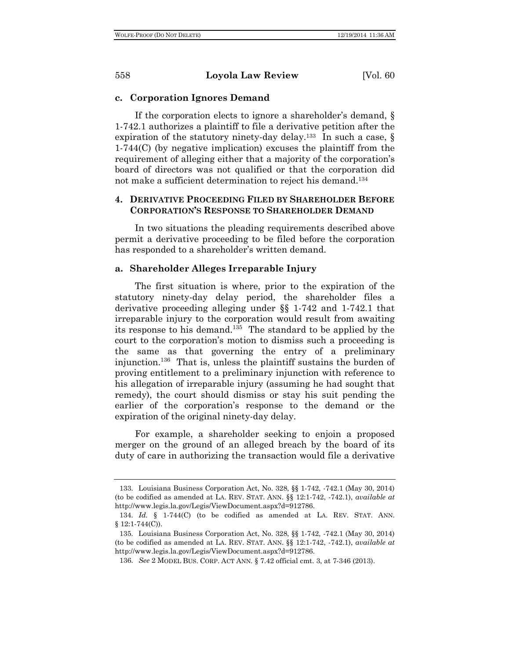#### **c. Corporation Ignores Demand**

If the corporation elects to ignore a shareholder's demand, § 1-742.1 authorizes a plaintiff to file a derivative petition after the expiration of the statutory ninety-day delay.<sup>133</sup> In such a case,  $\S$ 1-744(C) (by negative implication) excuses the plaintiff from the requirement of alleging either that a majority of the corporation's board of directors was not qualified or that the corporation did not make a sufficient determination to reject his demand.134

## **4. DERIVATIVE PROCEEDING FILED BY SHAREHOLDER BEFORE CORPORATION'S RESPONSE TO SHAREHOLDER DEMAND**

In two situations the pleading requirements described above permit a derivative proceeding to be filed before the corporation has responded to a shareholder's written demand.

#### **a. Shareholder Alleges Irreparable Injury**

The first situation is where, prior to the expiration of the statutory ninety-day delay period, the shareholder files a derivative proceeding alleging under §§ 1-742 and 1-742.1 that irreparable injury to the corporation would result from awaiting its response to his demand.135 The standard to be applied by the court to the corporation's motion to dismiss such a proceeding is the same as that governing the entry of a preliminary injunction.136 That is, unless the plaintiff sustains the burden of proving entitlement to a preliminary injunction with reference to his allegation of irreparable injury (assuming he had sought that remedy), the court should dismiss or stay his suit pending the earlier of the corporation's response to the demand or the expiration of the original ninety-day delay.

For example, a shareholder seeking to enjoin a proposed merger on the ground of an alleged breach by the board of its duty of care in authorizing the transaction would file a derivative

<sup>133.</sup> Louisiana Business Corporation Act, No. 328, §§ 1-742, -742.1 (May 30, 2014) (to be codified as amended at LA. REV. STAT. ANN. §§ 12:1-742, -742.1), *available at*  http://www.legis.la.gov/Legis/ViewDocument.aspx?d=912786.

<sup>134.</sup> *Id.* § 1-744(C) (to be codified as amended at LA. REV. STAT. ANN.  $§ 12:1-744(C)$ .

<sup>135.</sup> Louisiana Business Corporation Act, No. 328, §§ 1-742, -742.1 (May 30, 2014) (to be codified as amended at LA. REV. STAT. ANN. §§ 12:1-742, -742.1), *available at*  http://www.legis.la.gov/Legis/ViewDocument.aspx?d=912786.

<sup>136.</sup> *See* 2 MODEL BUS. CORP. ACT ANN. § 7.42 official cmt. 3, at 7-346 (2013).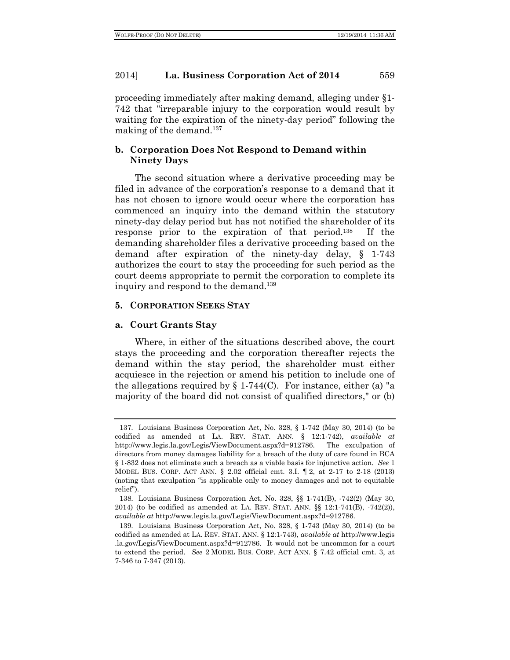proceeding immediately after making demand, alleging under §1- 742 that "irreparable injury to the corporation would result by waiting for the expiration of the ninety-day period" following the making of the demand.<sup>137</sup>

## **b. Corporation Does Not Respond to Demand within Ninety Days**

The second situation where a derivative proceeding may be filed in advance of the corporation's response to a demand that it has not chosen to ignore would occur where the corporation has commenced an inquiry into the demand within the statutory ninety-day delay period but has not notified the shareholder of its response prior to the expiration of that period.138 If the demanding shareholder files a derivative proceeding based on the demand after expiration of the ninety-day delay, § 1-743 authorizes the court to stay the proceeding for such period as the court deems appropriate to permit the corporation to complete its inquiry and respond to the demand.<sup>139</sup>

#### **5. CORPORATION SEEKS STAY**

## **a. Court Grants Stay**

Where, in either of the situations described above, the court stays the proceeding and the corporation thereafter rejects the demand within the stay period, the shareholder must either acquiesce in the rejection or amend his petition to include one of the allegations required by  $\S 1-744(C)$ . For instance, either (a) "a majority of the board did not consist of qualified directors," or (b)

<sup>137.</sup> Louisiana Business Corporation Act, No. 328, § 1-742 (May 30, 2014) (to be codified as amended at LA. REV. STAT. ANN. § 12:1-742), *available at*  http://www.legis.la.gov/Legis/ViewDocument.aspx?d=912786. The exculpation of directors from money damages liability for a breach of the duty of care found in BCA § 1-832 does not eliminate such a breach as a viable basis for injunctive action. *See* 1 MODEL BUS. CORP. ACT ANN. § 2.02 official cmt. 3.I. ¶ 2, at 2-17 to 2-18 (2013) (noting that exculpation "is applicable only to money damages and not to equitable relief").

<sup>138.</sup> Louisiana Business Corporation Act, No. 328, §§ 1-741(B), -742(2) (May 30, 2014) (to be codified as amended at LA. REV. STAT. ANN. §§ 12:1-741(B), -742(2)), *available at* http://www.legis.la.gov/Legis/ViewDocument.aspx?d=912786.

<sup>139.</sup> Louisiana Business Corporation Act, No. 328, § 1-743 (May 30, 2014) (to be codified as amended at LA. REV. STAT. ANN. § 12:1-743), *available at* http://www.legis .la.gov/Legis/ViewDocument.aspx?d=912786. It would not be uncommon for a court to extend the period. *See* 2 MODEL BUS. CORP. ACT ANN. § 7.42 official cmt. 3, at 7-346 to 7-347 (2013).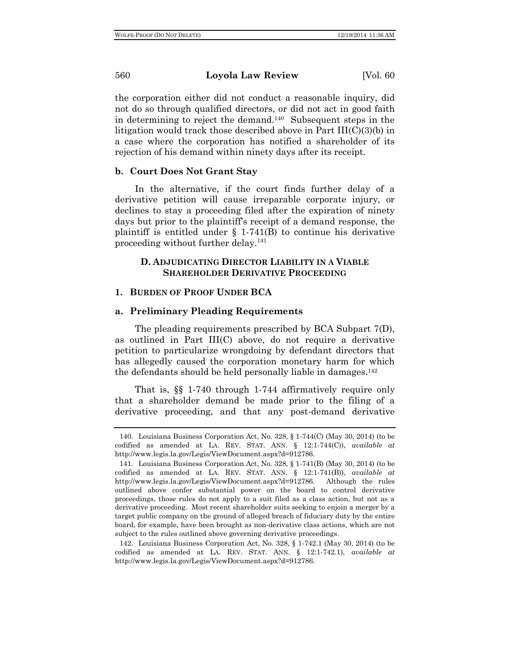the corporation either did not conduct a reasonable inquiry, did not do so through qualified directors, or did not act in good faith in determining to reject the demand.140 Subsequent steps in the litigation would track those described above in Part III(C)(3)(b) in a case where the corporation has notified a shareholder of its rejection of his demand within ninety days after its receipt.

## **b. Court Does Not Grant Stay**

In the alternative, if the court finds further delay of a derivative petition will cause irreparable corporate injury, or declines to stay a proceeding filed after the expiration of ninety days but prior to the plaintiff's receipt of a demand response, the plaintiff is entitled under  $\S$  1-741(B) to continue his derivative proceeding without further delay.<sup>141</sup>

## **D. ADJUDICATING DIRECTOR LIABILITY IN A VIABLE SHAREHOLDER DERIVATIVE PROCEEDING**

#### **1. BURDEN OF PROOF UNDER BCA**

## **a. Preliminary Pleading Requirements**

The pleading requirements prescribed by BCA Subpart 7(D), as outlined in Part III(C) above, do not require a derivative petition to particularize wrongdoing by defendant directors that has allegedly caused the corporation monetary harm for which the defendants should be held personally liable in damages.142

That is, §§ 1-740 through 1-744 affirmatively require only that a shareholder demand be made prior to the filing of a derivative proceeding, and that any post-demand derivative

142. Louisiana Business Corporation Act, No. 328, § 1-742.1 (May 30, 2014) (to be codified as amended at LA. REV. STAT. ANN. § 12:1-742.1), *available at*  http://www.legis.la.gov/Legis/ViewDocument.aspx?d=912786.

<sup>140.</sup> Louisiana Business Corporation Act, No. 328, § 1-744(C) (May 30, 2014) (to be codified as amended at LA. REV. STAT. ANN. § 12:1-744(C)), *available at*  http://www.legis.la.gov/Legis/ViewDocument.aspx?d=912786.

<sup>141.</sup> Louisiana Business Corporation Act, No. 328, § 1-741(B) (May 30, 2014) (to be codified as amended at LA. REV. STAT. ANN. § 12:1-741(B)), *available at*  http://www.legis.la.gov/Legis/ViewDocument.aspx?d=912786. Although the rules outlined above confer substantial power on the board to control derivative proceedings, those rules do not apply to a suit filed as a class action, but not as a derivative proceeding. Most recent shareholder suits seeking to enjoin a merger by a target public company on the ground of alleged breach of fiduciary duty by the entire board, for example, have been brought as non-derivative class actions, which are not subject to the rules outlined above governing derivative proceedings.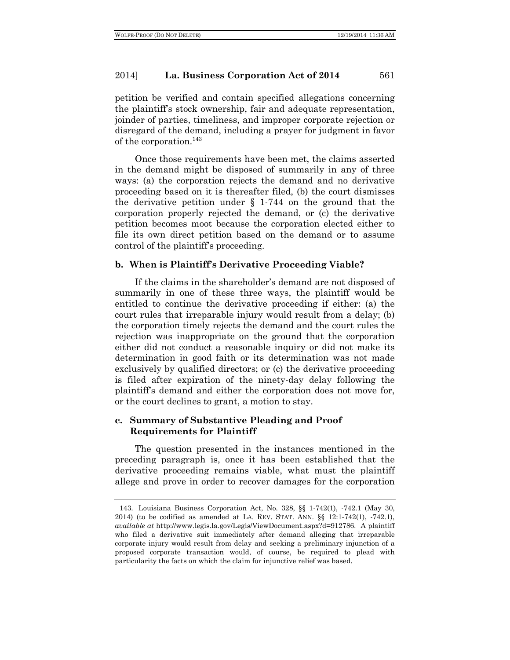petition be verified and contain specified allegations concerning the plaintiff's stock ownership, fair and adequate representation, joinder of parties, timeliness, and improper corporate rejection or disregard of the demand, including a prayer for judgment in favor of the corporation.143

Once those requirements have been met, the claims asserted in the demand might be disposed of summarily in any of three ways: (a) the corporation rejects the demand and no derivative proceeding based on it is thereafter filed, (b) the court dismisses the derivative petition under § 1-744 on the ground that the corporation properly rejected the demand, or (c) the derivative petition becomes moot because the corporation elected either to file its own direct petition based on the demand or to assume control of the plaintiff's proceeding.

#### **b. When is Plaintiff's Derivative Proceeding Viable?**

If the claims in the shareholder's demand are not disposed of summarily in one of these three ways, the plaintiff would be entitled to continue the derivative proceeding if either: (a) the court rules that irreparable injury would result from a delay; (b) the corporation timely rejects the demand and the court rules the rejection was inappropriate on the ground that the corporation either did not conduct a reasonable inquiry or did not make its determination in good faith or its determination was not made exclusively by qualified directors; or (c) the derivative proceeding is filed after expiration of the ninety-day delay following the plaintiff's demand and either the corporation does not move for, or the court declines to grant, a motion to stay.

## **c. Summary of Substantive Pleading and Proof Requirements for Plaintiff**

The question presented in the instances mentioned in the preceding paragraph is, once it has been established that the derivative proceeding remains viable, what must the plaintiff allege and prove in order to recover damages for the corporation

<sup>143.</sup> Louisiana Business Corporation Act, No. 328, §§ 1-742(1), -742.1 (May 30, 2014) (to be codified as amended at LA. REV. STAT. ANN. §§ 12:1-742(1), -742.1), *available at* http://www.legis.la.gov/Legis/ViewDocument.aspx?d=912786. A plaintiff who filed a derivative suit immediately after demand alleging that irreparable corporate injury would result from delay and seeking a preliminary injunction of a proposed corporate transaction would, of course, be required to plead with particularity the facts on which the claim for injunctive relief was based.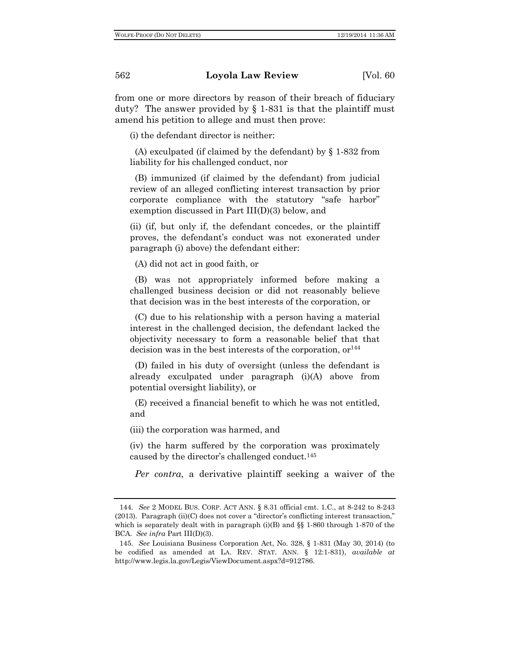from one or more directors by reason of their breach of fiduciary duty? The answer provided by  $\S 1-831$  is that the plaintiff must amend his petition to allege and must then prove:

(i) the defendant director is neither:

(A) exculpated (if claimed by the defendant) by § 1-832 from liability for his challenged conduct, nor

(B) immunized (if claimed by the defendant) from judicial review of an alleged conflicting interest transaction by prior corporate compliance with the statutory "safe harbor" exemption discussed in Part III(D)(3) below, and

(ii) (if, but only if, the defendant concedes, or the plaintiff proves, the defendant's conduct was not exonerated under paragraph (i) above) the defendant either:

(A) did not act in good faith, or

(B) was not appropriately informed before making a challenged business decision or did not reasonably believe that decision was in the best interests of the corporation, or

(C) due to his relationship with a person having a material interest in the challenged decision, the defendant lacked the objectivity necessary to form a reasonable belief that that decision was in the best interests of the corporation,  $or<sup>144</sup>$ 

(D) failed in his duty of oversight (unless the defendant is already exculpated under paragraph (i)(A) above from potential oversight liability), or

(E) received a financial benefit to which he was not entitled, and

(iii) the corporation was harmed, and

(iv) the harm suffered by the corporation was proximately caused by the director's challenged conduct.145

*Per contra*, a derivative plaintiff seeking a waiver of the

<sup>144.</sup> *See* 2 MODEL BUS. CORP. ACT ANN. § 8.31 official cmt. 1.C., at 8-242 to 8-243 (2013). Paragraph (ii)(C) does not cover a "director's conflicting interest transaction," which is separately dealt with in paragraph  $(i)(B)$  and §§ 1-860 through 1-870 of the BCA. *See infra* Part III(D)(3).

<sup>145.</sup> *See* Louisiana Business Corporation Act, No. 328, § 1-831 (May 30, 2014) (to be codified as amended at LA. REV. STAT. ANN. § 12:1-831), *available at*  http://www.legis.la.gov/Legis/ViewDocument.aspx?d=912786.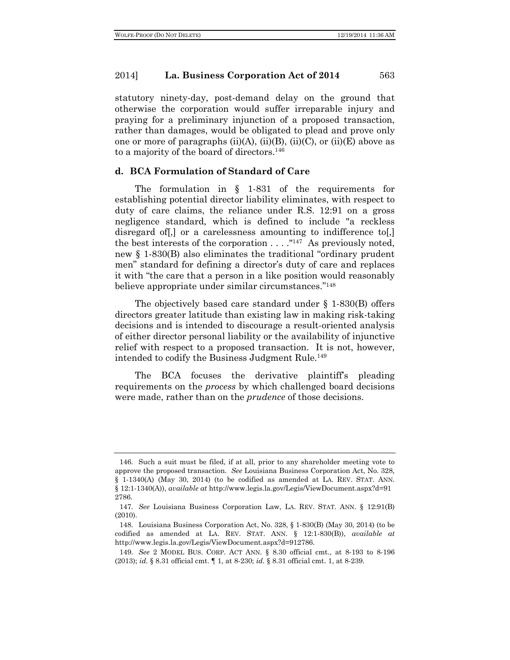statutory ninety-day, post-demand delay on the ground that otherwise the corporation would suffer irreparable injury and praying for a preliminary injunction of a proposed transaction, rather than damages, would be obligated to plead and prove only one or more of paragraphs  $(ii)(A)$ ,  $(ii)(B)$ ,  $(ii)(C)$ , or  $(ii)(E)$  above as to a majority of the board of directors.<sup>146</sup>

#### **d. BCA Formulation of Standard of Care**

The formulation in § 1-831 of the requirements for establishing potential director liability eliminates, with respect to duty of care claims, the reliance under R.S. 12:91 on a gross negligence standard, which is defined to include "a reckless disregard of [,] or a carelessness amounting to indifference to [,] the best interests of the corporation  $\dots$ ."<sup>147</sup> As previously noted, new § 1-830(B) also eliminates the traditional "ordinary prudent men" standard for defining a director's duty of care and replaces it with "the care that a person in a like position would reasonably believe appropriate under similar circumstances."148

The objectively based care standard under § 1-830(B) offers directors greater latitude than existing law in making risk-taking decisions and is intended to discourage a result-oriented analysis of either director personal liability or the availability of injunctive relief with respect to a proposed transaction. It is not, however, intended to codify the Business Judgment Rule.<sup>149</sup>

The BCA focuses the derivative plaintiff's pleading requirements on the *process* by which challenged board decisions were made, rather than on the *prudence* of those decisions.

<sup>146.</sup> Such a suit must be filed, if at all, prior to any shareholder meeting vote to approve the proposed transaction. *See* Louisiana Business Corporation Act, No. 328, § 1-1340(A) (May 30, 2014) (to be codified as amended at LA. REV. STAT. ANN. § 12:1-1340(A)), *available at* http://www.legis.la.gov/Legis/ViewDocument.aspx?d=91 2786.

<sup>147.</sup> *See* Louisiana Business Corporation Law, LA. REV. STAT. ANN. § 12:91(B) (2010).

<sup>148.</sup> Louisiana Business Corporation Act, No. 328, § 1-830(B) (May 30, 2014) (to be codified as amended at LA. REV. STAT. ANN. § 12:1-830(B)), *available at*  http://www.legis.la.gov/Legis/ViewDocument.aspx?d=912786.

<sup>149.</sup> *See* 2 MODEL BUS. CORP. ACT ANN. § 8.30 official cmt., at 8-193 to 8-196 (2013); *id.* § 8.31 official cmt. ¶ 1, at 8-230; *id.* § 8.31 official cmt. 1, at 8-239.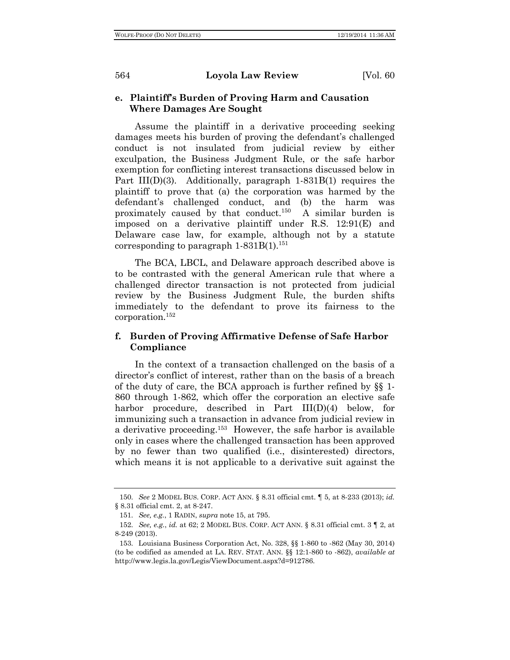## **e. Plaintiff's Burden of Proving Harm and Causation Where Damages Are Sought**

Assume the plaintiff in a derivative proceeding seeking damages meets his burden of proving the defendant's challenged conduct is not insulated from judicial review by either exculpation, the Business Judgment Rule, or the safe harbor exemption for conflicting interest transactions discussed below in Part III(D)(3). Additionally, paragraph 1-831B(1) requires the plaintiff to prove that (a) the corporation was harmed by the defendant's challenged conduct, and (b) the harm was proximately caused by that conduct.<sup>150</sup> A similar burden is imposed on a derivative plaintiff under R.S. 12:91(E) and Delaware case law, for example, although not by a statute corresponding to paragraph  $1-831B(1).$ <sup>151</sup>

The BCA, LBCL, and Delaware approach described above is to be contrasted with the general American rule that where a challenged director transaction is not protected from judicial review by the Business Judgment Rule, the burden shifts immediately to the defendant to prove its fairness to the corporation.152

## **f. Burden of Proving Affirmative Defense of Safe Harbor Compliance**

In the context of a transaction challenged on the basis of a director's conflict of interest, rather than on the basis of a breach of the duty of care, the BCA approach is further refined by §§ 1- 860 through 1-862, which offer the corporation an elective safe harbor procedure, described in Part III(D)(4) below, for immunizing such a transaction in advance from judicial review in a derivative proceeding.153 However, the safe harbor is available only in cases where the challenged transaction has been approved by no fewer than two qualified (i.e., disinterested) directors, which means it is not applicable to a derivative suit against the

<sup>150.</sup> *See* 2 MODEL BUS. CORP. ACT ANN. § 8.31 official cmt. ¶ 5, at 8-233 (2013); *id.*  § 8.31 official cmt. 2, at 8-247.

<sup>151.</sup> *See, e.g.*, 1 RADIN, *supra* note 15, at 795.

<sup>152.</sup> *See, e.g.*, *id.* at 62; 2 MODEL BUS. CORP. ACT ANN. § 8.31 official cmt. 3 ¶ 2, at 8-249 (2013).

<sup>153.</sup> Louisiana Business Corporation Act, No. 328, §§ 1-860 to -862 (May 30, 2014) (to be codified as amended at LA. REV. STAT. ANN. §§ 12:1-860 to -862), *available at*  http://www.legis.la.gov/Legis/ViewDocument.aspx?d=912786.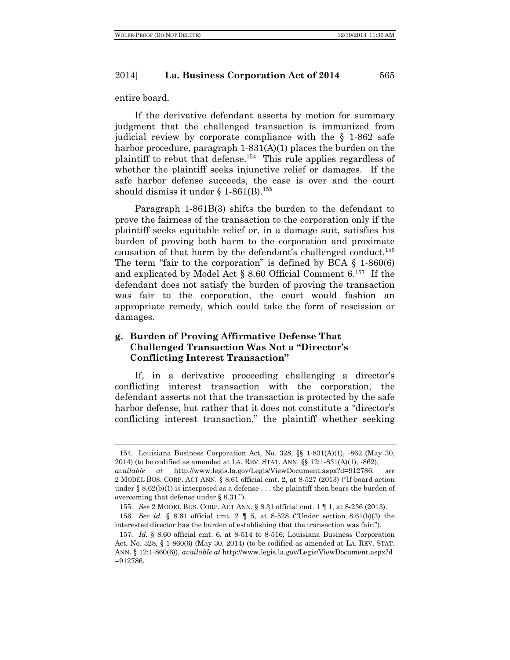entire board.

If the derivative defendant asserts by motion for summary judgment that the challenged transaction is immunized from judicial review by corporate compliance with the § 1-862 safe harbor procedure, paragraph 1-831(A)(1) places the burden on the plaintiff to rebut that defense.154 This rule applies regardless of whether the plaintiff seeks injunctive relief or damages. If the safe harbor defense succeeds, the case is over and the court should dismiss it under § 1-861(B). 155

Paragraph 1-861B(3) shifts the burden to the defendant to prove the fairness of the transaction to the corporation only if the plaintiff seeks equitable relief or, in a damage suit, satisfies his burden of proving both harm to the corporation and proximate causation of that harm by the defendant's challenged conduct.156 The term "fair to the corporation" is defined by BCA  $\S$  1-860(6) and explicated by Model Act § 8.60 Official Comment 6.157 If the defendant does not satisfy the burden of proving the transaction was fair to the corporation, the court would fashion an appropriate remedy, which could take the form of rescission or damages.

## **g. Burden of Proving Affirmative Defense That Challenged Transaction Was Not a "Director's Conflicting Interest Transaction"**

If, in a derivative proceeding challenging a director's conflicting interest transaction with the corporation, the defendant asserts not that the transaction is protected by the safe harbor defense, but rather that it does not constitute a "director's conflicting interest transaction," the plaintiff whether seeking

<sup>154.</sup> Louisiana Business Corporation Act, No. 328, §§ 1-831(A)(1), -862 (May 30, 2014) (to be codified as amended at LA. REV. STAT. ANN. §§ 12:1-831(A)(1), -862),

*available at* http://www.legis.la.gov/Legis/ViewDocument.aspx?d=912786; *see* 2 MODEL BUS. CORP. ACT ANN. § 8.61 official cmt. 2, at 8-527 (2013) ("If board action under  $\S 8.62(b)(1)$  is interposed as a defense ... the plaintiff then bears the burden of overcoming that defense under § 8.31.").

<sup>155.</sup> *See* 2 MODEL BUS. CORP. ACT ANN. § 8.31 official cmt. 1 ¶ 1, at 8-236 (2013). 156. *See id.* § 8.61 official cmt. 2 ¶ 5, at 8-528 ("Under section 8.61(b)(3) the interested director has the burden of establishing that the transaction was fair.").

<sup>157.</sup> *Id.* § 8.60 official cmt. 6, at 8-514 to 8-516; Louisiana Business Corporation Act, No. 328, § 1-860(6) (May 30, 2014) (to be codified as amended at LA. REV. STAT. ANN. § 12:1-860(6)), *available at* http://www.legis.la.gov/Legis/ViewDocument.aspx?d =912786.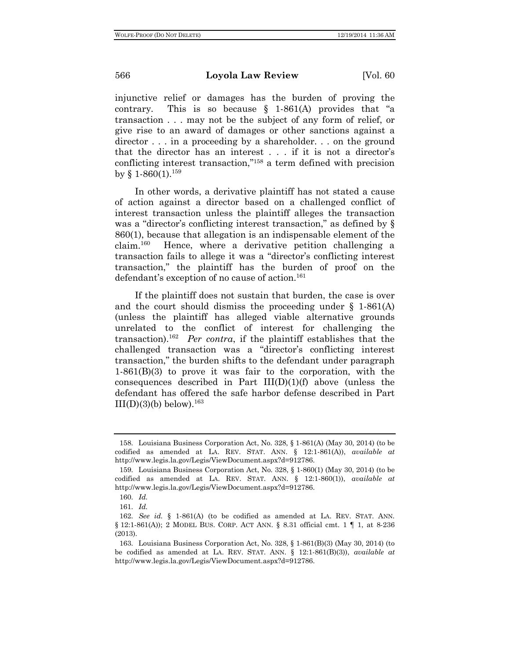injunctive relief or damages has the burden of proving the contrary. This is so because  $\S$  1-861(A) provides that "a transaction . . . may not be the subject of any form of relief, or give rise to an award of damages or other sanctions against a director . . . in a proceeding by a shareholder. . . on the ground that the director has an interest . . . if it is not a director's conflicting interest transaction,"158 a term defined with precision by § 1-860(1).<sup>159</sup>

In other words, a derivative plaintiff has not stated a cause of action against a director based on a challenged conflict of interest transaction unless the plaintiff alleges the transaction was a "director's conflicting interest transaction," as defined by  $\S$ 860(1), because that allegation is an indispensable element of the claim.160 Hence, where a derivative petition challenging a transaction fails to allege it was a "director's conflicting interest transaction," the plaintiff has the burden of proof on the defendant's exception of no cause of action.<sup>161</sup>

If the plaintiff does not sustain that burden, the case is over and the court should dismiss the proceeding under  $\S$  1-861(A) (unless the plaintiff has alleged viable alternative grounds unrelated to the conflict of interest for challenging the transaction).162 *Per contra*, if the plaintiff establishes that the challenged transaction was a "director's conflicting interest transaction," the burden shifts to the defendant under paragraph 1-861(B)(3) to prove it was fair to the corporation, with the consequences described in Part  $III(D)(1)(f)$  above (unless the defendant has offered the safe harbor defense described in Part  $III(D)(3)(b)$  below).<sup>163</sup>

<sup>158.</sup> Louisiana Business Corporation Act, No. 328, § 1-861(A) (May 30, 2014) (to be codified as amended at LA. REV. STAT. ANN. § 12:1-861(A)), *available at*  http://www.legis.la.gov/Legis/ViewDocument.aspx?d=912786.

<sup>159.</sup> Louisiana Business Corporation Act, No. 328, § 1-860(1) (May 30, 2014) (to be codified as amended at LA. REV. STAT. ANN. § 12:1-860(1)), *available at*  http://www.legis.la.gov/Legis/ViewDocument.aspx?d=912786.

<sup>160.</sup> *Id.*

<sup>161.</sup> *Id.*

<sup>162.</sup> *See id.* § 1-861(A) (to be codified as amended at LA. REV. STAT. ANN. § 12:1-861(A)); 2 MODEL BUS. CORP. ACT ANN. § 8.31 official cmt. 1 ¶ 1, at 8-236 (2013).

<sup>163.</sup> Louisiana Business Corporation Act, No. 328, § 1-861(B)(3) (May 30, 2014) (to be codified as amended at LA. REV. STAT. ANN. § 12:1-861(B)(3)), *available at*  http://www.legis.la.gov/Legis/ViewDocument.aspx?d=912786.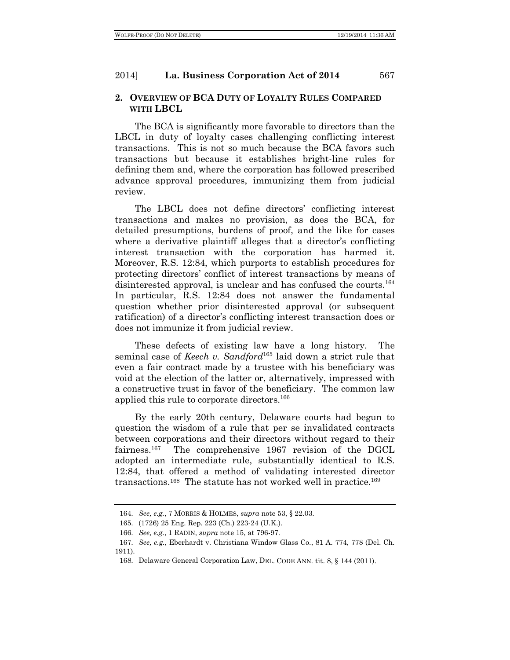## **2. OVERVIEW OF BCA DUTY OF LOYALTY RULES COMPARED WITH LBCL**

The BCA is significantly more favorable to directors than the LBCL in duty of loyalty cases challenging conflicting interest transactions. This is not so much because the BCA favors such transactions but because it establishes bright-line rules for defining them and, where the corporation has followed prescribed advance approval procedures, immunizing them from judicial review.

The LBCL does not define directors' conflicting interest transactions and makes no provision, as does the BCA, for detailed presumptions, burdens of proof, and the like for cases where a derivative plaintiff alleges that a director's conflicting interest transaction with the corporation has harmed it. Moreover, R.S. 12:84, which purports to establish procedures for protecting directors' conflict of interest transactions by means of disinterested approval, is unclear and has confused the courts.<sup>164</sup> In particular, R.S. 12:84 does not answer the fundamental question whether prior disinterested approval (or subsequent ratification) of a director's conflicting interest transaction does or does not immunize it from judicial review.

These defects of existing law have a long history. The seminal case of *Keech v. Sandford*<sup>165</sup> laid down a strict rule that even a fair contract made by a trustee with his beneficiary was void at the election of the latter or, alternatively, impressed with a constructive trust in favor of the beneficiary. The common law applied this rule to corporate directors.166

By the early 20th century, Delaware courts had begun to question the wisdom of a rule that per se invalidated contracts between corporations and their directors without regard to their fairness.<sup>167</sup> The comprehensive 1967 revision of the DGCL adopted an intermediate rule, substantially identical to R.S. 12:84, that offered a method of validating interested director transactions.<sup>168</sup> The statute has not worked well in practice.<sup>169</sup>

<sup>164.</sup> *See, e.g.*, 7 MORRIS & HOLMES, *supra* note 53, § 22.03.

<sup>165.</sup> (1726) 25 Eng. Rep. 223 (Ch.) 223-24 (U.K.).

<sup>166.</sup> *See, e.g.*, 1 RADIN, *supra* note 15, at 796-97.

<sup>167.</sup> *See, e.g.*, Eberhardt v. Christiana Window Glass Co., 81 A. 774, 778 (Del. Ch. 1911).

<sup>168.</sup> Delaware General Corporation Law, DEL. CODE ANN. tit. 8, § 144 (2011).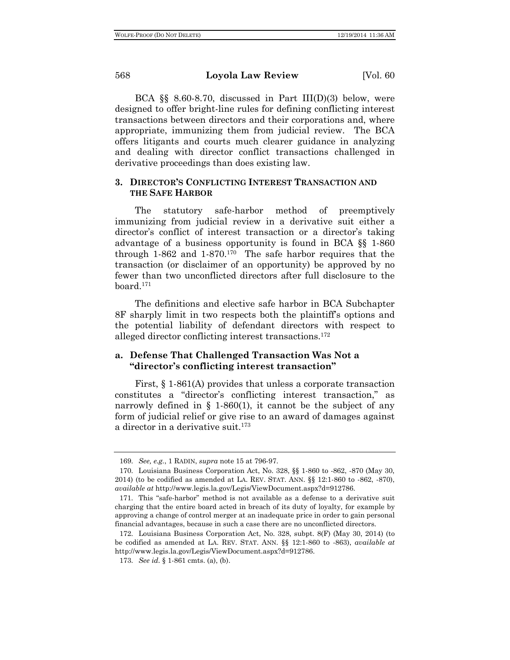BCA  $\S$ § 8.60-8.70, discussed in Part III(D)(3) below, were designed to offer bright-line rules for defining conflicting interest transactions between directors and their corporations and, where appropriate, immunizing them from judicial review. The BCA offers litigants and courts much clearer guidance in analyzing and dealing with director conflict transactions challenged in derivative proceedings than does existing law.

## **3. DIRECTOR'S CONFLICTING INTEREST TRANSACTION AND THE SAFE HARBOR**

The statutory safe-harbor method of preemptively immunizing from judicial review in a derivative suit either a director's conflict of interest transaction or a director's taking advantage of a business opportunity is found in BCA §§ 1-860 through 1-862 and 1-870.170 The safe harbor requires that the transaction (or disclaimer of an opportunity) be approved by no fewer than two unconflicted directors after full disclosure to the board.171

The definitions and elective safe harbor in BCA Subchapter 8F sharply limit in two respects both the plaintiff's options and the potential liability of defendant directors with respect to alleged director conflicting interest transactions.172

## **a. Defense That Challenged Transaction Was Not a "director's conflicting interest transaction"**

First,  $\S 1-861(A)$  provides that unless a corporate transaction constitutes a "director's conflicting interest transaction," as narrowly defined in  $\S$  1-860(1), it cannot be the subject of any form of judicial relief or give rise to an award of damages against a director in a derivative suit.<sup>173</sup>

<sup>169.</sup> *See, e.g.*, 1 RADIN, *supra* note 15 at 796-97.

<sup>170.</sup> Louisiana Business Corporation Act, No. 328, §§ 1-860 to -862, -870 (May 30, 2014) (to be codified as amended at LA. REV. STAT. ANN. §§ 12:1-860 to -862, -870), *available at* http://www.legis.la.gov/Legis/ViewDocument.aspx?d=912786.

<sup>171.</sup> This "safe-harbor" method is not available as a defense to a derivative suit charging that the entire board acted in breach of its duty of loyalty, for example by approving a change of control merger at an inadequate price in order to gain personal financial advantages, because in such a case there are no unconflicted directors.

<sup>172.</sup> Louisiana Business Corporation Act, No. 328, subpt. 8(F) (May 30, 2014) (to be codified as amended at LA. REV. STAT. ANN. §§ 12:1-860 to -863), *available at*  http://www.legis.la.gov/Legis/ViewDocument.aspx?d=912786.

<sup>173.</sup> *See id.* § 1-861 cmts. (a), (b).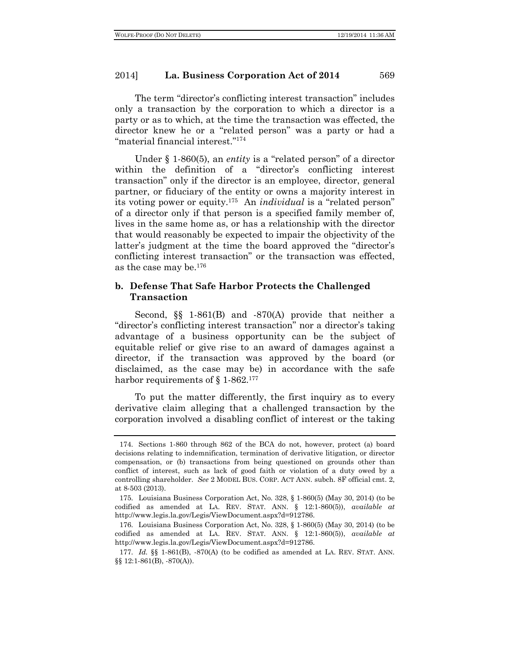The term "director's conflicting interest transaction" includes only a transaction by the corporation to which a director is a party or as to which, at the time the transaction was effected, the director knew he or a "related person" was a party or had a "material financial interest."174

Under § 1-860(5), an *entity* is a "related person" of a director within the definition of a "director's conflicting interest transaction" only if the director is an employee, director, general partner, or fiduciary of the entity or owns a majority interest in its voting power or equity.175 An *individual* is a "related person" of a director only if that person is a specified family member of, lives in the same home as, or has a relationship with the director that would reasonably be expected to impair the objectivity of the latter's judgment at the time the board approved the "director's conflicting interest transaction" or the transaction was effected, as the case may be.176

## **b. Defense That Safe Harbor Protects the Challenged Transaction**

Second, §§ 1-861(B) and -870(A) provide that neither a "director's conflicting interest transaction" nor a director's taking advantage of a business opportunity can be the subject of equitable relief or give rise to an award of damages against a director, if the transaction was approved by the board (or disclaimed, as the case may be) in accordance with the safe harbor requirements of § 1-862.<sup>177</sup>

To put the matter differently, the first inquiry as to every derivative claim alleging that a challenged transaction by the corporation involved a disabling conflict of interest or the taking

<sup>174.</sup> Sections 1-860 through 862 of the BCA do not, however, protect (a) board decisions relating to indemnification, termination of derivative litigation, or director compensation, or (b) transactions from being questioned on grounds other than conflict of interest, such as lack of good faith or violation of a duty owed by a controlling shareholder. *See* 2 MODEL BUS. CORP. ACT ANN. subch. 8F official cmt. 2, at 8-503 (2013).

<sup>175.</sup> Louisiana Business Corporation Act, No. 328, § 1-860(5) (May 30, 2014) (to be codified as amended at LA. REV. STAT. ANN. § 12:1-860(5)), *available at*  http://www.legis.la.gov/Legis/ViewDocument.aspx?d=912786.

<sup>176.</sup> Louisiana Business Corporation Act, No. 328, § 1-860(5) (May 30, 2014) (to be codified as amended at LA. REV. STAT. ANN. § 12:1-860(5)), *available at*  http://www.legis.la.gov/Legis/ViewDocument.aspx?d=912786.

<sup>177.</sup> *Id.* §§ 1-861(B), -870(A) (to be codified as amended at LA. REV. STAT. ANN. §§ 12:1-861(B), -870(A)).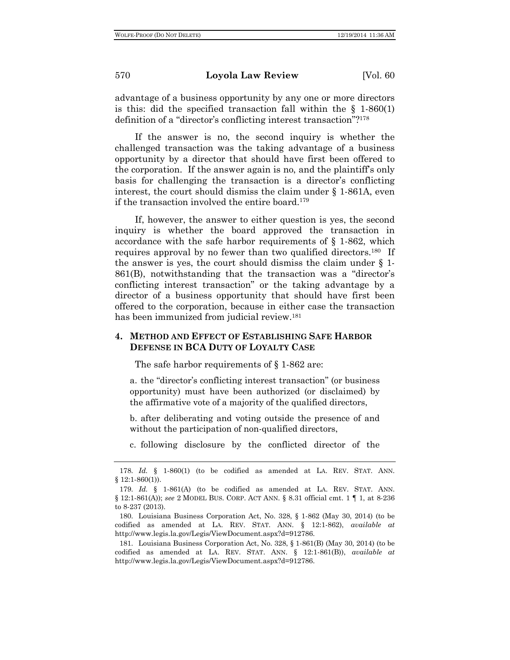advantage of a business opportunity by any one or more directors is this: did the specified transaction fall within the  $\S$  1-860(1) definition of a "director's conflicting interest transaction"?178

If the answer is no, the second inquiry is whether the challenged transaction was the taking advantage of a business opportunity by a director that should have first been offered to the corporation. If the answer again is no, and the plaintiff's only basis for challenging the transaction is a director's conflicting interest, the court should dismiss the claim under § 1-861A, even if the transaction involved the entire board.<sup>179</sup>

If, however, the answer to either question is yes, the second inquiry is whether the board approved the transaction in accordance with the safe harbor requirements of § 1-862, which requires approval by no fewer than two qualified directors.180 If the answer is yes, the court should dismiss the claim under § 1- 861(B), notwithstanding that the transaction was a "director's conflicting interest transaction" or the taking advantage by a director of a business opportunity that should have first been offered to the corporation, because in either case the transaction has been immunized from judicial review.<sup>181</sup>

## **4. METHOD AND EFFECT OF ESTABLISHING SAFE HARBOR DEFENSE IN BCA DUTY OF LOYALTY CASE**

The safe harbor requirements of  $\S$  1-862 are:

a. the "director's conflicting interest transaction" (or business opportunity) must have been authorized (or disclaimed) by the affirmative vote of a majority of the qualified directors,

b. after deliberating and voting outside the presence of and without the participation of non-qualified directors,

c. following disclosure by the conflicted director of the

<sup>178.</sup> *Id.* § 1-860(1) (to be codified as amended at LA. REV. STAT. ANN.  $§ 12:1-860(1)).$ 

<sup>179.</sup> *Id.* § 1-861(A) (to be codified as amended at LA. REV. STAT. ANN. § 12:1-861(A)); *see* 2 MODEL BUS. CORP. ACT ANN. § 8.31 official cmt. 1 ¶ 1, at 8-236 to 8-237 (2013).

<sup>180.</sup> Louisiana Business Corporation Act, No. 328, § 1-862 (May 30, 2014) (to be codified as amended at LA. REV. STAT. ANN. § 12:1-862), *available at*  http://www.legis.la.gov/Legis/ViewDocument.aspx?d=912786.

<sup>181.</sup> Louisiana Business Corporation Act, No. 328, § 1-861(B) (May 30, 2014) (to be codified as amended at LA. REV. STAT. ANN. § 12:1-861(B)), *available at*  http://www.legis.la.gov/Legis/ViewDocument.aspx?d=912786.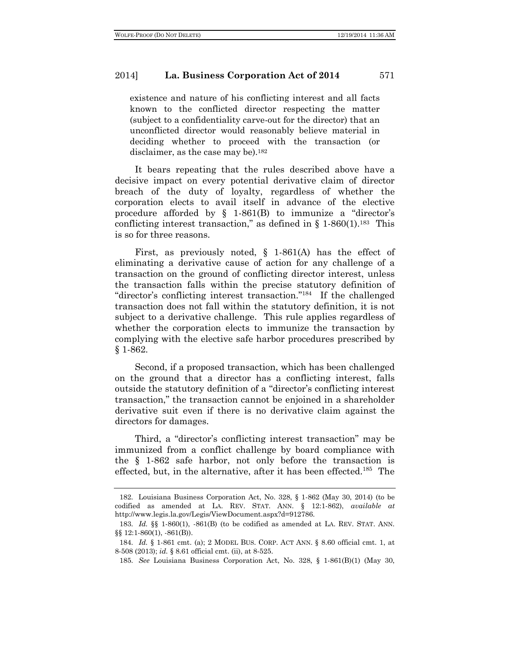existence and nature of his conflicting interest and all facts known to the conflicted director respecting the matter (subject to a confidentiality carve-out for the director) that an unconflicted director would reasonably believe material in deciding whether to proceed with the transaction (or disclaimer, as the case may be).<sup>182</sup>

It bears repeating that the rules described above have a decisive impact on every potential derivative claim of director breach of the duty of loyalty, regardless of whether the corporation elects to avail itself in advance of the elective procedure afforded by  $\S$  1-861(B) to immunize a "director's conflicting interest transaction," as defined in  $\S$  1-860(1).<sup>183</sup> This is so for three reasons.

First, as previously noted, § 1-861(A) has the effect of eliminating a derivative cause of action for any challenge of a transaction on the ground of conflicting director interest, unless the transaction falls within the precise statutory definition of "director's conflicting interest transaction."184 If the challenged transaction does not fall within the statutory definition, it is not subject to a derivative challenge. This rule applies regardless of whether the corporation elects to immunize the transaction by complying with the elective safe harbor procedures prescribed by § 1-862.

Second, if a proposed transaction, which has been challenged on the ground that a director has a conflicting interest, falls outside the statutory definition of a "director's conflicting interest transaction," the transaction cannot be enjoined in a shareholder derivative suit even if there is no derivative claim against the directors for damages.

Third, a "director's conflicting interest transaction" may be immunized from a conflict challenge by board compliance with the § 1-862 safe harbor, not only before the transaction is effected, but, in the alternative, after it has been effected.<sup>185</sup> The

<sup>182.</sup> Louisiana Business Corporation Act, No. 328, § 1-862 (May 30, 2014) (to be codified as amended at LA. REV. STAT. ANN. § 12:1-862), *available at*  http://www.legis.la.gov/Legis/ViewDocument.aspx?d=912786.

<sup>183.</sup> *Id.* §§ 1-860(1), -861(B) (to be codified as amended at LA. REV. STAT. ANN. §§ 12:1-860(1), -861(B)).

<sup>184.</sup> *Id.* § 1-861 cmt. (a); 2 MODEL BUS. CORP. ACT ANN. § 8.60 official cmt. 1, at 8-508 (2013); *id.* § 8.61 official cmt. (ii), at 8-525.

<sup>185.</sup> *See* Louisiana Business Corporation Act, No. 328, § 1-861(B)(1) (May 30,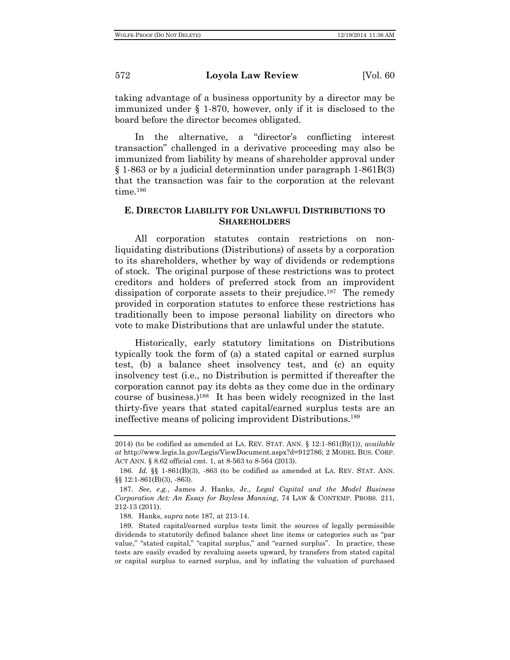taking advantage of a business opportunity by a director may be immunized under § 1-870, however, only if it is disclosed to the board before the director becomes obligated.

In the alternative, a "director's conflicting interest transaction" challenged in a derivative proceeding may also be immunized from liability by means of shareholder approval under § 1-863 or by a judicial determination under paragraph 1-861B(3) that the transaction was fair to the corporation at the relevant time.186

## **E. DIRECTOR LIABILITY FOR UNLAWFUL DISTRIBUTIONS TO SHAREHOLDERS**

All corporation statutes contain restrictions on nonliquidating distributions (Distributions) of assets by a corporation to its shareholders, whether by way of dividends or redemptions of stock. The original purpose of these restrictions was to protect creditors and holders of preferred stock from an improvident dissipation of corporate assets to their prejudice.<sup>187</sup> The remedy provided in corporation statutes to enforce these restrictions has traditionally been to impose personal liability on directors who vote to make Distributions that are unlawful under the statute.

Historically, early statutory limitations on Distributions typically took the form of (a) a stated capital or earned surplus test, (b) a balance sheet insolvency test, and (c) an equity insolvency test (i.e., no Distribution is permitted if thereafter the corporation cannot pay its debts as they come due in the ordinary course of business.)188 It has been widely recognized in the last thirty-five years that stated capital/earned surplus tests are an ineffective means of policing improvident Distributions.189

<sup>2014)</sup> (to be codified as amended at LA. REV. STAT. ANN. § 12:1-861(B)(1)), *available at* http://www.legis.la.gov/Legis/ViewDocument.aspx?d=912786; 2 MODEL BUS. CORP. ACT ANN. § 8.62 official cmt. 1, at 8-563 to 8-564 (2013).

<sup>186.</sup> *Id.* §§ 1-861(B)(3), -863 (to be codified as amended at LA. REV. STAT. ANN. §§ 12:1-861(B)(3), -863).

<sup>187.</sup> *See, e.g.*, James J. Hanks, Jr., *Legal Capital and the Model Business Corporation Act: An Essay for Bayless Manning*, 74 LAW & CONTEMP. PROBS. 211, 212-13 (2011).

<sup>188.</sup> Hanks, *supra* note 187, at 213-14.

<sup>189.</sup> Stated capital/earned surplus tests limit the sources of legally permissible dividends to statutorily defined balance sheet line items or categories such as "par value," "stated capital," "capital surplus," and "earned surplus". In practice, these tests are easily evaded by revaluing assets upward, by transfers from stated capital or capital surplus to earned surplus, and by inflating the valuation of purchased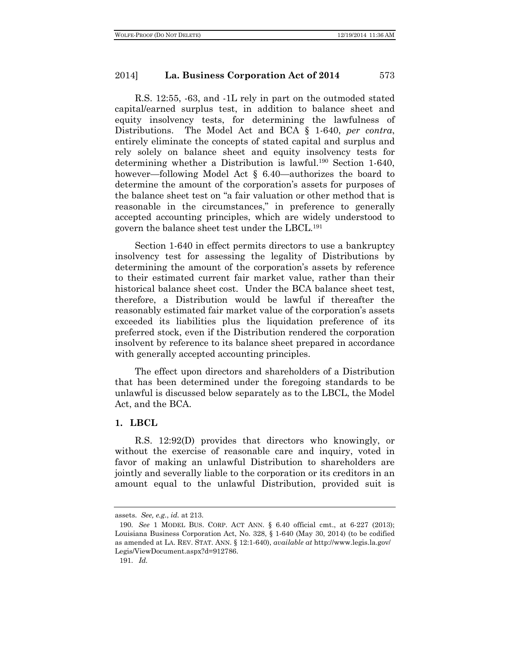R.S. 12:55, -63, and -1L rely in part on the outmoded stated capital/earned surplus test, in addition to balance sheet and equity insolvency tests, for determining the lawfulness of Distributions. The Model Act and BCA § 1-640, *per contra*, entirely eliminate the concepts of stated capital and surplus and rely solely on balance sheet and equity insolvency tests for determining whether a Distribution is lawful.190 Section 1-640, however—following Model Act § 6.40—authorizes the board to determine the amount of the corporation's assets for purposes of the balance sheet test on "a fair valuation or other method that is reasonable in the circumstances," in preference to generally accepted accounting principles, which are widely understood to govern the balance sheet test under the LBCL.191

Section 1-640 in effect permits directors to use a bankruptcy insolvency test for assessing the legality of Distributions by determining the amount of the corporation's assets by reference to their estimated current fair market value, rather than their historical balance sheet cost. Under the BCA balance sheet test, therefore, a Distribution would be lawful if thereafter the reasonably estimated fair market value of the corporation's assets exceeded its liabilities plus the liquidation preference of its preferred stock, even if the Distribution rendered the corporation insolvent by reference to its balance sheet prepared in accordance with generally accepted accounting principles.

The effect upon directors and shareholders of a Distribution that has been determined under the foregoing standards to be unlawful is discussed below separately as to the LBCL, the Model Act, and the BCA.

#### **1. LBCL**

R.S. 12:92(D) provides that directors who knowingly, or without the exercise of reasonable care and inquiry, voted in favor of making an unlawful Distribution to shareholders are jointly and severally liable to the corporation or its creditors in an amount equal to the unlawful Distribution, provided suit is

assets. *See, e.g.*, *id.* at 213.

<sup>190.</sup> *See* 1 MODEL BUS. CORP. ACT ANN. § 6.40 official cmt., at 6-227 (2013); Louisiana Business Corporation Act, No. 328, § 1-640 (May 30, 2014) (to be codified as amended at LA. REV. STAT. ANN. § 12:1-640), *available at* http://www.legis.la.gov/ Legis/ViewDocument.aspx?d=912786.

<sup>191.</sup> *Id.*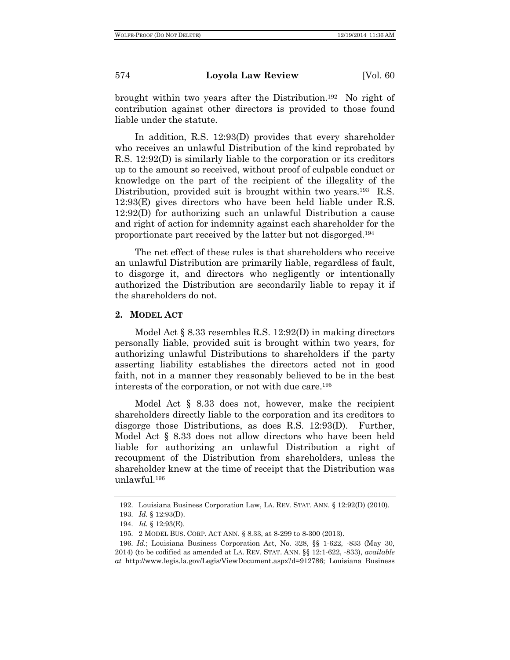brought within two years after the Distribution.192 No right of contribution against other directors is provided to those found liable under the statute.

In addition, R.S. 12:93(D) provides that every shareholder who receives an unlawful Distribution of the kind reprobated by R.S. 12:92(D) is similarly liable to the corporation or its creditors up to the amount so received, without proof of culpable conduct or knowledge on the part of the recipient of the illegality of the Distribution, provided suit is brought within two years.<sup>193</sup> R.S. 12:93(E) gives directors who have been held liable under R.S. 12:92(D) for authorizing such an unlawful Distribution a cause and right of action for indemnity against each shareholder for the proportionate part received by the latter but not disgorged.194

The net effect of these rules is that shareholders who receive an unlawful Distribution are primarily liable, regardless of fault, to disgorge it, and directors who negligently or intentionally authorized the Distribution are secondarily liable to repay it if the shareholders do not.

#### **2. MODEL ACT**

Model Act  $\S 8.33$  resembles R.S. 12:92(D) in making directors personally liable, provided suit is brought within two years, for authorizing unlawful Distributions to shareholders if the party asserting liability establishes the directors acted not in good faith, not in a manner they reasonably believed to be in the best interests of the corporation, or not with due care.195

Model Act § 8.33 does not, however, make the recipient shareholders directly liable to the corporation and its creditors to disgorge those Distributions, as does R.S. 12:93(D). Further, Model Act § 8.33 does not allow directors who have been held liable for authorizing an unlawful Distribution a right of recoupment of the Distribution from shareholders, unless the shareholder knew at the time of receipt that the Distribution was unlawful.196

<sup>192.</sup> Louisiana Business Corporation Law, LA. REV. STAT. ANN. § 12:92(D) (2010).

<sup>193.</sup> *Id.* § 12:93(D).

<sup>194.</sup> *Id.* § 12:93(E).

<sup>195.</sup> 2 MODEL BUS. CORP. ACT ANN. § 8.33, at 8-299 to 8-300 (2013).

<sup>196.</sup> *Id.*; Louisiana Business Corporation Act, No. 328, §§ 1-622, -833 (May 30, 2014) (to be codified as amended at LA. REV. STAT. ANN. §§ 12:1-622, -833), *available at* http://www.legis.la.gov/Legis/ViewDocument.aspx?d=912786; Louisiana Business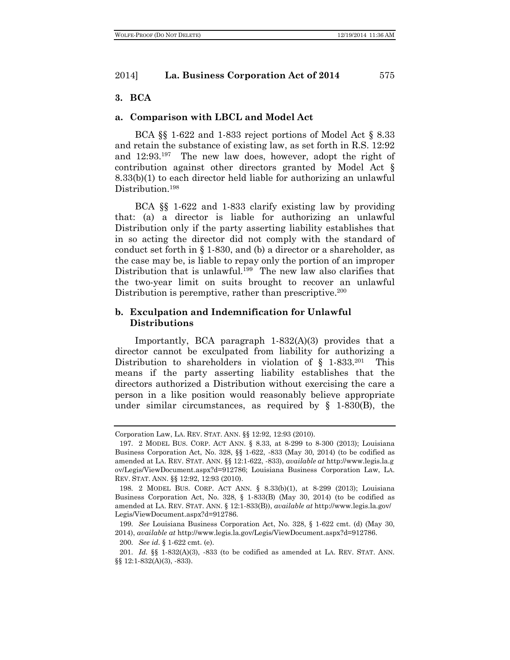#### **3. BCA**

#### **a. Comparison with LBCL and Model Act**

BCA §§ 1-622 and 1-833 reject portions of Model Act § 8.33 and retain the substance of existing law, as set forth in R.S. 12:92 and 12:93.197 The new law does, however, adopt the right of contribution against other directors granted by Model Act § 8.33(b)(1) to each director held liable for authorizing an unlawful Distribution.<sup>198</sup>

BCA §§ 1-622 and 1-833 clarify existing law by providing that: (a) a director is liable for authorizing an unlawful Distribution only if the party asserting liability establishes that in so acting the director did not comply with the standard of conduct set forth in § 1-830, and (b) a director or a shareholder, as the case may be, is liable to repay only the portion of an improper Distribution that is unlawful.<sup>199</sup> The new law also clarifies that the two-year limit on suits brought to recover an unlawful Distribution is peremptive, rather than prescriptive.<sup>200</sup>

## **b. Exculpation and Indemnification for Unlawful Distributions**

Importantly, BCA paragraph 1-832(A)(3) provides that a director cannot be exculpated from liability for authorizing a Distribution to shareholders in violation of  $\S$  1-833.<sup>201</sup> This means if the party asserting liability establishes that the directors authorized a Distribution without exercising the care a person in a like position would reasonably believe appropriate under similar circumstances, as required by  $\S$  1-830(B), the

Corporation Law, LA. REV. STAT. ANN. §§ 12:92, 12:93 (2010).

<sup>197.</sup> 2 MODEL BUS. CORP. ACT ANN. § 8.33, at 8-299 to 8-300 (2013); Louisiana Business Corporation Act, No. 328, §§ 1-622, -833 (May 30, 2014) (to be codified as amended at LA. REV. STAT. ANN. §§ 12:1-622, -833), *available at* http://www.legis.la.g ov/Legis/ViewDocument.aspx?d=912786; Louisiana Business Corporation Law, LA. REV. STAT. ANN. §§ 12:92, 12:93 (2010).

<sup>198.</sup> 2 MODEL BUS. CORP. ACT ANN. § 8.33(b)(1), at 8-299 (2013); Louisiana Business Corporation Act, No. 328, § 1-833(B) (May 30, 2014) (to be codified as amended at LA. REV. STAT. ANN. § 12:1-833(B)), *available at* http://www.legis.la.gov/ Legis/ViewDocument.aspx?d=912786.

<sup>199.</sup> *See* Louisiana Business Corporation Act, No. 328, § 1-622 cmt. (d) (May 30, 2014), *available at* http://www.legis.la.gov/Legis/ViewDocument.aspx?d=912786.

<sup>200.</sup> *See id.* § 1-622 cmt. (e).

<sup>201.</sup> *Id.* §§ 1-832(A)(3), -833 (to be codified as amended at LA. REV. STAT. ANN. §§ 12:1-832(A)(3), -833).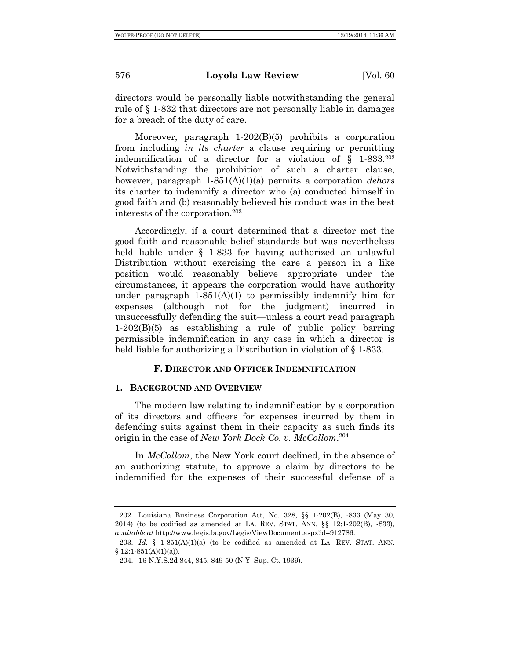directors would be personally liable notwithstanding the general rule of § 1-832 that directors are not personally liable in damages for a breach of the duty of care.

Moreover, paragraph 1-202(B)(5) prohibits a corporation from including *in its charter* a clause requiring or permitting indemnification of a director for a violation of  $\S$  1-833.<sup>202</sup> Notwithstanding the prohibition of such a charter clause, however, paragraph 1-851(A)(1)(a) permits a corporation *dehors* its charter to indemnify a director who (a) conducted himself in good faith and (b) reasonably believed his conduct was in the best interests of the corporation.203

Accordingly, if a court determined that a director met the good faith and reasonable belief standards but was nevertheless held liable under § 1-833 for having authorized an unlawful Distribution without exercising the care a person in a like position would reasonably believe appropriate under the circumstances, it appears the corporation would have authority under paragraph  $1-851(A)(1)$  to permissibly indemnify him for expenses (although not for the judgment) incurred in unsuccessfully defending the suit—unless a court read paragraph 1-202(B)(5) as establishing a rule of public policy barring permissible indemnification in any case in which a director is held liable for authorizing a Distribution in violation of  $\S 1-833$ .

## **F. DIRECTOR AND OFFICER INDEMNIFICATION**

#### **1. BACKGROUND AND OVERVIEW**

The modern law relating to indemnification by a corporation of its directors and officers for expenses incurred by them in defending suits against them in their capacity as such finds its origin in the case of *New York Dock Co. v. McCollom*. 204

In *McCollom*, the New York court declined, in the absence of an authorizing statute, to approve a claim by directors to be indemnified for the expenses of their successful defense of a

<sup>202.</sup> Louisiana Business Corporation Act, No. 328, §§ 1-202(B), -833 (May 30, 2014) (to be codified as amended at LA. REV. STAT. ANN. §§ 12:1-202(B), -833), *available at* http://www.legis.la.gov/Legis/ViewDocument.aspx?d=912786.

<sup>203.</sup> *Id.* § 1-851(A)(1)(a) (to be codified as amended at LA. REV. STAT. ANN.  $§ 12:1-851(A)(1)(a)).$ 

<sup>204.</sup> 16 N.Y.S.2d 844, 845, 849-50 (N.Y. Sup. Ct. 1939).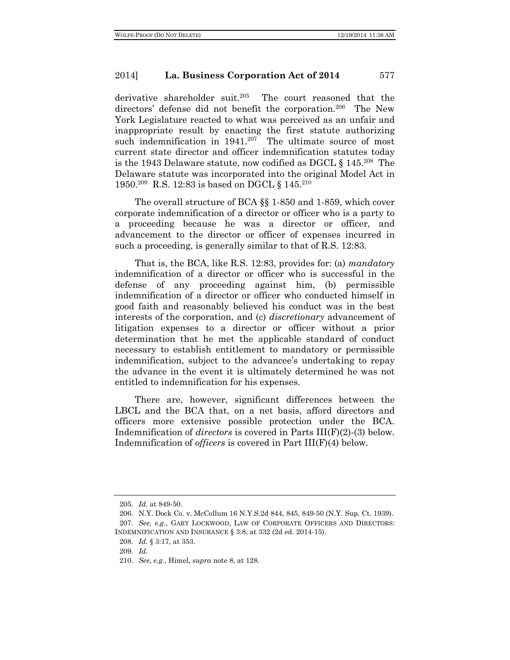derivative shareholder suit.<sup>205</sup> The court reasoned that the directors' defense did not benefit the corporation.<sup>206</sup> The New York Legislature reacted to what was perceived as an unfair and inappropriate result by enacting the first statute authorizing such indemnification in 1941.<sup>207</sup> The ultimate source of most current state director and officer indemnification statutes today is the 1943 Delaware statute, now codified as DGCL  $\S 145.^{208}$  The Delaware statute was incorporated into the original Model Act in 1950.209 R.S. 12:83 is based on DGCL § 145.210

The overall structure of BCA §§ 1-850 and 1-859, which cover corporate indemnification of a director or officer who is a party to a proceeding because he was a director or officer, and advancement to the director or officer of expenses incurred in such a proceeding, is generally similar to that of R.S. 12:83.

That is, the BCA, like R.S. 12:83, provides for: (a) *mandatory* indemnification of a director or officer who is successful in the defense of any proceeding against him, (b) permissible indemnification of a director or officer who conducted himself in good faith and reasonably believed his conduct was in the best interests of the corporation, and (c) *discretionary* advancement of litigation expenses to a director or officer without a prior determination that he met the applicable standard of conduct necessary to establish entitlement to mandatory or permissible indemnification, subject to the advancee's undertaking to repay the advance in the event it is ultimately determined he was not entitled to indemnification for his expenses.

There are, however, significant differences between the LBCL and the BCA that, on a net basis, afford directors and officers more extensive possible protection under the BCA. Indemnification of *directors* is covered in Parts III(F)(2)-(3) below. Indemnification of *officers* is covered in Part III(F)(4) below.

<sup>205.</sup> *Id.* at 849-50.

<sup>206.</sup> N.Y. Dock Co. v. McCollum 16 N.Y.S.2d 844, 845, 849-50 (N.Y. Sup. Ct. 1939). 207. *See, e.g.*, GARY LOCKWOOD, LAW OF CORPORATE OFFICERS AND DIRECTORS: INDEMNIFICATION AND INSURANCE § 3:8, at 332 (2d ed. 2014-15).

<sup>208.</sup> *Id.* § 3:17, at 353.

<sup>209.</sup> *Id.*

<sup>210.</sup> *See, e.g.*, Himel, *supra* note 8, at 128.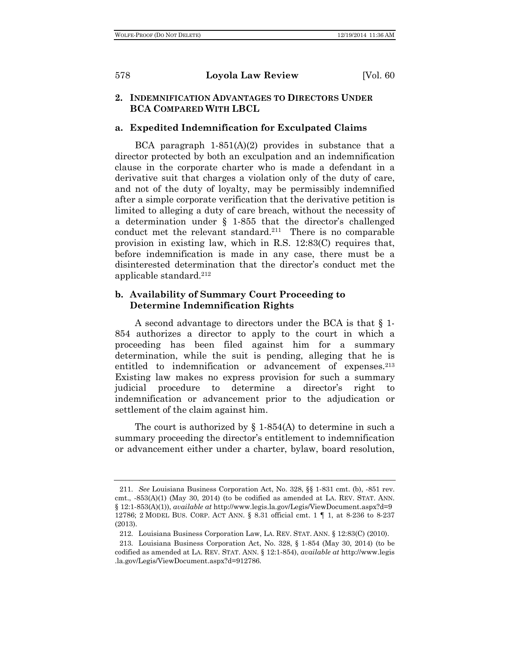## **2. INDEMNIFICATION ADVANTAGES TO DIRECTORS UNDER BCA COMPARED WITH LBCL**

## **a. Expedited Indemnification for Exculpated Claims**

BCA paragraph  $1-851(A)(2)$  provides in substance that a director protected by both an exculpation and an indemnification clause in the corporate charter who is made a defendant in a derivative suit that charges a violation only of the duty of care, and not of the duty of loyalty, may be permissibly indemnified after a simple corporate verification that the derivative petition is limited to alleging a duty of care breach, without the necessity of a determination under § 1-855 that the director's challenged conduct met the relevant standard.<sup>211</sup> There is no comparable provision in existing law, which in R.S. 12:83(C) requires that, before indemnification is made in any case, there must be a disinterested determination that the director's conduct met the applicable standard.212

## **b. Availability of Summary Court Proceeding to Determine Indemnification Rights**

A second advantage to directors under the BCA is that § 1- 854 authorizes a director to apply to the court in which a proceeding has been filed against him for a summary determination, while the suit is pending, alleging that he is entitled to indemnification or advancement of expenses.<sup>213</sup> Existing law makes no express provision for such a summary judicial procedure to determine a director's right to indemnification or advancement prior to the adjudication or settlement of the claim against him.

The court is authorized by  $\S$  1-854(A) to determine in such a summary proceeding the director's entitlement to indemnification or advancement either under a charter, bylaw, board resolution,

<sup>211.</sup> *See* Louisiana Business Corporation Act, No. 328, §§ 1-831 cmt. (b), -851 rev. cmt., -853(A)(1) (May 30, 2014) (to be codified as amended at LA. REV. STAT. ANN. § 12:1-853(A)(1)), *available at* http://www.legis.la.gov/Legis/ViewDocument.aspx?d=9 12786; 2 MODEL BUS. CORP. ACT ANN. § 8.31 official cmt. 1 ¶ 1, at 8-236 to 8-237 (2013).

<sup>212.</sup> Louisiana Business Corporation Law, LA. REV. STAT. ANN. § 12:83(C) (2010).

<sup>213.</sup> Louisiana Business Corporation Act, No. 328, § 1-854 (May 30, 2014) (to be codified as amended at LA. REV. STAT. ANN. § 12:1-854), *available at* http://www.legis .la.gov/Legis/ViewDocument.aspx?d=912786.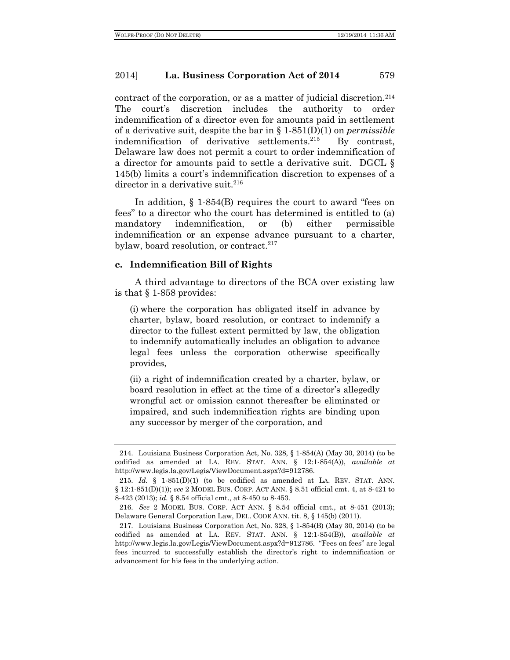contract of the corporation, or as a matter of judicial discretion.214 The court's discretion includes the authority to order indemnification of a director even for amounts paid in settlement of a derivative suit, despite the bar in § 1-851(D)(1) on *permissible* indemnification of derivative settlements.<sup>215</sup> By contrast, Delaware law does not permit a court to order indemnification of a director for amounts paid to settle a derivative suit. DGCL § 145(b) limits a court's indemnification discretion to expenses of a director in a derivative suit. $216$ 

In addition, § 1-854(B) requires the court to award "fees on fees" to a director who the court has determined is entitled to (a) mandatory indemnification, or (b) either permissible indemnification or an expense advance pursuant to a charter, bylaw, board resolution, or contract. $217$ 

#### **c. Indemnification Bill of Rights**

A third advantage to directors of the BCA over existing law is that § 1-858 provides:

(i) where the corporation has obligated itself in advance by charter, bylaw, board resolution, or contract to indemnify a director to the fullest extent permitted by law, the obligation to indemnify automatically includes an obligation to advance legal fees unless the corporation otherwise specifically provides,

(ii) a right of indemnification created by a charter, bylaw, or board resolution in effect at the time of a director's allegedly wrongful act or omission cannot thereafter be eliminated or impaired, and such indemnification rights are binding upon any successor by merger of the corporation, and

<sup>214.</sup> Louisiana Business Corporation Act, No. 328, § 1-854(A) (May 30, 2014) (to be codified as amended at LA. REV. STAT. ANN. § 12:1-854(A)), *available at* http://www.legis.la.gov/Legis/ViewDocument.aspx?d=912786.

<sup>215.</sup> *Id.* § 1-851(D)(1) (to be codified as amended at LA. REV. STAT. ANN. § 12:1-851(D)(1)); *see* 2 MODEL BUS. CORP. ACT ANN. § 8.51 official cmt. 4, at 8-421 to 8-423 (2013); *id.* § 8.54 official cmt., at 8-450 to 8-453.

<sup>216.</sup> *See* 2 MODEL BUS. CORP. ACT ANN. § 8.54 official cmt., at 8-451 (2013); Delaware General Corporation Law, DEL. CODE ANN. tit. 8, § 145(b) (2011).

<sup>217.</sup> Louisiana Business Corporation Act, No. 328, § 1-854(B) (May 30, 2014) (to be codified as amended at LA. REV. STAT. ANN. § 12:1-854(B)), *available at* http://www.legis.la.gov/Legis/ViewDocument.aspx?d=912786. "Fees on fees" are legal fees incurred to successfully establish the director's right to indemnification or advancement for his fees in the underlying action.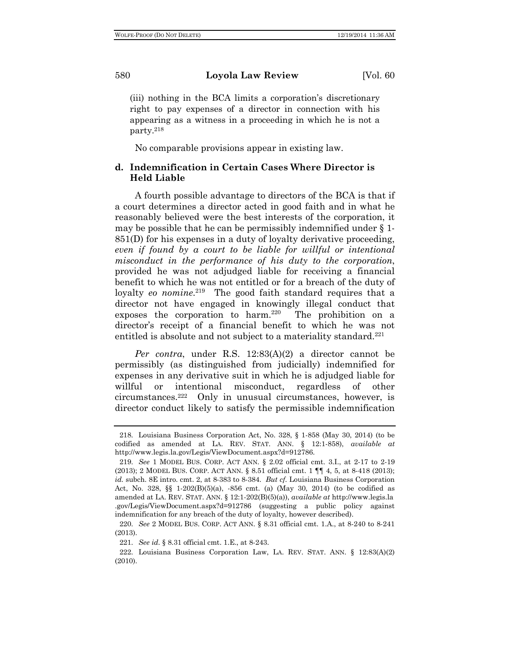(iii) nothing in the BCA limits a corporation's discretionary right to pay expenses of a director in connection with his appearing as a witness in a proceeding in which he is not a party.218

No comparable provisions appear in existing law.

## **d. Indemnification in Certain Cases Where Director is Held Liable**

A fourth possible advantage to directors of the BCA is that if a court determines a director acted in good faith and in what he reasonably believed were the best interests of the corporation, it may be possible that he can be permissibly indemnified under § 1- 851(D) for his expenses in a duty of loyalty derivative proceeding, *even if found by a court to be liable for willful or intentional misconduct in the performance of his duty to the corporation*, provided he was not adjudged liable for receiving a financial benefit to which he was not entitled or for a breach of the duty of loyalty *eo nomine*.<sup>219</sup> The good faith standard requires that a director not have engaged in knowingly illegal conduct that exposes the corporation to harm.<sup>220</sup> The prohibition on a director's receipt of a financial benefit to which he was not entitled is absolute and not subject to a materiality standard.<sup>221</sup>

*Per contra*, under R.S. 12:83(A)(2) a director cannot be permissibly (as distinguished from judicially) indemnified for expenses in any derivative suit in which he is adjudged liable for willful or intentional misconduct, regardless of other circumstances.222 Only in unusual circumstances, however, is director conduct likely to satisfy the permissible indemnification

<sup>218.</sup> Louisiana Business Corporation Act, No. 328, § 1-858 (May 30, 2014) (to be codified as amended at LA. REV. STAT. ANN. § 12:1-858), *available at* http://www.legis.la.gov/Legis/ViewDocument.aspx?d=912786.

<sup>219.</sup> *See* 1 MODEL BUS. CORP. ACT ANN. § 2.02 official cmt. 3.I., at 2-17 to 2-19 (2013); 2 MODEL BUS. CORP. ACT ANN. § 8.51 official cmt. 1 ¶¶ 4, 5, at 8-418 (2013); *id.* subch. 8E intro. cmt. 2, at 8-383 to 8-384. *But cf.* Louisiana Business Corporation Act, No. 328,  $\S$  1-202(B)(5)(a), -856 cmt. (a) (May 30, 2014) (to be codified as amended at LA. REV. STAT. ANN. § 12:1-202(B)(5)(a)), *available at* http://www.legis.la .gov/Legis/ViewDocument.aspx?d=912786 (suggesting a public policy against indemnification for any breach of the duty of loyalty, however described).

<sup>220.</sup> *See* 2 MODEL BUS. CORP. ACT ANN. § 8.31 official cmt. 1.A., at 8-240 to 8-241 (2013).

<sup>221.</sup> *See id.* § 8.31 official cmt. 1.E., at 8-243.

<sup>222.</sup> Louisiana Business Corporation Law, LA. REV. STAT. ANN. § 12:83(A)(2) (2010).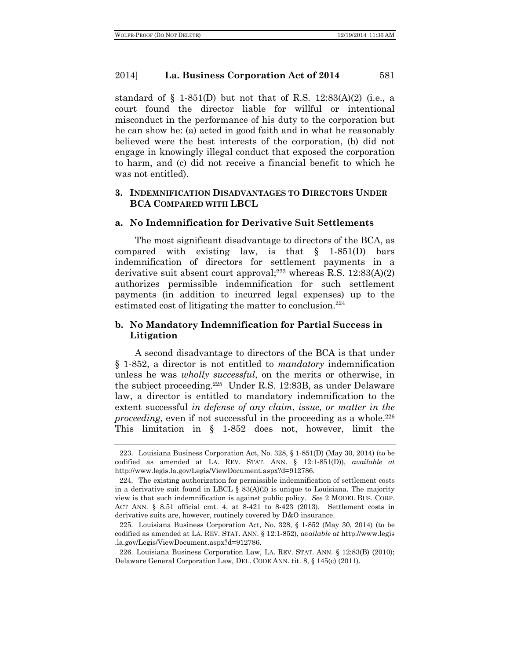standard of  $\S$  1-851(D) but not that of R.S. 12:83(A)(2) (i.e., a court found the director liable for willful or intentional misconduct in the performance of his duty to the corporation but he can show he: (a) acted in good faith and in what he reasonably believed were the best interests of the corporation, (b) did not engage in knowingly illegal conduct that exposed the corporation to harm, and (c) did not receive a financial benefit to which he was not entitled).

## **3. INDEMNIFICATION DISADVANTAGES TO DIRECTORS UNDER BCA COMPARED WITH LBCL**

#### **a. No Indemnification for Derivative Suit Settlements**

The most significant disadvantage to directors of the BCA, as compared with existing law, is that  $\S$  1-851(D) bars indemnification of directors for settlement payments in a derivative suit absent court approval; <sup>223</sup> whereas R.S. 12:83(A)(2) authorizes permissible indemnification for such settlement payments (in addition to incurred legal expenses) up to the estimated cost of litigating the matter to conclusion. $224$ 

## **b. No Mandatory Indemnification for Partial Success in Litigation**

A second disadvantage to directors of the BCA is that under § 1-852, a director is not entitled to *mandatory* indemnification unless he was *wholly successful*, on the merits or otherwise, in the subject proceeding.225 Under R.S. 12:83B, as under Delaware law, a director is entitled to mandatory indemnification to the extent successful *in defense of any claim*, *issue, or matter in the proceeding*, even if not successful in the proceeding as a whole.<sup>226</sup> This limitation in § 1-852 does not, however, limit the

<sup>223.</sup> Louisiana Business Corporation Act, No. 328, § 1-851(D) (May 30, 2014) (to be codified as amended at LA. REV. STAT. ANN. § 12:1-851(D)), *available at* http://www.legis.la.gov/Legis/ViewDocument.aspx?d=912786.

<sup>224.</sup> The existing authorization for permissible indemnification of settlement costs in a derivative suit found in LBCL § 83(A)(2) is unique to Louisiana. The majority view is that such indemnification is against public policy. *See* 2 MODEL BUS. CORP. ACT ANN. § 8.51 official cmt. 4, at 8-421 to 8-423 (2013). Settlement costs in derivative suits are, however, routinely covered by D&O insurance.

<sup>225.</sup> Louisiana Business Corporation Act, No. 328, § 1-852 (May 30, 2014) (to be codified as amended at LA. REV. STAT. ANN. § 12:1-852), *available at* http://www.legis .la.gov/Legis/ViewDocument.aspx?d=912786.

<sup>226.</sup> Louisiana Business Corporation Law, LA. REV. STAT. ANN. § 12:83(B) (2010); Delaware General Corporation Law, DEL. CODE ANN. tit. 8, § 145(c) (2011).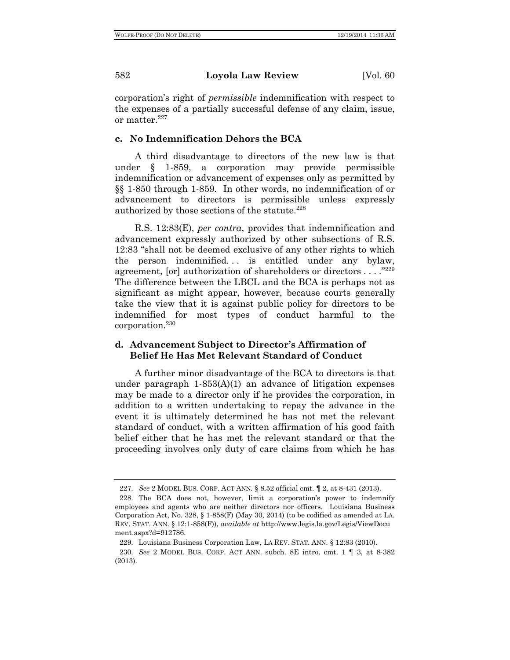corporation's right of *permissible* indemnification with respect to the expenses of a partially successful defense of any claim, issue, or matter.227

#### **c. No Indemnification Dehors the BCA**

A third disadvantage to directors of the new law is that under § 1-859, a corporation may provide permissible indemnification or advancement of expenses only as permitted by §§ 1-850 through 1-859. In other words, no indemnification of or advancement to directors is permissible unless expressly authorized by those sections of the statute.<sup>228</sup>

R.S. 12:83(E), *per contra*, provides that indemnification and advancement expressly authorized by other subsections of R.S. 12:83 "shall not be deemed exclusive of any other rights to which the person indemnified... is entitled under any bylaw, agreement, [or] authorization of shareholders or directors . . . ."229 The difference between the LBCL and the BCA is perhaps not as significant as might appear, however, because courts generally take the view that it is against public policy for directors to be indemnified for most types of conduct harmful to the corporation.230

## **d. Advancement Subject to Director's Affirmation of Belief He Has Met Relevant Standard of Conduct**

A further minor disadvantage of the BCA to directors is that under paragraph  $1-853(A)(1)$  an advance of litigation expenses may be made to a director only if he provides the corporation, in addition to a written undertaking to repay the advance in the event it is ultimately determined he has not met the relevant standard of conduct, with a written affirmation of his good faith belief either that he has met the relevant standard or that the proceeding involves only duty of care claims from which he has

<sup>227.</sup> *See* 2 MODEL BUS. CORP. ACT ANN. § 8.52 official cmt. ¶ 2, at 8-431 (2013).

<sup>228.</sup> The BCA does not, however, limit a corporation's power to indemnify employees and agents who are neither directors nor officers. Louisiana Business Corporation Act, No. 328, § 1-858(F) (May 30, 2014) (to be codified as amended at LA. REV. STAT. ANN. § 12:1-858(F)), *available at* http://www.legis.la.gov/Legis/ViewDocu ment.aspx?d=912786.

<sup>229.</sup> Louisiana Business Corporation Law, LA REV. STAT. ANN. § 12:83 (2010).

<sup>230.</sup> *See* 2 MODEL BUS. CORP. ACT ANN. subch. 8E intro. cmt. 1 ¶ 3, at 8-382 (2013).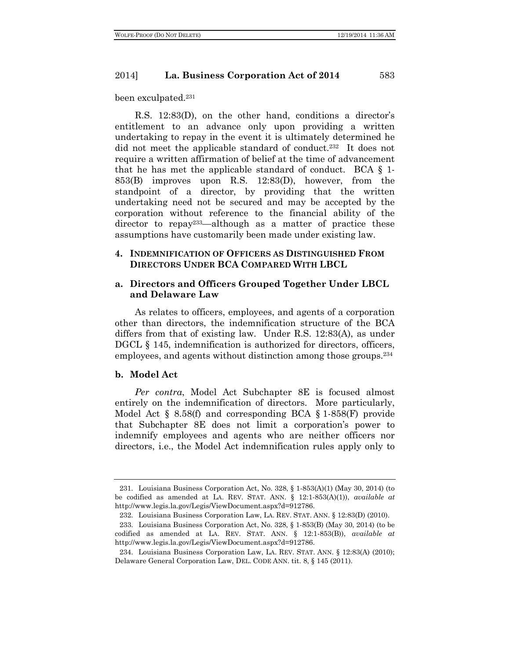been exculpated.231

R.S. 12:83(D), on the other hand, conditions a director's entitlement to an advance only upon providing a written undertaking to repay in the event it is ultimately determined he did not meet the applicable standard of conduct.<sup>232</sup> It does not require a written affirmation of belief at the time of advancement that he has met the applicable standard of conduct. BCA  $\S$  1-853(B) improves upon R.S. 12:83(D), however, from the standpoint of a director, by providing that the written undertaking need not be secured and may be accepted by the corporation without reference to the financial ability of the director to repay<sup>233</sup>—although as a matter of practice these assumptions have customarily been made under existing law.

## **4. INDEMNIFICATION OF OFFICERS AS DISTINGUISHED FROM DIRECTORS UNDER BCA COMPARED WITH LBCL**

## **a. Directors and Officers Grouped Together Under LBCL and Delaware Law**

As relates to officers, employees, and agents of a corporation other than directors, the indemnification structure of the BCA differs from that of existing law. Under R.S. 12:83(A), as under DGCL  $\S$  145, indemnification is authorized for directors, officers, employees, and agents without distinction among those groups.234

#### **b. Model Act**

*Per contra*, Model Act Subchapter 8E is focused almost entirely on the indemnification of directors. More particularly, Model Act  $\S$  8.58(f) and corresponding BCA  $\S$  1-858(F) provide that Subchapter 8E does not limit a corporation's power to indemnify employees and agents who are neither officers nor directors, i.e., the Model Act indemnification rules apply only to

<sup>231.</sup> Louisiana Business Corporation Act, No. 328, § 1-853(A)(1) (May 30, 2014) (to be codified as amended at LA. REV. STAT. ANN. § 12:1-853(A)(1)), *available at* http://www.legis.la.gov/Legis/ViewDocument.aspx?d=912786.

<sup>232.</sup> Louisiana Business Corporation Law, LA. REV. STAT. ANN. § 12:83(D) (2010).

<sup>233.</sup> Louisiana Business Corporation Act, No. 328, § 1-853(B) (May 30, 2014) (to be codified as amended at LA. REV. STAT. ANN. § 12:1-853(B)), *available at* http://www.legis.la.gov/Legis/ViewDocument.aspx?d=912786.

<sup>234.</sup> Louisiana Business Corporation Law, LA. REV. STAT. ANN. § 12:83(A) (2010); Delaware General Corporation Law, DEL. CODE ANN. tit. 8, § 145 (2011).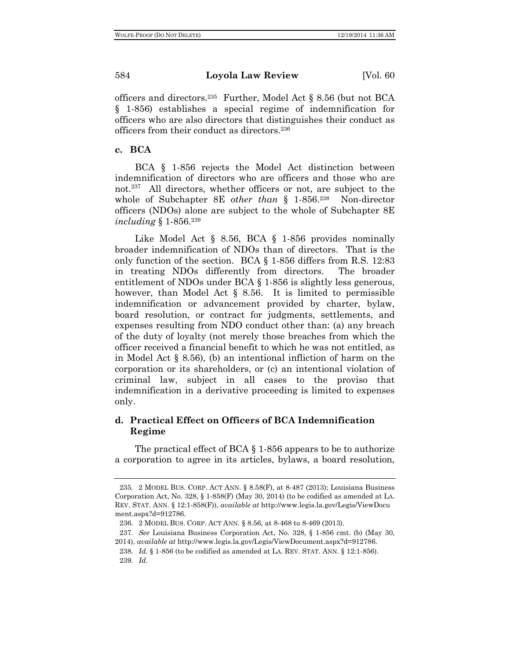officers and directors.<sup>235</sup> Further, Model Act  $\S 8.56$  (but not BCA § 1-856) establishes a special regime of indemnification for officers who are also directors that distinguishes their conduct as officers from their conduct as directors.236

## **c. BCA**

BCA § 1-856 rejects the Model Act distinction between indemnification of directors who are officers and those who are not.237 All directors, whether officers or not, are subject to the whole of Subchapter 8E *other than* § 1-856.<sup>238</sup> Non-director officers (NDOs) alone are subject to the whole of Subchapter 8E *including* § 1-856.239

Like Model Act § 8.56, BCA § 1-856 provides nominally broader indemnification of NDOs than of directors. That is the only function of the section. BCA § 1-856 differs from R.S. 12:83 in treating NDOs differently from directors. The broader entitlement of NDOs under BCA § 1-856 is slightly less generous, however, than Model Act § 8.56. It is limited to permissible indemnification or advancement provided by charter, bylaw, board resolution, or contract for judgments, settlements, and expenses resulting from NDO conduct other than: (a) any breach of the duty of loyalty (not merely those breaches from which the officer received a financial benefit to which he was not entitled, as in Model Act § 8.56), (b) an intentional infliction of harm on the corporation or its shareholders, or (c) an intentional violation of criminal law, subject in all cases to the proviso that indemnification in a derivative proceeding is limited to expenses only.

## **d. Practical Effect on Officers of BCA Indemnification Regime**

The practical effect of BCA § 1-856 appears to be to authorize a corporation to agree in its articles, bylaws, a board resolution,

<sup>235.</sup> 2 MODEL BUS. CORP. ACT ANN. § 8.58(F), at 8-487 (2013); Louisiana Business Corporation Act, No. 328, § 1-858(F) (May 30, 2014) (to be codified as amended at LA. REV. STAT. ANN. § 12:1-858(F)), *available at* http://www.legis.la.gov/Legis/ViewDocu ment.aspx?d=912786.

<sup>236.</sup> 2 MODEL BUS. CORP. ACT ANN. § 8.56, at 8-468 to 8-469 (2013).

<sup>237.</sup> *See* Louisiana Business Corporation Act, No. 328, § 1-856 cmt. (b) (May 30,

<sup>2014),</sup> *available at* http://www.legis.la.gov/Legis/ViewDocument.aspx?d=912786.

<sup>238.</sup> *Id.* § 1-856 (to be codified as amended at LA. REV. STAT. ANN. § 12:1-856).

<sup>239.</sup> *Id.*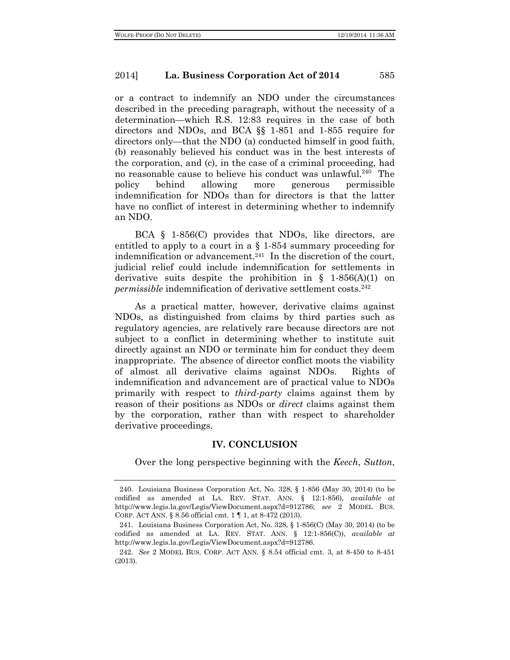or a contract to indemnify an NDO under the circumstances described in the preceding paragraph, without the necessity of a determination—which R.S. 12:83 requires in the case of both directors and NDOs, and BCA §§ 1-851 and 1-855 require for directors only—that the NDO (a) conducted himself in good faith, (b) reasonably believed his conduct was in the best interests of the corporation, and (c), in the case of a criminal proceeding, had no reasonable cause to believe his conduct was unlawful.240 The policy behind allowing more generous permissible indemnification for NDOs than for directors is that the latter have no conflict of interest in determining whether to indemnify an NDO.

BCA § 1-856(C) provides that NDOs, like directors, are entitled to apply to a court in a § 1-854 summary proceeding for indemnification or advancement.<sup>241</sup> In the discretion of the court, judicial relief could include indemnification for settlements in derivative suits despite the prohibition in  $\S$  1-856(A)(1) on *permissible* indemnification of derivative settlement costs.<sup>242</sup>

As a practical matter, however, derivative claims against NDOs, as distinguished from claims by third parties such as regulatory agencies, are relatively rare because directors are not subject to a conflict in determining whether to institute suit directly against an NDO or terminate him for conduct they deem inappropriate. The absence of director conflict moots the viability of almost all derivative claims against NDOs. Rights of indemnification and advancement are of practical value to NDOs primarily with respect to *third-party* claims against them by reason of their positions as NDOs or *direct* claims against them by the corporation, rather than with respect to shareholder derivative proceedings.

## **IV. CONCLUSION**

Over the long perspective beginning with the *Keech*, *Sutton*,

<sup>240.</sup> Louisiana Business Corporation Act, No. 328, § 1-856 (May 30, 2014) (to be codified as amended at LA. REV. STAT. ANN. § 12:1-856), *available at* http://www.legis.la.gov/Legis/ViewDocument.aspx?d=912786; *see* 2 MODEL BUS. CORP. ACT ANN. § 8.56 official cmt. 1 ¶ 1, at 8-472 (2013).

<sup>241.</sup> Louisiana Business Corporation Act, No. 328, § 1-856(C) (May 30, 2014) (to be codified as amended at LA. REV. STAT. ANN. § 12:1-856(C)), *available at* http://www.legis.la.gov/Legis/ViewDocument.aspx?d=912786.

<sup>242.</sup> *See* 2 MODEL BUS. CORP. ACT ANN*.* § 8.54 official cmt. 3, at 8-450 to 8-451 (2013).